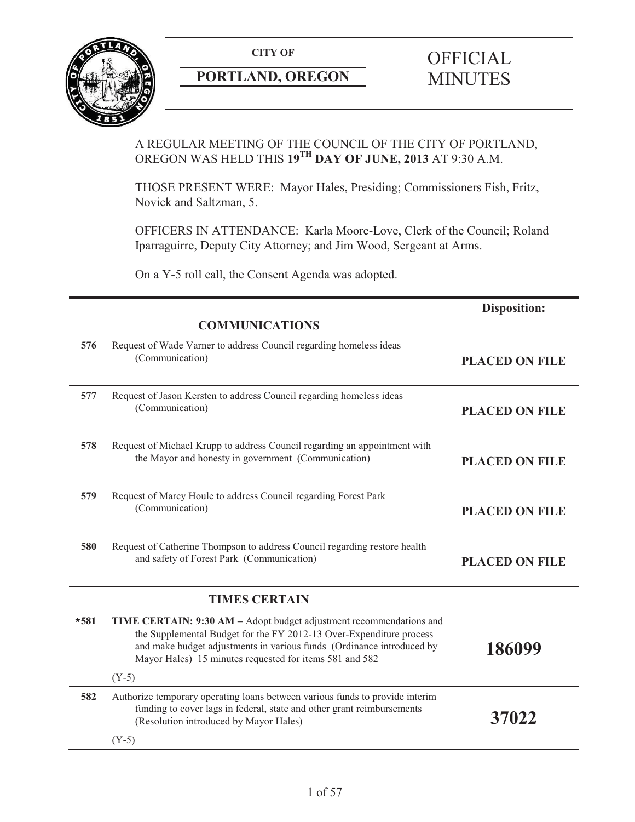

# **PORTLAND, OREGON MINUTES**

# **CITY OF** OFFICIAL

# A REGULAR MEETING OF THE COUNCIL OF THE CITY OF PORTLAND, OREGON WAS HELD THIS **19TH DAY OF JUNE, 2013** AT 9:30 A.M.

THOSE PRESENT WERE: Mayor Hales, Presiding; Commissioners Fish, Fritz, Novick and Saltzman, 5.

OFFICERS IN ATTENDANCE: Karla Moore-Love, Clerk of the Council; Roland Iparraguirre, Deputy City Attorney; and Jim Wood, Sergeant at Arms.

On a Y-5 roll call, the Consent Agenda was adopted.

|        |                                                                                                                                                                                                                                                                                | <b>Disposition:</b>   |
|--------|--------------------------------------------------------------------------------------------------------------------------------------------------------------------------------------------------------------------------------------------------------------------------------|-----------------------|
|        | <b>COMMUNICATIONS</b>                                                                                                                                                                                                                                                          |                       |
| 576    | Request of Wade Varner to address Council regarding homeless ideas<br>(Communication)                                                                                                                                                                                          | <b>PLACED ON FILE</b> |
| 577    | Request of Jason Kersten to address Council regarding homeless ideas<br>(Communication)                                                                                                                                                                                        | <b>PLACED ON FILE</b> |
| 578    | Request of Michael Krupp to address Council regarding an appointment with<br>the Mayor and honesty in government (Communication)                                                                                                                                               | <b>PLACED ON FILE</b> |
| 579    | Request of Marcy Houle to address Council regarding Forest Park<br>(Communication)                                                                                                                                                                                             | <b>PLACED ON FILE</b> |
| 580    | Request of Catherine Thompson to address Council regarding restore health<br>and safety of Forest Park (Communication)                                                                                                                                                         | <b>PLACED ON FILE</b> |
|        | <b>TIMES CERTAIN</b>                                                                                                                                                                                                                                                           |                       |
| $*581$ | TIME CERTAIN: 9:30 AM - Adopt budget adjustment recommendations and<br>the Supplemental Budget for the FY 2012-13 Over-Expenditure process<br>and make budget adjustments in various funds (Ordinance introduced by<br>Mayor Hales) 15 minutes requested for items 581 and 582 | 186099                |
|        | $(Y-5)$                                                                                                                                                                                                                                                                        |                       |
| 582    | Authorize temporary operating loans between various funds to provide interim<br>funding to cover lags in federal, state and other grant reimbursements<br>(Resolution introduced by Mayor Hales)                                                                               | 37022                 |
|        | $(Y-5)$                                                                                                                                                                                                                                                                        |                       |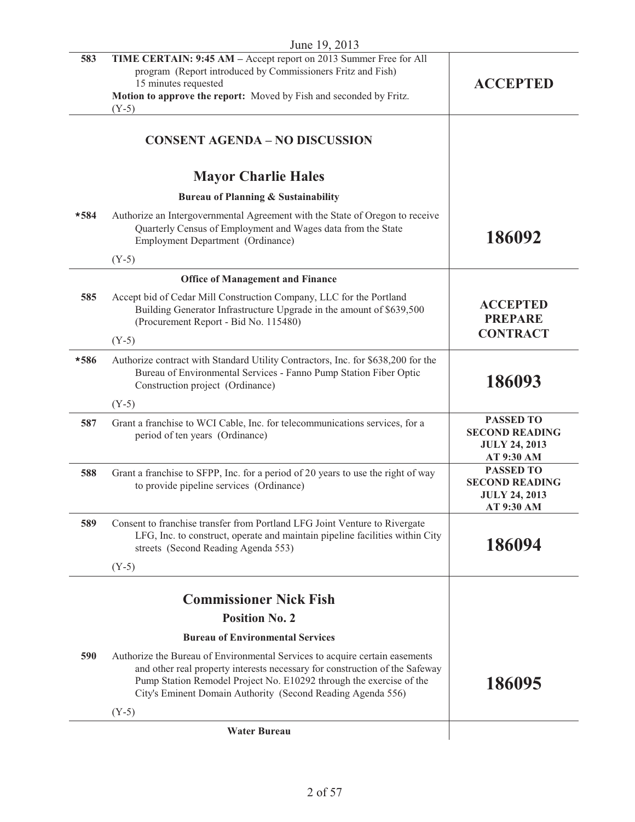|        | June 19, 2013                                                                                                                                                                                                                                                                                    |                                                                                 |
|--------|--------------------------------------------------------------------------------------------------------------------------------------------------------------------------------------------------------------------------------------------------------------------------------------------------|---------------------------------------------------------------------------------|
| 583    | TIME CERTAIN: 9:45 AM - Accept report on 2013 Summer Free for All<br>program (Report introduced by Commissioners Fritz and Fish)<br>15 minutes requested<br>Motion to approve the report: Moved by Fish and seconded by Fritz.                                                                   | <b>ACCEPTED</b>                                                                 |
|        | $(Y-5)$                                                                                                                                                                                                                                                                                          |                                                                                 |
|        | <b>CONSENT AGENDA - NO DISCUSSION</b>                                                                                                                                                                                                                                                            |                                                                                 |
|        | <b>Mayor Charlie Hales</b>                                                                                                                                                                                                                                                                       |                                                                                 |
|        | <b>Bureau of Planning &amp; Sustainability</b>                                                                                                                                                                                                                                                   |                                                                                 |
| $*584$ | Authorize an Intergovernmental Agreement with the State of Oregon to receive<br>Quarterly Census of Employment and Wages data from the State<br><b>Employment Department (Ordinance)</b>                                                                                                         | 186092                                                                          |
|        | $(Y-5)$                                                                                                                                                                                                                                                                                          |                                                                                 |
|        | <b>Office of Management and Finance</b>                                                                                                                                                                                                                                                          |                                                                                 |
| 585    | Accept bid of Cedar Mill Construction Company, LLC for the Portland<br>Building Generator Infrastructure Upgrade in the amount of \$639,500<br>(Procurement Report - Bid No. 115480)                                                                                                             | <b>ACCEPTED</b><br><b>PREPARE</b><br><b>CONTRACT</b>                            |
|        | $(Y-5)$                                                                                                                                                                                                                                                                                          |                                                                                 |
| $*586$ | Authorize contract with Standard Utility Contractors, Inc. for \$638,200 for the<br>Bureau of Environmental Services - Fanno Pump Station Fiber Optic<br>Construction project (Ordinance)                                                                                                        | 186093                                                                          |
|        | $(Y-5)$                                                                                                                                                                                                                                                                                          |                                                                                 |
| 587    | Grant a franchise to WCI Cable, Inc. for telecommunications services, for a<br>period of ten years (Ordinance)                                                                                                                                                                                   | <b>PASSED TO</b><br><b>SECOND READING</b><br><b>JULY 24, 2013</b><br>AT 9:30 AM |
| 588    | Grant a franchise to SFPP, Inc. for a period of 20 years to use the right of way<br>to provide pipeline services (Ordinance)                                                                                                                                                                     | <b>PASSED TO</b><br><b>SECOND READING</b><br><b>JULY 24, 2013</b><br>AT 9:30 AM |
| 589    | Consent to franchise transfer from Portland LFG Joint Venture to Rivergate<br>LFG, Inc. to construct, operate and maintain pipeline facilities within City<br>streets (Second Reading Agenda 553)                                                                                                | 186094                                                                          |
|        | $(Y-5)$                                                                                                                                                                                                                                                                                          |                                                                                 |
|        |                                                                                                                                                                                                                                                                                                  |                                                                                 |
|        | <b>Commissioner Nick Fish</b>                                                                                                                                                                                                                                                                    |                                                                                 |
|        | <b>Position No. 2</b>                                                                                                                                                                                                                                                                            |                                                                                 |
|        | <b>Bureau of Environmental Services</b>                                                                                                                                                                                                                                                          |                                                                                 |
| 590    | Authorize the Bureau of Environmental Services to acquire certain easements<br>and other real property interests necessary for construction of the Safeway<br>Pump Station Remodel Project No. E10292 through the exercise of the<br>City's Eminent Domain Authority (Second Reading Agenda 556) | 186095                                                                          |
|        | $(Y-5)$                                                                                                                                                                                                                                                                                          |                                                                                 |
|        | <b>Water Bureau</b>                                                                                                                                                                                                                                                                              |                                                                                 |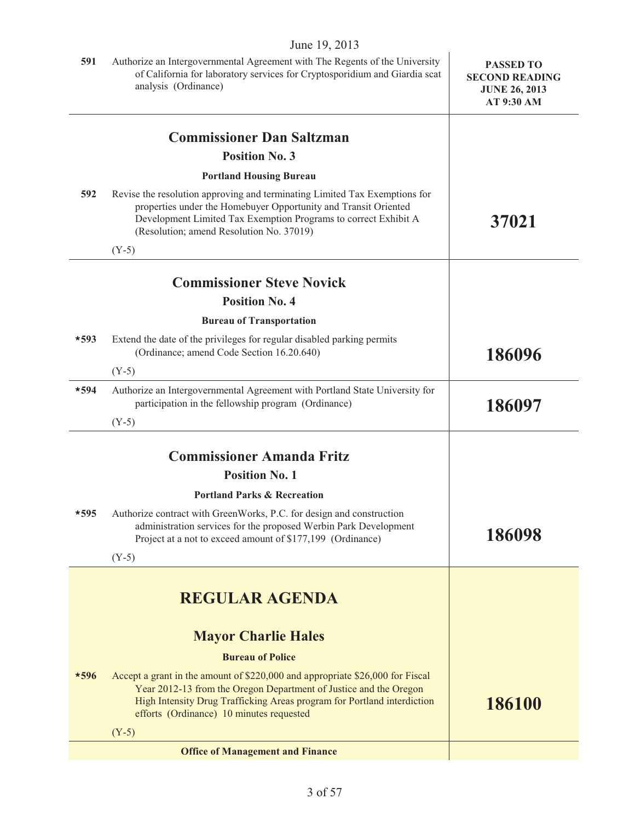|        | June 19, 2013                                                                                                                                                                                                                                                             |                                                                                 |
|--------|---------------------------------------------------------------------------------------------------------------------------------------------------------------------------------------------------------------------------------------------------------------------------|---------------------------------------------------------------------------------|
| 591    | Authorize an Intergovernmental Agreement with The Regents of the University<br>of California for laboratory services for Cryptosporidium and Giardia scat<br>analysis (Ordinance)                                                                                         | <b>PASSED TO</b><br><b>SECOND READING</b><br><b>JUNE 26, 2013</b><br>AT 9:30 AM |
|        | <b>Commissioner Dan Saltzman</b>                                                                                                                                                                                                                                          |                                                                                 |
|        | <b>Position No. 3</b>                                                                                                                                                                                                                                                     |                                                                                 |
|        | <b>Portland Housing Bureau</b>                                                                                                                                                                                                                                            |                                                                                 |
| 592    | Revise the resolution approving and terminating Limited Tax Exemptions for<br>properties under the Homebuyer Opportunity and Transit Oriented<br>Development Limited Tax Exemption Programs to correct Exhibit A<br>(Resolution; amend Resolution No. 37019)              | 37021                                                                           |
|        | $(Y-5)$                                                                                                                                                                                                                                                                   |                                                                                 |
|        |                                                                                                                                                                                                                                                                           |                                                                                 |
|        | <b>Commissioner Steve Novick</b><br><b>Position No. 4</b>                                                                                                                                                                                                                 |                                                                                 |
|        | <b>Bureau of Transportation</b>                                                                                                                                                                                                                                           |                                                                                 |
| $*593$ | Extend the date of the privileges for regular disabled parking permits                                                                                                                                                                                                    |                                                                                 |
|        | (Ordinance; amend Code Section 16.20.640)                                                                                                                                                                                                                                 | 186096                                                                          |
|        | $(Y-5)$                                                                                                                                                                                                                                                                   |                                                                                 |
| $*594$ | Authorize an Intergovernmental Agreement with Portland State University for<br>participation in the fellowship program (Ordinance)                                                                                                                                        | 186097                                                                          |
|        | $(Y-5)$                                                                                                                                                                                                                                                                   |                                                                                 |
|        | <b>Commissioner Amanda Fritz</b>                                                                                                                                                                                                                                          |                                                                                 |
|        | <b>Position No. 1</b>                                                                                                                                                                                                                                                     |                                                                                 |
|        | <b>Portland Parks &amp; Recreation</b>                                                                                                                                                                                                                                    |                                                                                 |
| *595   | Authorize contract with GreenWorks, P.C. for design and construction<br>administration services for the proposed Werbin Park Development<br>Project at a not to exceed amount of \$177,199 (Ordinance)                                                                    | 186098                                                                          |
|        | $(Y-5)$                                                                                                                                                                                                                                                                   |                                                                                 |
|        | <b>REGULAR AGENDA</b>                                                                                                                                                                                                                                                     |                                                                                 |
|        | <b>Mayor Charlie Hales</b>                                                                                                                                                                                                                                                |                                                                                 |
|        | <b>Bureau of Police</b>                                                                                                                                                                                                                                                   |                                                                                 |
| $*596$ | Accept a grant in the amount of \$220,000 and appropriate \$26,000 for Fiscal<br>Year 2012-13 from the Oregon Department of Justice and the Oregon<br>High Intensity Drug Trafficking Areas program for Portland interdiction<br>efforts (Ordinance) 10 minutes requested | 186100                                                                          |
|        | $(Y-5)$                                                                                                                                                                                                                                                                   |                                                                                 |
|        | <b>Office of Management and Finance</b>                                                                                                                                                                                                                                   |                                                                                 |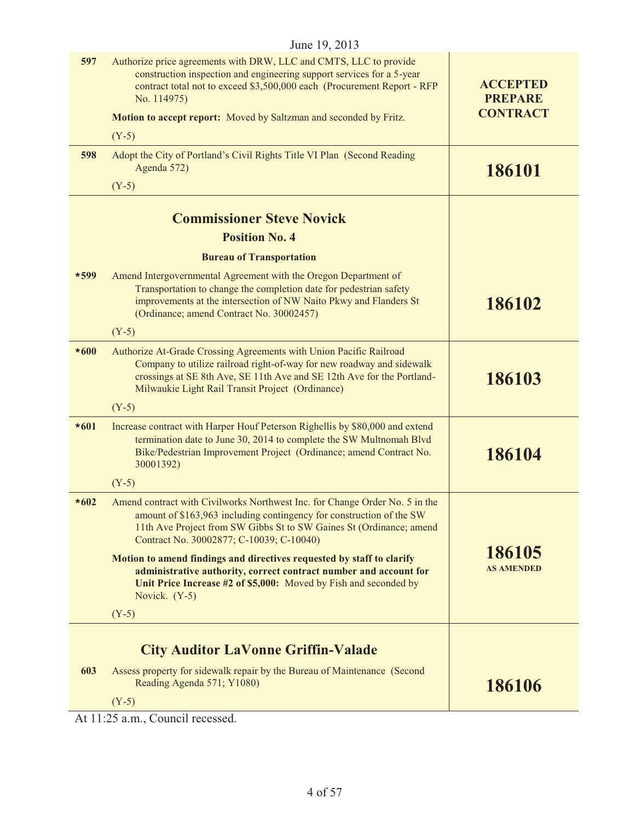| <b>ACCEPTED</b><br><b>PREPARE</b><br><b>CONTRACT</b> |
|------------------------------------------------------|
|                                                      |
| 186101                                               |
|                                                      |
|                                                      |
|                                                      |
|                                                      |
| 186102                                               |
|                                                      |
| 186103                                               |
|                                                      |
| 186104                                               |
|                                                      |
|                                                      |
| 186105<br><b>AS AMENDED</b>                          |
|                                                      |
|                                                      |
| 186106                                               |
|                                                      |

At 11:25 a.m., Council recessed.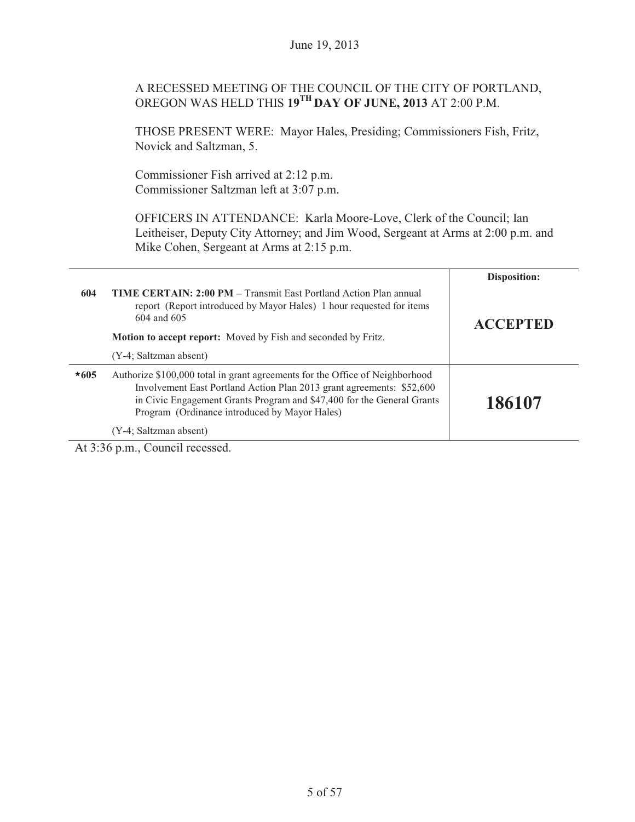# A RECESSED MEETING OF THE COUNCIL OF THE CITY OF PORTLAND, OREGON WAS HELD THIS **19TH DAY OF JUNE, 2013** AT 2:00 P.M.

THOSE PRESENT WERE: Mayor Hales, Presiding; Commissioners Fish, Fritz, Novick and Saltzman, 5.

Commissioner Fish arrived at 2:12 p.m. Commissioner Saltzman left at 3:07 p.m.

OFFICERS IN ATTENDANCE: Karla Moore-Love, Clerk of the Council; Ian Leitheiser, Deputy City Attorney; and Jim Wood, Sergeant at Arms at 2:00 p.m. and Mike Cohen, Sergeant at Arms at 2:15 p.m.

|        |                                                                                                                                                                                                                                                                                  | Disposition:    |
|--------|----------------------------------------------------------------------------------------------------------------------------------------------------------------------------------------------------------------------------------------------------------------------------------|-----------------|
| 604    | <b>TIME CERTAIN: 2:00 PM – Transmit East Portland Action Plan annual</b><br>report (Report introduced by Mayor Hales) 1 hour requested for items<br>604 and 605                                                                                                                  | <b>ACCEPTED</b> |
|        | <b>Motion to accept report:</b> Moved by Fish and seconded by Fritz.                                                                                                                                                                                                             |                 |
|        | (Y-4; Saltzman absent)                                                                                                                                                                                                                                                           |                 |
| $*605$ | Authorize \$100,000 total in grant agreements for the Office of Neighborhood<br>Involvement East Portland Action Plan 2013 grant agreements: \$52,600<br>in Civic Engagement Grants Program and \$47,400 for the General Grants<br>Program (Ordinance introduced by Mayor Hales) | 186107          |
|        | (Y-4; Saltzman absent)                                                                                                                                                                                                                                                           |                 |

At 3:36 p.m., Council recessed.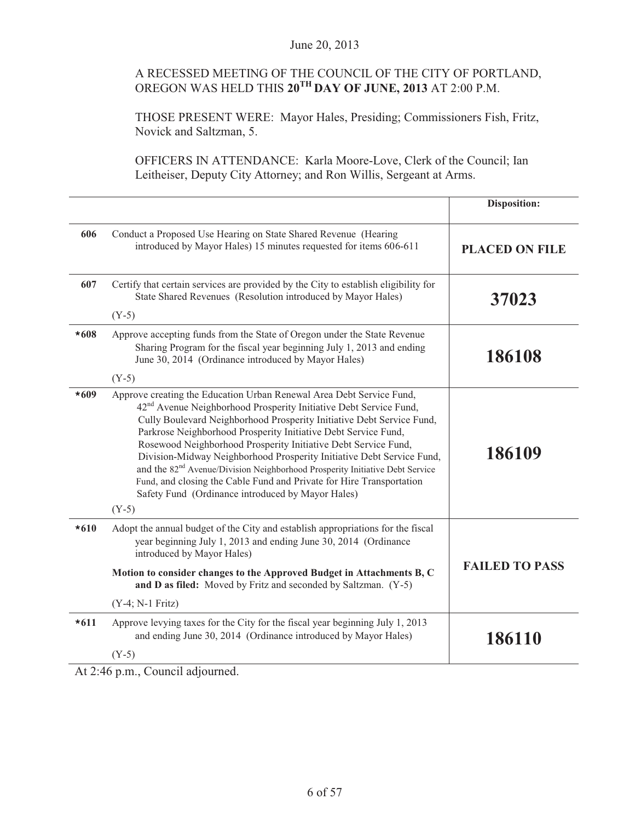# A RECESSED MEETING OF THE COUNCIL OF THE CITY OF PORTLAND, OREGON WAS HELD THIS **20TH DAY OF JUNE, 2013** AT 2:00 P.M.

THOSE PRESENT WERE: Mayor Hales, Presiding; Commissioners Fish, Fritz, Novick and Saltzman, 5.

OFFICERS IN ATTENDANCE: Karla Moore-Love, Clerk of the Council; Ian Leitheiser, Deputy City Attorney; and Ron Willis, Sergeant at Arms.

|        |                                                                                                                                                                                                                                                                                                                                                                                                                                                                                                                                                                                                                                                                                 | <b>Disposition:</b>   |
|--------|---------------------------------------------------------------------------------------------------------------------------------------------------------------------------------------------------------------------------------------------------------------------------------------------------------------------------------------------------------------------------------------------------------------------------------------------------------------------------------------------------------------------------------------------------------------------------------------------------------------------------------------------------------------------------------|-----------------------|
| 606    | Conduct a Proposed Use Hearing on State Shared Revenue (Hearing<br>introduced by Mayor Hales) 15 minutes requested for items 606-611                                                                                                                                                                                                                                                                                                                                                                                                                                                                                                                                            | <b>PLACED ON FILE</b> |
| 607    | Certify that certain services are provided by the City to establish eligibility for<br>State Shared Revenues (Resolution introduced by Mayor Hales)<br>$(Y-5)$                                                                                                                                                                                                                                                                                                                                                                                                                                                                                                                  | 37023                 |
| $*608$ | Approve accepting funds from the State of Oregon under the State Revenue<br>Sharing Program for the fiscal year beginning July 1, 2013 and ending<br>June 30, 2014 (Ordinance introduced by Mayor Hales)<br>$(Y-5)$                                                                                                                                                                                                                                                                                                                                                                                                                                                             | 186108                |
| $*609$ | Approve creating the Education Urban Renewal Area Debt Service Fund,<br>42 <sup>nd</sup> Avenue Neighborhood Prosperity Initiative Debt Service Fund,<br>Cully Boulevard Neighborhood Prosperity Initiative Debt Service Fund,<br>Parkrose Neighborhood Prosperity Initiative Debt Service Fund,<br>Rosewood Neighborhood Prosperity Initiative Debt Service Fund,<br>Division-Midway Neighborhood Prosperity Initiative Debt Service Fund,<br>and the 82 <sup>nd</sup> Avenue/Division Neighborhood Prosperity Initiative Debt Service<br>Fund, and closing the Cable Fund and Private for Hire Transportation<br>Safety Fund (Ordinance introduced by Mayor Hales)<br>$(Y-5)$ | 186109                |
| $*610$ | Adopt the annual budget of the City and establish appropriations for the fiscal<br>year beginning July 1, 2013 and ending June 30, 2014 (Ordinance<br>introduced by Mayor Hales)<br>Motion to consider changes to the Approved Budget in Attachments B, C<br>and D as filed: Moved by Fritz and seconded by Saltzman. (Y-5)<br>(Y-4; N-1 Fritz)                                                                                                                                                                                                                                                                                                                                 | <b>FAILED TO PASS</b> |
| $*611$ | Approve levying taxes for the City for the fiscal year beginning July 1, 2013<br>and ending June 30, 2014 (Ordinance introduced by Mayor Hales)<br>$(Y-5)$                                                                                                                                                                                                                                                                                                                                                                                                                                                                                                                      | 186110                |

At 2:46 p.m., Council adjourned.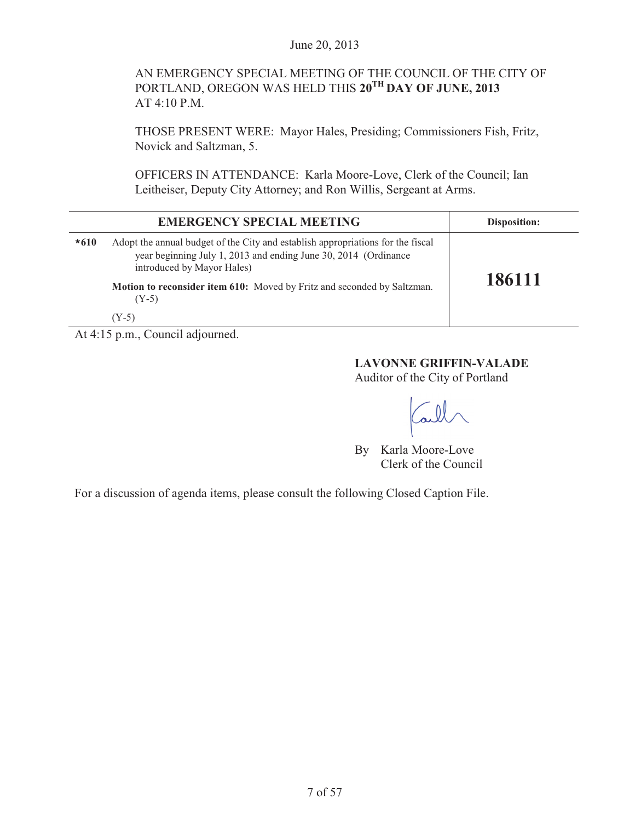# AN EMERGENCY SPECIAL MEETING OF THE COUNCIL OF THE CITY OF PORTLAND, OREGON WAS HELD THIS **20TH DAY OF JUNE, 2013** AT 4:10 P.M.

THOSE PRESENT WERE: Mayor Hales, Presiding; Commissioners Fish, Fritz, Novick and Saltzman, 5.

OFFICERS IN ATTENDANCE: Karla Moore-Love, Clerk of the Council; Ian Leitheiser, Deputy City Attorney; and Ron Willis, Sergeant at Arms.

|        | <b>EMERGENCY SPECIAL MEETING</b>                                                                                                                                                                                                                                                  | <b>Disposition:</b> |
|--------|-----------------------------------------------------------------------------------------------------------------------------------------------------------------------------------------------------------------------------------------------------------------------------------|---------------------|
| $*610$ | Adopt the annual budget of the City and establish appropriations for the fiscal<br>year beginning July 1, 2013 and ending June 30, 2014 (Ordinance<br>introduced by Mayor Hales)<br>Motion to reconsider item 610: Moved by Fritz and seconded by Saltzman.<br>$(Y-5)$<br>$(Y-5)$ | 186111              |

At 4:15 p.m., Council adjourned.

#### **LAVONNE GRIFFIN-VALADE**

Auditor of the City of Portland

Call

By Karla Moore-Love Clerk of the Council

For a discussion of agenda items, please consult the following Closed Caption File.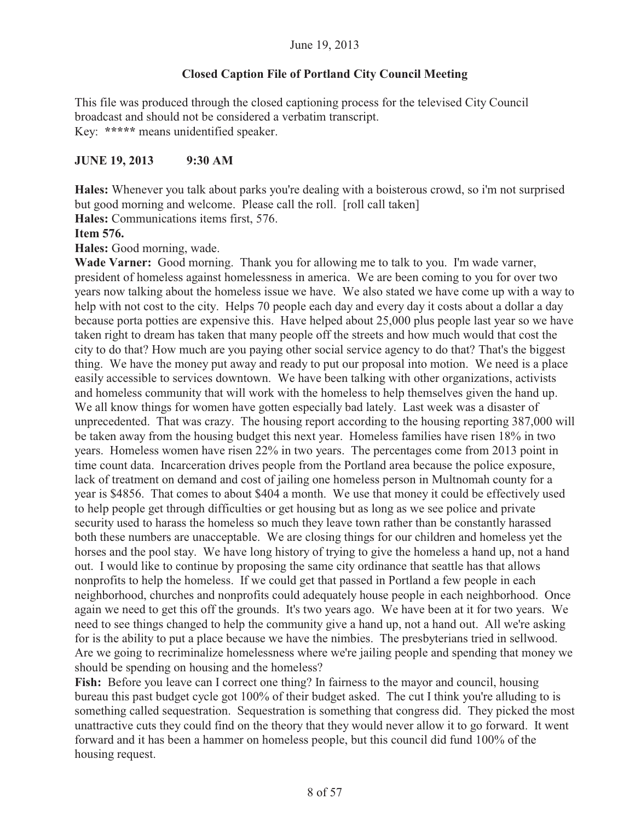#### **Closed Caption File of Portland City Council Meeting**

This file was produced through the closed captioning process for the televised City Council broadcast and should not be considered a verbatim transcript. Key: **\*\*\*\*\*** means unidentified speaker.

#### **JUNE 19, 2013 9:30 AM**

**Hales:** Whenever you talk about parks you're dealing with a boisterous crowd, so i'm not surprised but good morning and welcome. Please call the roll. [roll call taken]

**Hales:** Communications items first, 576.

**Item 576.** 

**Hales:** Good morning, wade.

**Wade Varner:** Good morning. Thank you for allowing me to talk to you. I'm wade varner, president of homeless against homelessness in america. We are been coming to you for over two years now talking about the homeless issue we have. We also stated we have come up with a way to help with not cost to the city. Helps 70 people each day and every day it costs about a dollar a day because porta potties are expensive this. Have helped about 25,000 plus people last year so we have taken right to dream has taken that many people off the streets and how much would that cost the city to do that? How much are you paying other social service agency to do that? That's the biggest thing. We have the money put away and ready to put our proposal into motion. We need is a place easily accessible to services downtown. We have been talking with other organizations, activists and homeless community that will work with the homeless to help themselves given the hand up. We all know things for women have gotten especially bad lately. Last week was a disaster of unprecedented. That was crazy. The housing report according to the housing reporting 387,000 will be taken away from the housing budget this next year. Homeless families have risen 18% in two years. Homeless women have risen 22% in two years. The percentages come from 2013 point in time count data. Incarceration drives people from the Portland area because the police exposure, lack of treatment on demand and cost of jailing one homeless person in Multnomah county for a year is \$4856. That comes to about \$404 a month. We use that money it could be effectively used to help people get through difficulties or get housing but as long as we see police and private security used to harass the homeless so much they leave town rather than be constantly harassed both these numbers are unacceptable. We are closing things for our children and homeless yet the horses and the pool stay. We have long history of trying to give the homeless a hand up, not a hand out. I would like to continue by proposing the same city ordinance that seattle has that allows nonprofits to help the homeless. If we could get that passed in Portland a few people in each neighborhood, churches and nonprofits could adequately house people in each neighborhood. Once again we need to get this off the grounds. It's two years ago. We have been at it for two years. We need to see things changed to help the community give a hand up, not a hand out. All we're asking for is the ability to put a place because we have the nimbies. The presbyterians tried in sellwood. Are we going to recriminalize homelessness where we're jailing people and spending that money we should be spending on housing and the homeless?

Fish: Before you leave can I correct one thing? In fairness to the mayor and council, housing bureau this past budget cycle got 100% of their budget asked. The cut I think you're alluding to is something called sequestration. Sequestration is something that congress did. They picked the most unattractive cuts they could find on the theory that they would never allow it to go forward. It went forward and it has been a hammer on homeless people, but this council did fund 100% of the housing request.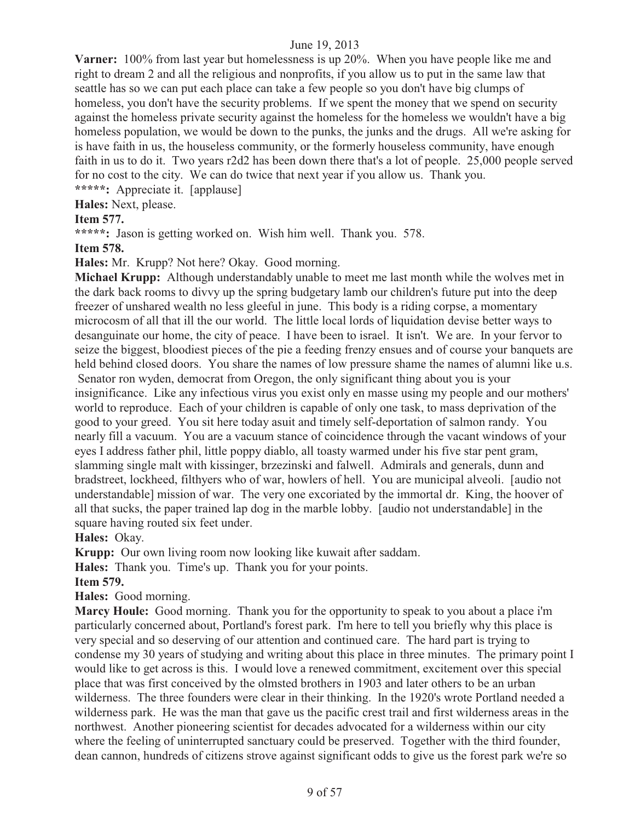**Varner:** 100% from last year but homelessness is up 20%. When you have people like me and right to dream 2 and all the religious and nonprofits, if you allow us to put in the same law that seattle has so we can put each place can take a few people so you don't have big clumps of homeless, you don't have the security problems. If we spent the money that we spend on security against the homeless private security against the homeless for the homeless we wouldn't have a big homeless population, we would be down to the punks, the junks and the drugs. All we're asking for is have faith in us, the houseless community, or the formerly houseless community, have enough faith in us to do it. Two years r2d2 has been down there that's a lot of people. 25,000 people served for no cost to the city. We can do twice that next year if you allow us. Thank you. **\*\*\*\*\*:** Appreciate it. [applause]

**Hales:** Next, please.

# **Item 577.**

**\*\*\*\*\*:** Jason is getting worked on. Wish him well. Thank you. 578.

**Item 578.** 

**Hales:** Mr. Krupp? Not here? Okay. Good morning.

**Michael Krupp:** Although understandably unable to meet me last month while the wolves met in the dark back rooms to divvy up the spring budgetary lamb our children's future put into the deep freezer of unshared wealth no less gleeful in june. This body is a riding corpse, a momentary microcosm of all that ill the our world. The little local lords of liquidation devise better ways to desanguinate our home, the city of peace. I have been to israel. It isn't. We are. In your fervor to seize the biggest, bloodiest pieces of the pie a feeding frenzy ensues and of course your banquets are held behind closed doors. You share the names of low pressure shame the names of alumni like u.s. Senator ron wyden, democrat from Oregon, the only significant thing about you is your insignificance. Like any infectious virus you exist only en masse using my people and our mothers' world to reproduce. Each of your children is capable of only one task, to mass deprivation of the good to your greed. You sit here today asuit and timely self-deportation of salmon randy. You nearly fill a vacuum. You are a vacuum stance of coincidence through the vacant windows of your eyes I address father phil, little poppy diablo, all toasty warmed under his five star pent gram, slamming single malt with kissinger, brzezinski and falwell. Admirals and generals, dunn and bradstreet, lockheed, filthyers who of war, howlers of hell. You are municipal alveoli. [audio not understandable] mission of war. The very one excoriated by the immortal dr. King, the hoover of all that sucks, the paper trained lap dog in the marble lobby. [audio not understandable] in the square having routed six feet under.

**Hales:** Okay.

**Krupp:** Our own living room now looking like kuwait after saddam.

**Hales:** Thank you. Time's up. Thank you for your points.

**Item 579.** 

**Hales:** Good morning.

**Marcy Houle:** Good morning. Thank you for the opportunity to speak to you about a place i'm particularly concerned about, Portland's forest park. I'm here to tell you briefly why this place is very special and so deserving of our attention and continued care. The hard part is trying to condense my 30 years of studying and writing about this place in three minutes. The primary point I would like to get across is this. I would love a renewed commitment, excitement over this special place that was first conceived by the olmsted brothers in 1903 and later others to be an urban wilderness. The three founders were clear in their thinking. In the 1920's wrote Portland needed a wilderness park. He was the man that gave us the pacific crest trail and first wilderness areas in the northwest. Another pioneering scientist for decades advocated for a wilderness within our city where the feeling of uninterrupted sanctuary could be preserved. Together with the third founder, dean cannon, hundreds of citizens strove against significant odds to give us the forest park we're so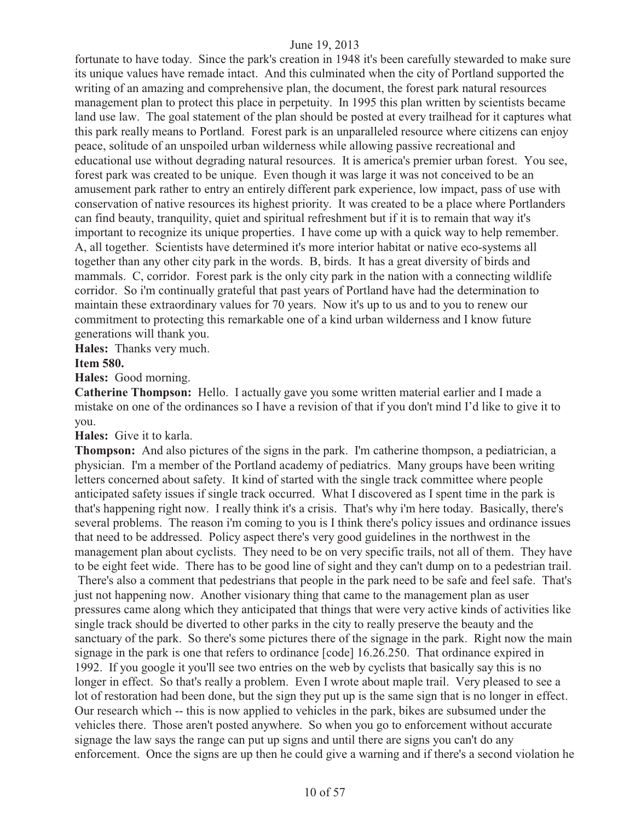fortunate to have today. Since the park's creation in 1948 it's been carefully stewarded to make sure its unique values have remade intact. And this culminated when the city of Portland supported the writing of an amazing and comprehensive plan, the document, the forest park natural resources management plan to protect this place in perpetuity. In 1995 this plan written by scientists became land use law. The goal statement of the plan should be posted at every trailhead for it captures what this park really means to Portland. Forest park is an unparalleled resource where citizens can enjoy peace, solitude of an unspoiled urban wilderness while allowing passive recreational and educational use without degrading natural resources. It is america's premier urban forest. You see, forest park was created to be unique. Even though it was large it was not conceived to be an amusement park rather to entry an entirely different park experience, low impact, pass of use with conservation of native resources its highest priority. It was created to be a place where Portlanders can find beauty, tranquility, quiet and spiritual refreshment but if it is to remain that way it's important to recognize its unique properties. I have come up with a quick way to help remember. A, all together. Scientists have determined it's more interior habitat or native eco-systems all together than any other city park in the words. B, birds. It has a great diversity of birds and mammals. C, corridor. Forest park is the only city park in the nation with a connecting wildlife corridor. So i'm continually grateful that past years of Portland have had the determination to maintain these extraordinary values for 70 years. Now it's up to us and to you to renew our commitment to protecting this remarkable one of a kind urban wilderness and I know future generations will thank you.

**Hales:** Thanks very much.

#### **Item 580.**

**Hales:** Good morning.

**Catherine Thompson:** Hello. I actually gave you some written material earlier and I made a mistake on one of the ordinances so I have a revision of that if you don't mind I'd like to give it to you.

**Hales:** Give it to karla.

**Thompson:** And also pictures of the signs in the park. I'm catherine thompson, a pediatrician, a physician. I'm a member of the Portland academy of pediatrics. Many groups have been writing letters concerned about safety. It kind of started with the single track committee where people anticipated safety issues if single track occurred. What I discovered as I spent time in the park is that's happening right now. I really think it's a crisis. That's why i'm here today. Basically, there's several problems. The reason i'm coming to you is I think there's policy issues and ordinance issues that need to be addressed. Policy aspect there's very good guidelines in the northwest in the management plan about cyclists. They need to be on very specific trails, not all of them. They have to be eight feet wide. There has to be good line of sight and they can't dump on to a pedestrian trail. There's also a comment that pedestrians that people in the park need to be safe and feel safe. That's just not happening now. Another visionary thing that came to the management plan as user pressures came along which they anticipated that things that were very active kinds of activities like single track should be diverted to other parks in the city to really preserve the beauty and the sanctuary of the park. So there's some pictures there of the signage in the park. Right now the main signage in the park is one that refers to ordinance [code] 16.26.250. That ordinance expired in 1992. If you google it you'll see two entries on the web by cyclists that basically say this is no longer in effect. So that's really a problem. Even I wrote about maple trail. Very pleased to see a lot of restoration had been done, but the sign they put up is the same sign that is no longer in effect. Our research which -- this is now applied to vehicles in the park, bikes are subsumed under the vehicles there. Those aren't posted anywhere. So when you go to enforcement without accurate signage the law says the range can put up signs and until there are signs you can't do any enforcement. Once the signs are up then he could give a warning and if there's a second violation he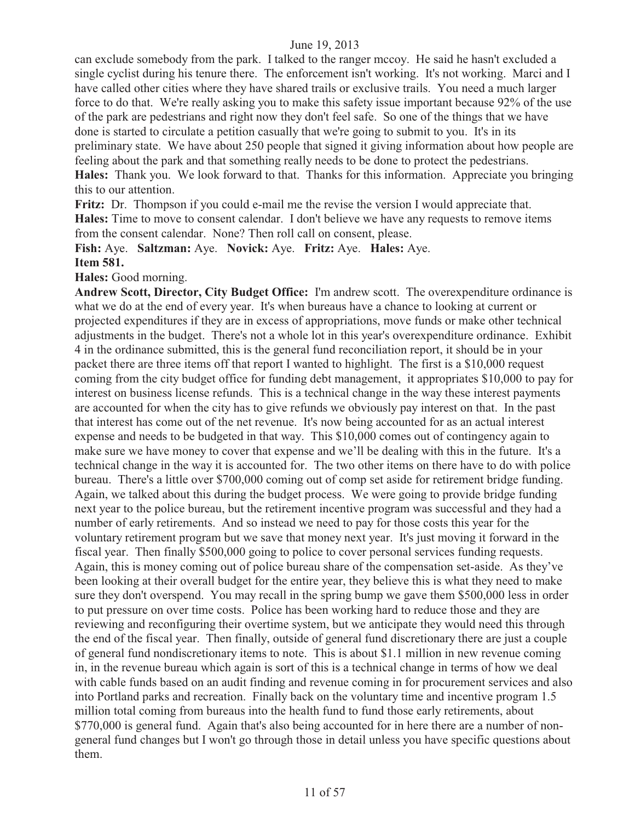can exclude somebody from the park. I talked to the ranger mccoy. He said he hasn't excluded a single cyclist during his tenure there. The enforcement isn't working. It's not working. Marci and I have called other cities where they have shared trails or exclusive trails. You need a much larger force to do that. We're really asking you to make this safety issue important because 92% of the use of the park are pedestrians and right now they don't feel safe. So one of the things that we have done is started to circulate a petition casually that we're going to submit to you. It's in its preliminary state. We have about 250 people that signed it giving information about how people are feeling about the park and that something really needs to be done to protect the pedestrians. **Hales:** Thank you. We look forward to that. Thanks for this information. Appreciate you bringing this to our attention.

**Fritz:** Dr. Thompson if you could e-mail me the revise the version I would appreciate that. **Hales:** Time to move to consent calendar. I don't believe we have any requests to remove items from the consent calendar. None? Then roll call on consent, please.

**Fish:** Aye. **Saltzman:** Aye. **Novick:** Aye. **Fritz:** Aye. **Hales:** Aye. **Item 581.**

**Hales:** Good morning.

**Andrew Scott, Director, City Budget Office:** I'm andrew scott. The overexpenditure ordinance is what we do at the end of every year. It's when bureaus have a chance to looking at current or projected expenditures if they are in excess of appropriations, move funds or make other technical adjustments in the budget. There's not a whole lot in this year's overexpenditure ordinance. Exhibit 4 in the ordinance submitted, this is the general fund reconciliation report, it should be in your packet there are three items off that report I wanted to highlight. The first is a \$10,000 request coming from the city budget office for funding debt management, it appropriates \$10,000 to pay for interest on business license refunds. This is a technical change in the way these interest payments are accounted for when the city has to give refunds we obviously pay interest on that. In the past that interest has come out of the net revenue. It's now being accounted for as an actual interest expense and needs to be budgeted in that way. This \$10,000 comes out of contingency again to make sure we have money to cover that expense and we'll be dealing with this in the future. It's a technical change in the way it is accounted for. The two other items on there have to do with police bureau. There's a little over \$700,000 coming out of comp set aside for retirement bridge funding. Again, we talked about this during the budget process. We were going to provide bridge funding next year to the police bureau, but the retirement incentive program was successful and they had a number of early retirements. And so instead we need to pay for those costs this year for the voluntary retirement program but we save that money next year. It's just moving it forward in the fiscal year. Then finally \$500,000 going to police to cover personal services funding requests. Again, this is money coming out of police bureau share of the compensation set-aside. As they've been looking at their overall budget for the entire year, they believe this is what they need to make sure they don't overspend. You may recall in the spring bump we gave them \$500,000 less in order to put pressure on over time costs. Police has been working hard to reduce those and they are reviewing and reconfiguring their overtime system, but we anticipate they would need this through the end of the fiscal year. Then finally, outside of general fund discretionary there are just a couple of general fund nondiscretionary items to note. This is about \$1.1 million in new revenue coming in, in the revenue bureau which again is sort of this is a technical change in terms of how we deal with cable funds based on an audit finding and revenue coming in for procurement services and also into Portland parks and recreation. Finally back on the voluntary time and incentive program 1.5 million total coming from bureaus into the health fund to fund those early retirements, about \$770,000 is general fund. Again that's also being accounted for in here there are a number of nongeneral fund changes but I won't go through those in detail unless you have specific questions about them.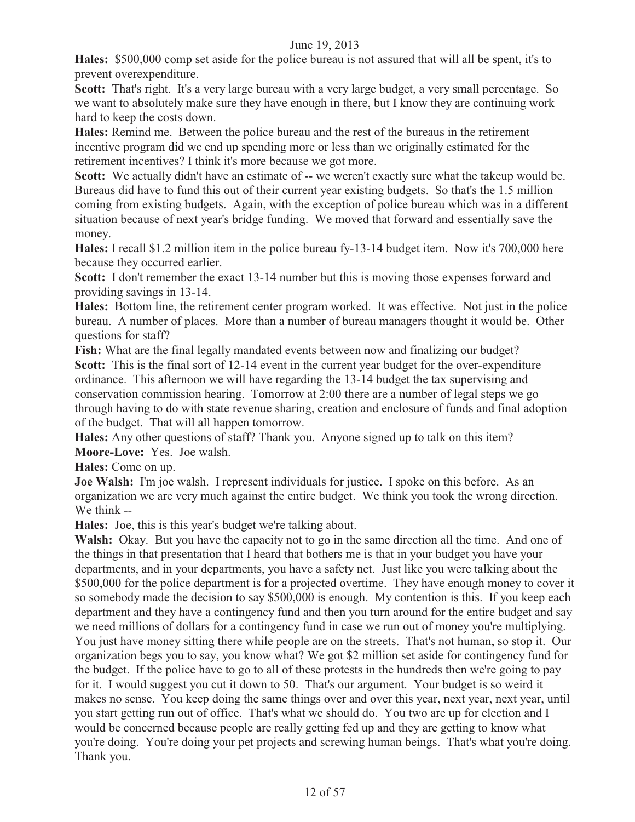**Hales:** \$500,000 comp set aside for the police bureau is not assured that will all be spent, it's to prevent overexpenditure.

**Scott:** That's right. It's a very large bureau with a very large budget, a very small percentage. So we want to absolutely make sure they have enough in there, but I know they are continuing work hard to keep the costs down.

**Hales:** Remind me. Between the police bureau and the rest of the bureaus in the retirement incentive program did we end up spending more or less than we originally estimated for the retirement incentives? I think it's more because we got more.

Scott: We actually didn't have an estimate of -- we weren't exactly sure what the takeup would be. Bureaus did have to fund this out of their current year existing budgets. So that's the 1.5 million coming from existing budgets. Again, with the exception of police bureau which was in a different situation because of next year's bridge funding. We moved that forward and essentially save the money.

**Hales:** I recall \$1.2 million item in the police bureau fy-13-14 budget item. Now it's 700,000 here because they occurred earlier.

Scott: I don't remember the exact 13-14 number but this is moving those expenses forward and providing savings in 13-14.

**Hales:** Bottom line, the retirement center program worked. It was effective. Not just in the police bureau. A number of places. More than a number of bureau managers thought it would be. Other questions for staff?

**Fish:** What are the final legally mandated events between now and finalizing our budget? **Scott:** This is the final sort of 12-14 event in the current year budget for the over-expenditure ordinance. This afternoon we will have regarding the 13-14 budget the tax supervising and conservation commission hearing. Tomorrow at 2:00 there are a number of legal steps we go through having to do with state revenue sharing, creation and enclosure of funds and final adoption of the budget. That will all happen tomorrow.

**Hales:** Any other questions of staff? Thank you. Anyone signed up to talk on this item? **Moore-Love:** Yes. Joe walsh.

**Hales:** Come on up.

**Joe Walsh:** I'm joe walsh. I represent individuals for justice. I spoke on this before. As an organization we are very much against the entire budget. We think you took the wrong direction. We think --

**Hales:** Joe, this is this year's budget we're talking about.

Walsh: Okay. But you have the capacity not to go in the same direction all the time. And one of the things in that presentation that I heard that bothers me is that in your budget you have your departments, and in your departments, you have a safety net. Just like you were talking about the \$500,000 for the police department is for a projected overtime. They have enough money to cover it so somebody made the decision to say \$500,000 is enough. My contention is this. If you keep each department and they have a contingency fund and then you turn around for the entire budget and say we need millions of dollars for a contingency fund in case we run out of money you're multiplying. You just have money sitting there while people are on the streets. That's not human, so stop it. Our organization begs you to say, you know what? We got \$2 million set aside for contingency fund for the budget. If the police have to go to all of these protests in the hundreds then we're going to pay for it. I would suggest you cut it down to 50. That's our argument. Your budget is so weird it makes no sense. You keep doing the same things over and over this year, next year, next year, until you start getting run out of office. That's what we should do. You two are up for election and I would be concerned because people are really getting fed up and they are getting to know what you're doing. You're doing your pet projects and screwing human beings. That's what you're doing. Thank you.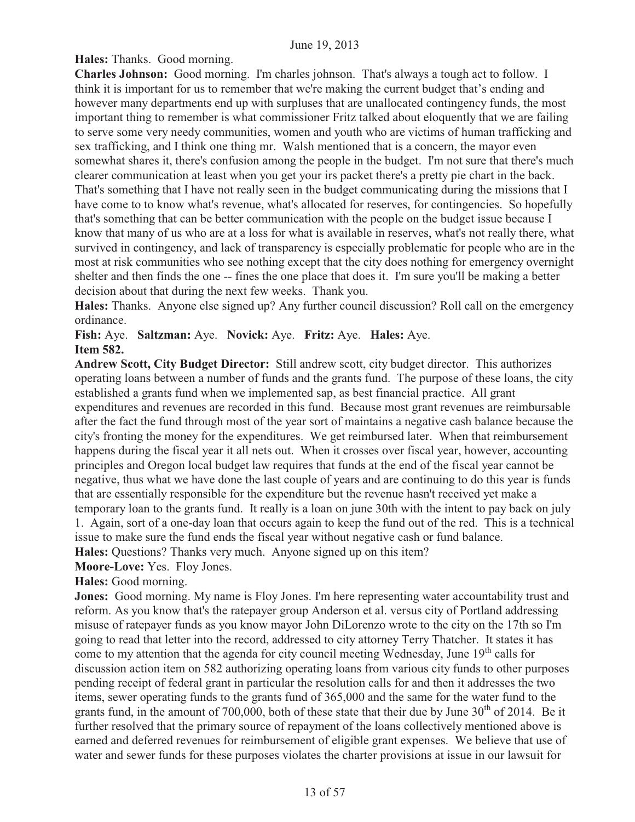**Hales:** Thanks. Good morning.

**Charles Johnson:** Good morning. I'm charles johnson. That's always a tough act to follow. I think it is important for us to remember that we're making the current budget that's ending and however many departments end up with surpluses that are unallocated contingency funds, the most important thing to remember is what commissioner Fritz talked about eloquently that we are failing to serve some very needy communities, women and youth who are victims of human trafficking and sex trafficking, and I think one thing mr. Walsh mentioned that is a concern, the mayor even somewhat shares it, there's confusion among the people in the budget. I'm not sure that there's much clearer communication at least when you get your irs packet there's a pretty pie chart in the back. That's something that I have not really seen in the budget communicating during the missions that I have come to to know what's revenue, what's allocated for reserves, for contingencies. So hopefully that's something that can be better communication with the people on the budget issue because I know that many of us who are at a loss for what is available in reserves, what's not really there, what survived in contingency, and lack of transparency is especially problematic for people who are in the most at risk communities who see nothing except that the city does nothing for emergency overnight shelter and then finds the one -- fines the one place that does it. I'm sure you'll be making a better decision about that during the next few weeks. Thank you.

**Hales:** Thanks. Anyone else signed up? Any further council discussion? Roll call on the emergency ordinance.

**Fish:** Aye. **Saltzman:** Aye. **Novick:** Aye. **Fritz:** Aye. **Hales:** Aye. **Item 582.** 

**Andrew Scott, City Budget Director:** Still andrew scott, city budget director. This authorizes operating loans between a number of funds and the grants fund. The purpose of these loans, the city established a grants fund when we implemented sap, as best financial practice. All grant expenditures and revenues are recorded in this fund. Because most grant revenues are reimbursable after the fact the fund through most of the year sort of maintains a negative cash balance because the city's fronting the money for the expenditures. We get reimbursed later. When that reimbursement happens during the fiscal year it all nets out. When it crosses over fiscal year, however, accounting principles and Oregon local budget law requires that funds at the end of the fiscal year cannot be negative, thus what we have done the last couple of years and are continuing to do this year is funds that are essentially responsible for the expenditure but the revenue hasn't received yet make a temporary loan to the grants fund. It really is a loan on june 30th with the intent to pay back on july 1. Again, sort of a one-day loan that occurs again to keep the fund out of the red. This is a technical issue to make sure the fund ends the fiscal year without negative cash or fund balance.

**Hales:** Questions? Thanks very much. Anyone signed up on this item?

**Moore-Love:** Yes. Floy Jones.

**Hales:** Good morning.

**Jones:** Good morning. My name is Floy Jones. I'm here representing water accountability trust and reform. As you know that's the ratepayer group Anderson et al. versus city of Portland addressing misuse of ratepayer funds as you know mayor John DiLorenzo wrote to the city on the 17th so I'm going to read that letter into the record, addressed to city attorney Terry Thatcher. It states it has come to my attention that the agenda for city council meeting Wednesday, June  $19<sup>th</sup>$  calls for discussion action item on 582 authorizing operating loans from various city funds to other purposes pending receipt of federal grant in particular the resolution calls for and then it addresses the two items, sewer operating funds to the grants fund of 365,000 and the same for the water fund to the grants fund, in the amount of 700,000, both of these state that their due by June  $30<sup>th</sup>$  of 2014. Be it further resolved that the primary source of repayment of the loans collectively mentioned above is earned and deferred revenues for reimbursement of eligible grant expenses. We believe that use of water and sewer funds for these purposes violates the charter provisions at issue in our lawsuit for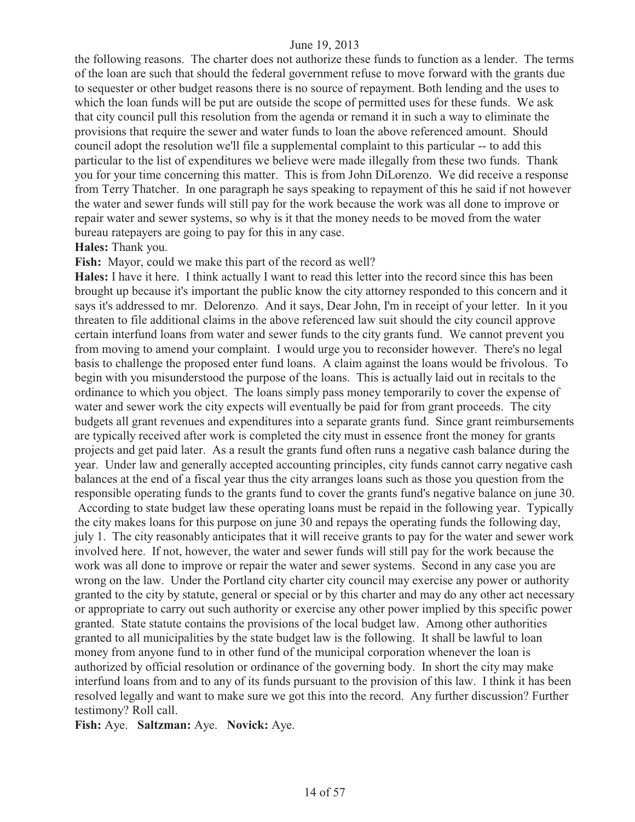the following reasons. The charter does not authorize these funds to function as a lender. The terms of the loan are such that should the federal government refuse to move forward with the grants due to sequester or other budget reasons there is no source of repayment. Both lending and the uses to which the loan funds will be put are outside the scope of permitted uses for these funds. We ask that city council pull this resolution from the agenda or remand it in such a way to eliminate the provisions that require the sewer and water funds to loan the above referenced amount. Should council adopt the resolution we'll file a supplemental complaint to this particular -- to add this particular to the list of expenditures we believe were made illegally from these two funds. Thank you for your time concerning this matter. This is from John DiLorenzo. We did receive a response from Terry Thatcher. In one paragraph he says speaking to repayment of this he said if not however the water and sewer funds will still pay for the work because the work was all done to improve or repair water and sewer systems, so why is it that the money needs to be moved from the water bureau ratepayers are going to pay for this in any case.

#### **Hales:** Thank you.

Fish: Mayor, could we make this part of the record as well?

**Hales:** I have it here. I think actually I want to read this letter into the record since this has been brought up because it's important the public know the city attorney responded to this concern and it says it's addressed to mr. Delorenzo. And it says, Dear John, I'm in receipt of your letter. In it you threaten to file additional claims in the above referenced law suit should the city council approve certain interfund loans from water and sewer funds to the city grants fund. We cannot prevent you from moving to amend your complaint. I would urge you to reconsider however. There's no legal basis to challenge the proposed enter fund loans. A claim against the loans would be frivolous. To begin with you misunderstood the purpose of the loans. This is actually laid out in recitals to the ordinance to which you object. The loans simply pass money temporarily to cover the expense of water and sewer work the city expects will eventually be paid for from grant proceeds. The city budgets all grant revenues and expenditures into a separate grants fund. Since grant reimbursements are typically received after work is completed the city must in essence front the money for grants projects and get paid later. As a result the grants fund often runs a negative cash balance during the year. Under law and generally accepted accounting principles, city funds cannot carry negative cash balances at the end of a fiscal year thus the city arranges loans such as those you question from the responsible operating funds to the grants fund to cover the grants fund's negative balance on june 30.

 According to state budget law these operating loans must be repaid in the following year. Typically the city makes loans for this purpose on june 30 and repays the operating funds the following day, july 1. The city reasonably anticipates that it will receive grants to pay for the water and sewer work involved here. If not, however, the water and sewer funds will still pay for the work because the work was all done to improve or repair the water and sewer systems. Second in any case you are wrong on the law. Under the Portland city charter city council may exercise any power or authority granted to the city by statute, general or special or by this charter and may do any other act necessary or appropriate to carry out such authority or exercise any other power implied by this specific power granted. State statute contains the provisions of the local budget law. Among other authorities granted to all municipalities by the state budget law is the following. It shall be lawful to loan money from anyone fund to in other fund of the municipal corporation whenever the loan is authorized by official resolution or ordinance of the governing body. In short the city may make interfund loans from and to any of its funds pursuant to the provision of this law. I think it has been resolved legally and want to make sure we got this into the record. Any further discussion? Further testimony? Roll call.

**Fish:** Aye. **Saltzman:** Aye. **Novick:** Aye.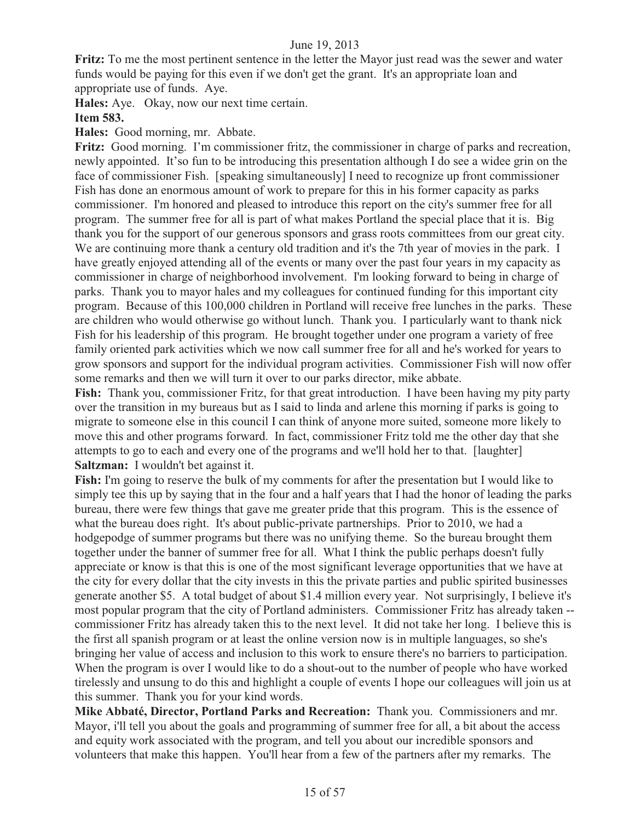**Fritz:** To me the most pertinent sentence in the letter the Mayor just read was the sewer and water funds would be paying for this even if we don't get the grant. It's an appropriate loan and appropriate use of funds. Aye.

**Hales:** Aye. Okay, now our next time certain.

### **Item 583.**

**Hales:** Good morning, mr. Abbate.

**Fritz:** Good morning. I'm commissioner fritz, the commissioner in charge of parks and recreation, newly appointed. It'so fun to be introducing this presentation although I do see a widee grin on the face of commissioner Fish. [speaking simultaneously] I need to recognize up front commissioner Fish has done an enormous amount of work to prepare for this in his former capacity as parks commissioner. I'm honored and pleased to introduce this report on the city's summer free for all program. The summer free for all is part of what makes Portland the special place that it is. Big thank you for the support of our generous sponsors and grass roots committees from our great city. We are continuing more thank a century old tradition and it's the 7th year of movies in the park. I have greatly enjoyed attending all of the events or many over the past four years in my capacity as commissioner in charge of neighborhood involvement. I'm looking forward to being in charge of parks. Thank you to mayor hales and my colleagues for continued funding for this important city program. Because of this 100,000 children in Portland will receive free lunches in the parks. These are children who would otherwise go without lunch. Thank you. I particularly want to thank nick Fish for his leadership of this program. He brought together under one program a variety of free family oriented park activities which we now call summer free for all and he's worked for years to grow sponsors and support for the individual program activities. Commissioner Fish will now offer some remarks and then we will turn it over to our parks director, mike abbate.

**Fish:** Thank you, commissioner Fritz, for that great introduction. I have been having my pity party over the transition in my bureaus but as I said to linda and arlene this morning if parks is going to migrate to someone else in this council I can think of anyone more suited, someone more likely to move this and other programs forward. In fact, commissioner Fritz told me the other day that she attempts to go to each and every one of the programs and we'll hold her to that. [laughter] **Saltzman:** I wouldn't bet against it.

**Fish:** I'm going to reserve the bulk of my comments for after the presentation but I would like to simply tee this up by saying that in the four and a half years that I had the honor of leading the parks bureau, there were few things that gave me greater pride that this program. This is the essence of what the bureau does right. It's about public-private partnerships. Prior to 2010, we had a hodgepodge of summer programs but there was no unifying theme. So the bureau brought them together under the banner of summer free for all. What I think the public perhaps doesn't fully appreciate or know is that this is one of the most significant leverage opportunities that we have at the city for every dollar that the city invests in this the private parties and public spirited businesses generate another \$5. A total budget of about \$1.4 million every year. Not surprisingly, I believe it's most popular program that the city of Portland administers. Commissioner Fritz has already taken - commissioner Fritz has already taken this to the next level. It did not take her long. I believe this is the first all spanish program or at least the online version now is in multiple languages, so she's bringing her value of access and inclusion to this work to ensure there's no barriers to participation. When the program is over I would like to do a shout-out to the number of people who have worked tirelessly and unsung to do this and highlight a couple of events I hope our colleagues will join us at this summer. Thank you for your kind words.

**Mike Abbaté, Director, Portland Parks and Recreation:** Thank you. Commissioners and mr. Mayor, i'll tell you about the goals and programming of summer free for all, a bit about the access and equity work associated with the program, and tell you about our incredible sponsors and volunteers that make this happen. You'll hear from a few of the partners after my remarks. The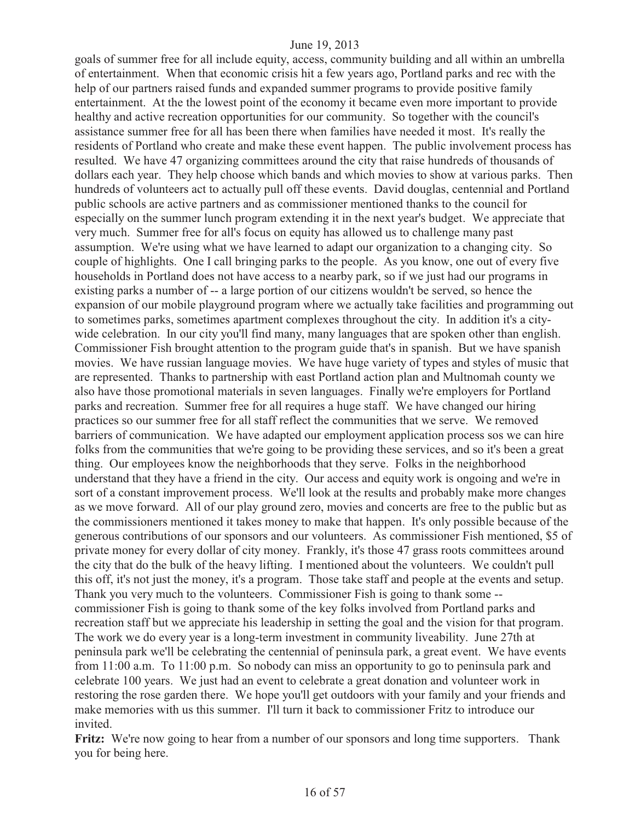goals of summer free for all include equity, access, community building and all within an umbrella of entertainment. When that economic crisis hit a few years ago, Portland parks and rec with the help of our partners raised funds and expanded summer programs to provide positive family entertainment. At the the lowest point of the economy it became even more important to provide healthy and active recreation opportunities for our community. So together with the council's assistance summer free for all has been there when families have needed it most. It's really the residents of Portland who create and make these event happen. The public involvement process has resulted. We have 47 organizing committees around the city that raise hundreds of thousands of dollars each year. They help choose which bands and which movies to show at various parks. Then hundreds of volunteers act to actually pull off these events. David douglas, centennial and Portland public schools are active partners and as commissioner mentioned thanks to the council for especially on the summer lunch program extending it in the next year's budget. We appreciate that very much. Summer free for all's focus on equity has allowed us to challenge many past assumption. We're using what we have learned to adapt our organization to a changing city. So couple of highlights. One I call bringing parks to the people. As you know, one out of every five households in Portland does not have access to a nearby park, so if we just had our programs in existing parks a number of -- a large portion of our citizens wouldn't be served, so hence the expansion of our mobile playground program where we actually take facilities and programming out to sometimes parks, sometimes apartment complexes throughout the city. In addition it's a citywide celebration. In our city you'll find many, many languages that are spoken other than english. Commissioner Fish brought attention to the program guide that's in spanish. But we have spanish movies. We have russian language movies. We have huge variety of types and styles of music that are represented. Thanks to partnership with east Portland action plan and Multnomah county we also have those promotional materials in seven languages. Finally we're employers for Portland parks and recreation. Summer free for all requires a huge staff. We have changed our hiring practices so our summer free for all staff reflect the communities that we serve. We removed barriers of communication. We have adapted our employment application process sos we can hire folks from the communities that we're going to be providing these services, and so it's been a great thing. Our employees know the neighborhoods that they serve. Folks in the neighborhood understand that they have a friend in the city. Our access and equity work is ongoing and we're in sort of a constant improvement process. We'll look at the results and probably make more changes as we move forward. All of our play ground zero, movies and concerts are free to the public but as the commissioners mentioned it takes money to make that happen. It's only possible because of the generous contributions of our sponsors and our volunteers. As commissioner Fish mentioned, \$5 of private money for every dollar of city money. Frankly, it's those 47 grass roots committees around the city that do the bulk of the heavy lifting. I mentioned about the volunteers. We couldn't pull this off, it's not just the money, it's a program. Those take staff and people at the events and setup. Thank you very much to the volunteers. Commissioner Fish is going to thank some - commissioner Fish is going to thank some of the key folks involved from Portland parks and recreation staff but we appreciate his leadership in setting the goal and the vision for that program. The work we do every year is a long-term investment in community liveability. June 27th at peninsula park we'll be celebrating the centennial of peninsula park, a great event. We have events from 11:00 a.m. To 11:00 p.m. So nobody can miss an opportunity to go to peninsula park and celebrate 100 years. We just had an event to celebrate a great donation and volunteer work in restoring the rose garden there. We hope you'll get outdoors with your family and your friends and make memories with us this summer. I'll turn it back to commissioner Fritz to introduce our invited.

**Fritz:** We're now going to hear from a number of our sponsors and long time supporters. Thank you for being here.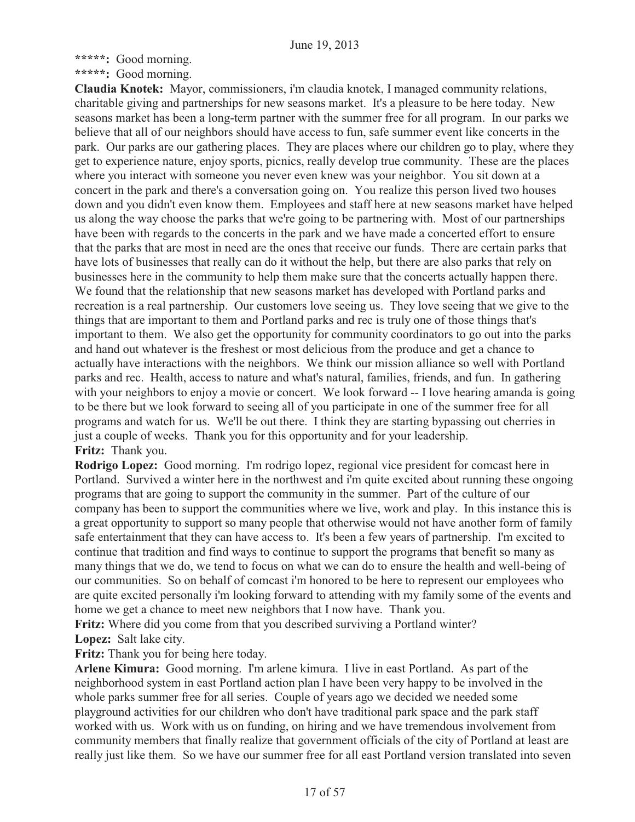**\*\*\*\*\*:** Good morning.

**\*\*\*\*\*:** Good morning.

**Claudia Knotek:** Mayor, commissioners, i'm claudia knotek, I managed community relations, charitable giving and partnerships for new seasons market. It's a pleasure to be here today. New seasons market has been a long-term partner with the summer free for all program. In our parks we believe that all of our neighbors should have access to fun, safe summer event like concerts in the park. Our parks are our gathering places. They are places where our children go to play, where they get to experience nature, enjoy sports, picnics, really develop true community. These are the places where you interact with someone you never even knew was your neighbor. You sit down at a concert in the park and there's a conversation going on. You realize this person lived two houses down and you didn't even know them. Employees and staff here at new seasons market have helped us along the way choose the parks that we're going to be partnering with. Most of our partnerships have been with regards to the concerts in the park and we have made a concerted effort to ensure that the parks that are most in need are the ones that receive our funds. There are certain parks that have lots of businesses that really can do it without the help, but there are also parks that rely on businesses here in the community to help them make sure that the concerts actually happen there. We found that the relationship that new seasons market has developed with Portland parks and recreation is a real partnership. Our customers love seeing us. They love seeing that we give to the things that are important to them and Portland parks and rec is truly one of those things that's important to them. We also get the opportunity for community coordinators to go out into the parks and hand out whatever is the freshest or most delicious from the produce and get a chance to actually have interactions with the neighbors. We think our mission alliance so well with Portland parks and rec. Health, access to nature and what's natural, families, friends, and fun. In gathering with your neighbors to enjoy a movie or concert. We look forward -- I love hearing amanda is going to be there but we look forward to seeing all of you participate in one of the summer free for all programs and watch for us. We'll be out there. I think they are starting bypassing out cherries in just a couple of weeks. Thank you for this opportunity and for your leadership. **Fritz:** Thank you.

**Rodrigo Lopez:** Good morning. I'm rodrigo lopez, regional vice president for comcast here in Portland. Survived a winter here in the northwest and i'm quite excited about running these ongoing programs that are going to support the community in the summer. Part of the culture of our company has been to support the communities where we live, work and play. In this instance this is a great opportunity to support so many people that otherwise would not have another form of family safe entertainment that they can have access to. It's been a few years of partnership. I'm excited to continue that tradition and find ways to continue to support the programs that benefit so many as many things that we do, we tend to focus on what we can do to ensure the health and well-being of our communities. So on behalf of comcast i'm honored to be here to represent our employees who are quite excited personally i'm looking forward to attending with my family some of the events and home we get a chance to meet new neighbors that I now have. Thank you.

**Fritz:** Where did you come from that you described surviving a Portland winter? **Lopez:** Salt lake city.

**Fritz:** Thank you for being here today.

**Arlene Kimura:** Good morning. I'm arlene kimura. I live in east Portland. As part of the neighborhood system in east Portland action plan I have been very happy to be involved in the whole parks summer free for all series. Couple of years ago we decided we needed some playground activities for our children who don't have traditional park space and the park staff worked with us. Work with us on funding, on hiring and we have tremendous involvement from community members that finally realize that government officials of the city of Portland at least are really just like them. So we have our summer free for all east Portland version translated into seven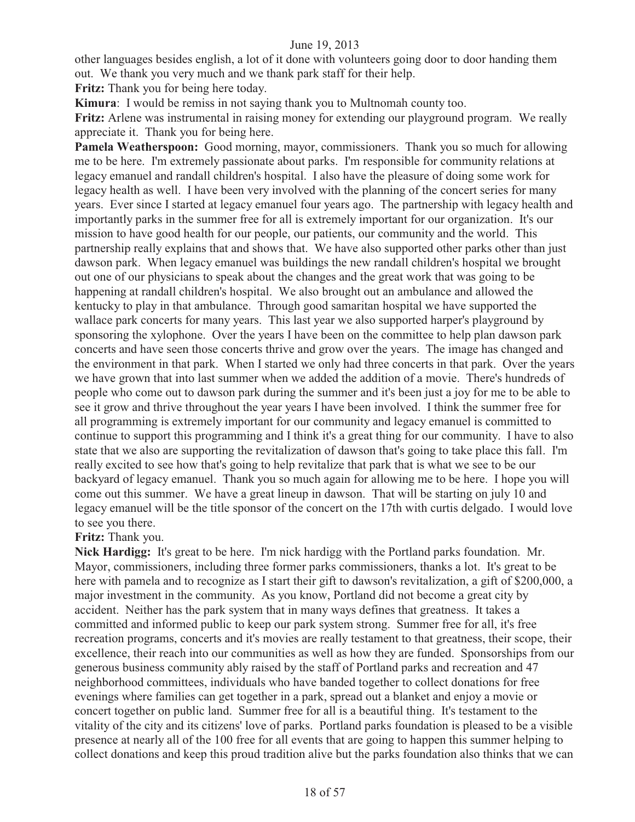other languages besides english, a lot of it done with volunteers going door to door handing them out. We thank you very much and we thank park staff for their help.

**Fritz:** Thank you for being here today.

**Kimura**: I would be remiss in not saying thank you to Multnomah county too.

**Fritz:** Arlene was instrumental in raising money for extending our playground program. We really appreciate it. Thank you for being here.

**Pamela Weatherspoon:** Good morning, mayor, commissioners. Thank you so much for allowing me to be here. I'm extremely passionate about parks. I'm responsible for community relations at legacy emanuel and randall children's hospital. I also have the pleasure of doing some work for legacy health as well. I have been very involved with the planning of the concert series for many years. Ever since I started at legacy emanuel four years ago. The partnership with legacy health and importantly parks in the summer free for all is extremely important for our organization. It's our mission to have good health for our people, our patients, our community and the world. This partnership really explains that and shows that. We have also supported other parks other than just dawson park. When legacy emanuel was buildings the new randall children's hospital we brought out one of our physicians to speak about the changes and the great work that was going to be happening at randall children's hospital. We also brought out an ambulance and allowed the kentucky to play in that ambulance. Through good samaritan hospital we have supported the wallace park concerts for many years. This last year we also supported harper's playground by sponsoring the xylophone. Over the years I have been on the committee to help plan dawson park concerts and have seen those concerts thrive and grow over the years. The image has changed and the environment in that park. When I started we only had three concerts in that park. Over the years we have grown that into last summer when we added the addition of a movie. There's hundreds of people who come out to dawson park during the summer and it's been just a joy for me to be able to see it grow and thrive throughout the year years I have been involved. I think the summer free for all programming is extremely important for our community and legacy emanuel is committed to continue to support this programming and I think it's a great thing for our community. I have to also state that we also are supporting the revitalization of dawson that's going to take place this fall. I'm really excited to see how that's going to help revitalize that park that is what we see to be our backyard of legacy emanuel. Thank you so much again for allowing me to be here. I hope you will come out this summer. We have a great lineup in dawson. That will be starting on july 10 and legacy emanuel will be the title sponsor of the concert on the 17th with curtis delgado. I would love to see you there.

**Fritz:** Thank you.

**Nick Hardigg:** It's great to be here. I'm nick hardigg with the Portland parks foundation. Mr. Mayor, commissioners, including three former parks commissioners, thanks a lot. It's great to be here with pamela and to recognize as I start their gift to dawson's revitalization, a gift of \$200,000, a major investment in the community. As you know, Portland did not become a great city by accident. Neither has the park system that in many ways defines that greatness. It takes a committed and informed public to keep our park system strong. Summer free for all, it's free recreation programs, concerts and it's movies are really testament to that greatness, their scope, their excellence, their reach into our communities as well as how they are funded. Sponsorships from our generous business community ably raised by the staff of Portland parks and recreation and 47 neighborhood committees, individuals who have banded together to collect donations for free evenings where families can get together in a park, spread out a blanket and enjoy a movie or concert together on public land. Summer free for all is a beautiful thing. It's testament to the vitality of the city and its citizens' love of parks. Portland parks foundation is pleased to be a visible presence at nearly all of the 100 free for all events that are going to happen this summer helping to collect donations and keep this proud tradition alive but the parks foundation also thinks that we can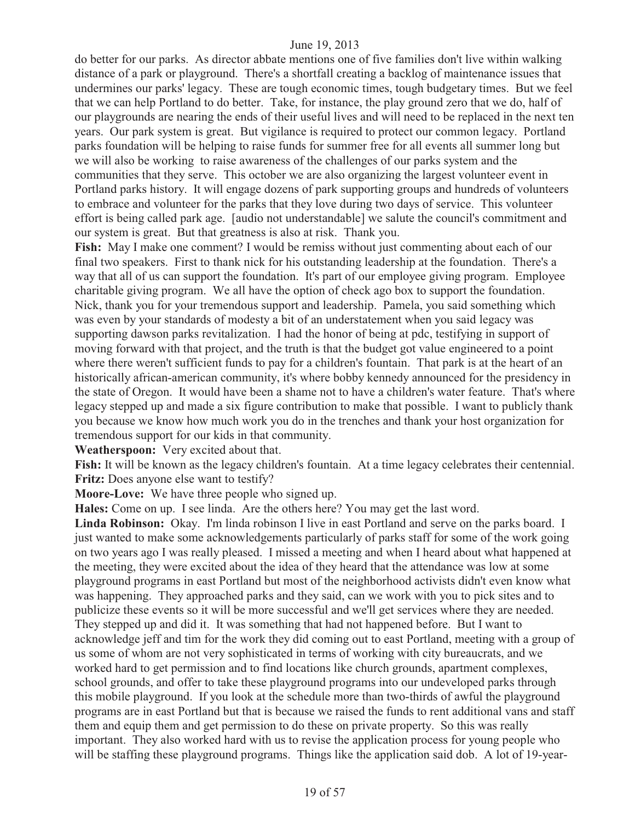do better for our parks. As director abbate mentions one of five families don't live within walking distance of a park or playground. There's a shortfall creating a backlog of maintenance issues that undermines our parks' legacy. These are tough economic times, tough budgetary times. But we feel that we can help Portland to do better. Take, for instance, the play ground zero that we do, half of our playgrounds are nearing the ends of their useful lives and will need to be replaced in the next ten years. Our park system is great. But vigilance is required to protect our common legacy. Portland parks foundation will be helping to raise funds for summer free for all events all summer long but we will also be working to raise awareness of the challenges of our parks system and the communities that they serve. This october we are also organizing the largest volunteer event in Portland parks history. It will engage dozens of park supporting groups and hundreds of volunteers to embrace and volunteer for the parks that they love during two days of service. This volunteer effort is being called park age. [audio not understandable] we salute the council's commitment and our system is great. But that greatness is also at risk. Thank you.

Fish: May I make one comment? I would be remiss without just commenting about each of our final two speakers. First to thank nick for his outstanding leadership at the foundation. There's a way that all of us can support the foundation. It's part of our employee giving program. Employee charitable giving program. We all have the option of check ago box to support the foundation. Nick, thank you for your tremendous support and leadership. Pamela, you said something which was even by your standards of modesty a bit of an understatement when you said legacy was supporting dawson parks revitalization. I had the honor of being at pdc, testifying in support of moving forward with that project, and the truth is that the budget got value engineered to a point where there weren't sufficient funds to pay for a children's fountain. That park is at the heart of an historically african-american community, it's where bobby kennedy announced for the presidency in the state of Oregon. It would have been a shame not to have a children's water feature. That's where legacy stepped up and made a six figure contribution to make that possible. I want to publicly thank you because we know how much work you do in the trenches and thank your host organization for tremendous support for our kids in that community.

**Weatherspoon:** Very excited about that.

Fish: It will be known as the legacy children's fountain. At a time legacy celebrates their centennial. **Fritz:** Does anyone else want to testify?

**Moore-Love:** We have three people who signed up.

**Hales:** Come on up. I see linda. Are the others here? You may get the last word.

**Linda Robinson:** Okay. I'm linda robinson I live in east Portland and serve on the parks board. I just wanted to make some acknowledgements particularly of parks staff for some of the work going on two years ago I was really pleased. I missed a meeting and when I heard about what happened at the meeting, they were excited about the idea of they heard that the attendance was low at some playground programs in east Portland but most of the neighborhood activists didn't even know what was happening. They approached parks and they said, can we work with you to pick sites and to publicize these events so it will be more successful and we'll get services where they are needed. They stepped up and did it. It was something that had not happened before. But I want to acknowledge jeff and tim for the work they did coming out to east Portland, meeting with a group of us some of whom are not very sophisticated in terms of working with city bureaucrats, and we worked hard to get permission and to find locations like church grounds, apartment complexes, school grounds, and offer to take these playground programs into our undeveloped parks through this mobile playground. If you look at the schedule more than two-thirds of awful the playground programs are in east Portland but that is because we raised the funds to rent additional vans and staff them and equip them and get permission to do these on private property. So this was really important. They also worked hard with us to revise the application process for young people who will be staffing these playground programs. Things like the application said dob. A lot of 19-year-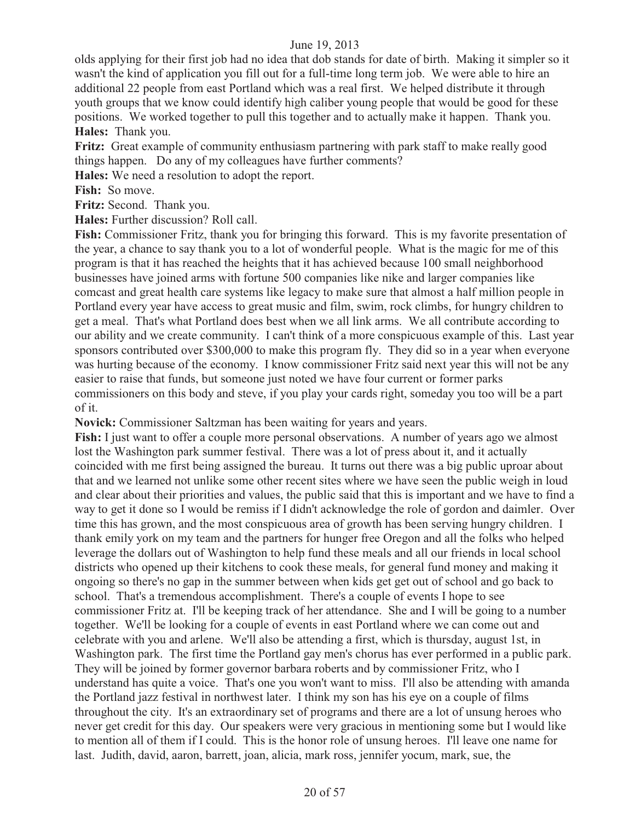olds applying for their first job had no idea that dob stands for date of birth. Making it simpler so it wasn't the kind of application you fill out for a full-time long term job. We were able to hire an additional 22 people from east Portland which was a real first. We helped distribute it through youth groups that we know could identify high caliber young people that would be good for these positions. We worked together to pull this together and to actually make it happen. Thank you. **Hales:** Thank you.

**Fritz:** Great example of community enthusiasm partnering with park staff to make really good things happen. Do any of my colleagues have further comments?

**Hales:** We need a resolution to adopt the report.

**Fish:** So move.

**Fritz:** Second. Thank you.

**Hales:** Further discussion? Roll call.

**Fish:** Commissioner Fritz, thank you for bringing this forward. This is my favorite presentation of the year, a chance to say thank you to a lot of wonderful people. What is the magic for me of this program is that it has reached the heights that it has achieved because 100 small neighborhood businesses have joined arms with fortune 500 companies like nike and larger companies like comcast and great health care systems like legacy to make sure that almost a half million people in Portland every year have access to great music and film, swim, rock climbs, for hungry children to get a meal. That's what Portland does best when we all link arms. We all contribute according to our ability and we create community. I can't think of a more conspicuous example of this. Last year sponsors contributed over \$300,000 to make this program fly. They did so in a year when everyone was hurting because of the economy. I know commissioner Fritz said next year this will not be any easier to raise that funds, but someone just noted we have four current or former parks commissioners on this body and steve, if you play your cards right, someday you too will be a part of it.

**Novick:** Commissioner Saltzman has been waiting for years and years.

**Fish:** I just want to offer a couple more personal observations. A number of years ago we almost lost the Washington park summer festival. There was a lot of press about it, and it actually coincided with me first being assigned the bureau. It turns out there was a big public uproar about that and we learned not unlike some other recent sites where we have seen the public weigh in loud and clear about their priorities and values, the public said that this is important and we have to find a way to get it done so I would be remiss if I didn't acknowledge the role of gordon and daimler. Over time this has grown, and the most conspicuous area of growth has been serving hungry children. I thank emily york on my team and the partners for hunger free Oregon and all the folks who helped leverage the dollars out of Washington to help fund these meals and all our friends in local school districts who opened up their kitchens to cook these meals, for general fund money and making it ongoing so there's no gap in the summer between when kids get get out of school and go back to school. That's a tremendous accomplishment. There's a couple of events I hope to see commissioner Fritz at. I'll be keeping track of her attendance. She and I will be going to a number together. We'll be looking for a couple of events in east Portland where we can come out and celebrate with you and arlene. We'll also be attending a first, which is thursday, august 1st, in Washington park. The first time the Portland gay men's chorus has ever performed in a public park. They will be joined by former governor barbara roberts and by commissioner Fritz, who I understand has quite a voice. That's one you won't want to miss. I'll also be attending with amanda the Portland jazz festival in northwest later. I think my son has his eye on a couple of films throughout the city. It's an extraordinary set of programs and there are a lot of unsung heroes who never get credit for this day. Our speakers were very gracious in mentioning some but I would like to mention all of them if I could. This is the honor role of unsung heroes. I'll leave one name for last. Judith, david, aaron, barrett, joan, alicia, mark ross, jennifer yocum, mark, sue, the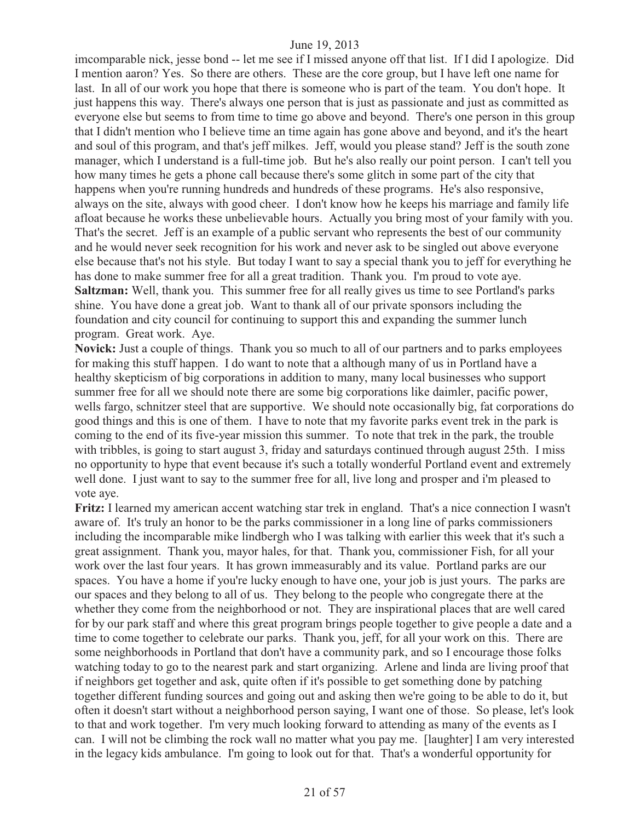imcomparable nick, jesse bond -- let me see if I missed anyone off that list. If I did I apologize. Did I mention aaron? Yes. So there are others. These are the core group, but I have left one name for last. In all of our work you hope that there is someone who is part of the team. You don't hope. It just happens this way. There's always one person that is just as passionate and just as committed as everyone else but seems to from time to time go above and beyond. There's one person in this group that I didn't mention who I believe time an time again has gone above and beyond, and it's the heart and soul of this program, and that's jeff milkes. Jeff, would you please stand? Jeff is the south zone manager, which I understand is a full-time job. But he's also really our point person. I can't tell you how many times he gets a phone call because there's some glitch in some part of the city that happens when you're running hundreds and hundreds of these programs. He's also responsive, always on the site, always with good cheer. I don't know how he keeps his marriage and family life afloat because he works these unbelievable hours. Actually you bring most of your family with you. That's the secret. Jeff is an example of a public servant who represents the best of our community and he would never seek recognition for his work and never ask to be singled out above everyone else because that's not his style. But today I want to say a special thank you to jeff for everything he has done to make summer free for all a great tradition. Thank you. I'm proud to vote aye. **Saltzman:** Well, thank you. This summer free for all really gives us time to see Portland's parks shine. You have done a great job. Want to thank all of our private sponsors including the foundation and city council for continuing to support this and expanding the summer lunch program. Great work. Aye.

**Novick:** Just a couple of things. Thank you so much to all of our partners and to parks employees for making this stuff happen. I do want to note that a although many of us in Portland have a healthy skepticism of big corporations in addition to many, many local businesses who support summer free for all we should note there are some big corporations like daimler, pacific power, wells fargo, schnitzer steel that are supportive. We should note occasionally big, fat corporations do good things and this is one of them. I have to note that my favorite parks event trek in the park is coming to the end of its five-year mission this summer. To note that trek in the park, the trouble with tribbles, is going to start august 3, friday and saturdays continued through august 25th. I miss no opportunity to hype that event because it's such a totally wonderful Portland event and extremely well done. I just want to say to the summer free for all, live long and prosper and i'm pleased to vote aye.

**Fritz:** I learned my american accent watching star trek in england. That's a nice connection I wasn't aware of. It's truly an honor to be the parks commissioner in a long line of parks commissioners including the incomparable mike lindbergh who I was talking with earlier this week that it's such a great assignment. Thank you, mayor hales, for that. Thank you, commissioner Fish, for all your work over the last four years. It has grown immeasurably and its value. Portland parks are our spaces. You have a home if you're lucky enough to have one, your job is just yours. The parks are our spaces and they belong to all of us. They belong to the people who congregate there at the whether they come from the neighborhood or not. They are inspirational places that are well cared for by our park staff and where this great program brings people together to give people a date and a time to come together to celebrate our parks. Thank you, jeff, for all your work on this. There are some neighborhoods in Portland that don't have a community park, and so I encourage those folks watching today to go to the nearest park and start organizing. Arlene and linda are living proof that if neighbors get together and ask, quite often if it's possible to get something done by patching together different funding sources and going out and asking then we're going to be able to do it, but often it doesn't start without a neighborhood person saying, I want one of those. So please, let's look to that and work together. I'm very much looking forward to attending as many of the events as I can. I will not be climbing the rock wall no matter what you pay me. [laughter] I am very interested in the legacy kids ambulance. I'm going to look out for that. That's a wonderful opportunity for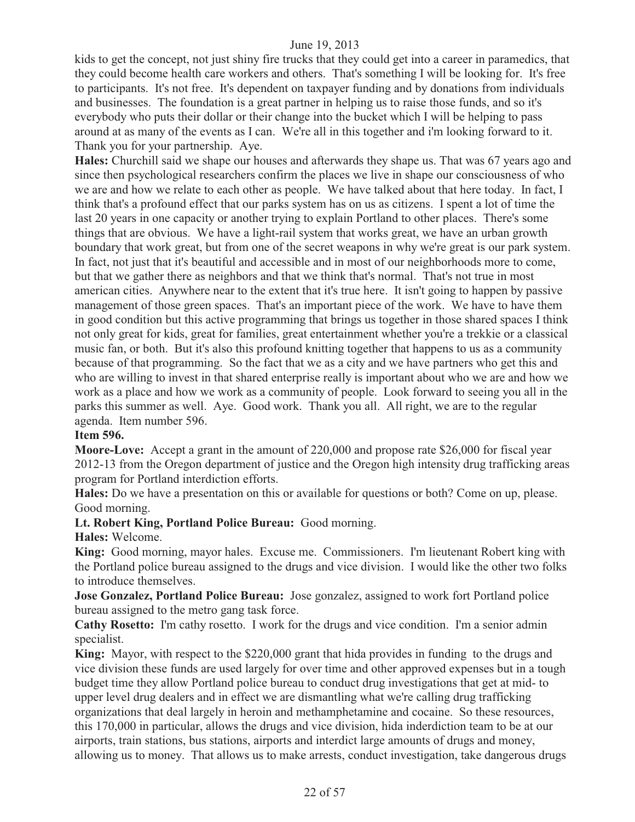kids to get the concept, not just shiny fire trucks that they could get into a career in paramedics, that they could become health care workers and others. That's something I will be looking for. It's free to participants. It's not free. It's dependent on taxpayer funding and by donations from individuals and businesses. The foundation is a great partner in helping us to raise those funds, and so it's everybody who puts their dollar or their change into the bucket which I will be helping to pass around at as many of the events as I can. We're all in this together and i'm looking forward to it. Thank you for your partnership. Aye.

**Hales:** Churchill said we shape our houses and afterwards they shape us. That was 67 years ago and since then psychological researchers confirm the places we live in shape our consciousness of who we are and how we relate to each other as people. We have talked about that here today. In fact, I think that's a profound effect that our parks system has on us as citizens. I spent a lot of time the last 20 years in one capacity or another trying to explain Portland to other places. There's some things that are obvious. We have a light-rail system that works great, we have an urban growth boundary that work great, but from one of the secret weapons in why we're great is our park system. In fact, not just that it's beautiful and accessible and in most of our neighborhoods more to come, but that we gather there as neighbors and that we think that's normal. That's not true in most american cities. Anywhere near to the extent that it's true here. It isn't going to happen by passive management of those green spaces. That's an important piece of the work. We have to have them in good condition but this active programming that brings us together in those shared spaces I think not only great for kids, great for families, great entertainment whether you're a trekkie or a classical music fan, or both. But it's also this profound knitting together that happens to us as a community because of that programming. So the fact that we as a city and we have partners who get this and who are willing to invest in that shared enterprise really is important about who we are and how we work as a place and how we work as a community of people. Look forward to seeing you all in the parks this summer as well. Aye. Good work. Thank you all. All right, we are to the regular agenda. Item number 596.

#### **Item 596.**

**Moore-Love:** Accept a grant in the amount of 220,000 and propose rate \$26,000 for fiscal year 2012-13 from the Oregon department of justice and the Oregon high intensity drug trafficking areas program for Portland interdiction efforts.

**Hales:** Do we have a presentation on this or available for questions or both? Come on up, please. Good morning.

**Lt. Robert King, Portland Police Bureau:** Good morning.

**Hales:** Welcome.

**King:** Good morning, mayor hales. Excuse me. Commissioners. I'm lieutenant Robert king with the Portland police bureau assigned to the drugs and vice division. I would like the other two folks to introduce themselves.

**Jose Gonzalez, Portland Police Bureau:** Jose gonzalez, assigned to work fort Portland police bureau assigned to the metro gang task force.

**Cathy Rosetto:** I'm cathy rosetto. I work for the drugs and vice condition. I'm a senior admin specialist.

**King:** Mayor, with respect to the \$220,000 grant that hida provides in funding to the drugs and vice division these funds are used largely for over time and other approved expenses but in a tough budget time they allow Portland police bureau to conduct drug investigations that get at mid- to upper level drug dealers and in effect we are dismantling what we're calling drug trafficking organizations that deal largely in heroin and methamphetamine and cocaine. So these resources, this 170,000 in particular, allows the drugs and vice division, hida inderdiction team to be at our airports, train stations, bus stations, airports and interdict large amounts of drugs and money, allowing us to money. That allows us to make arrests, conduct investigation, take dangerous drugs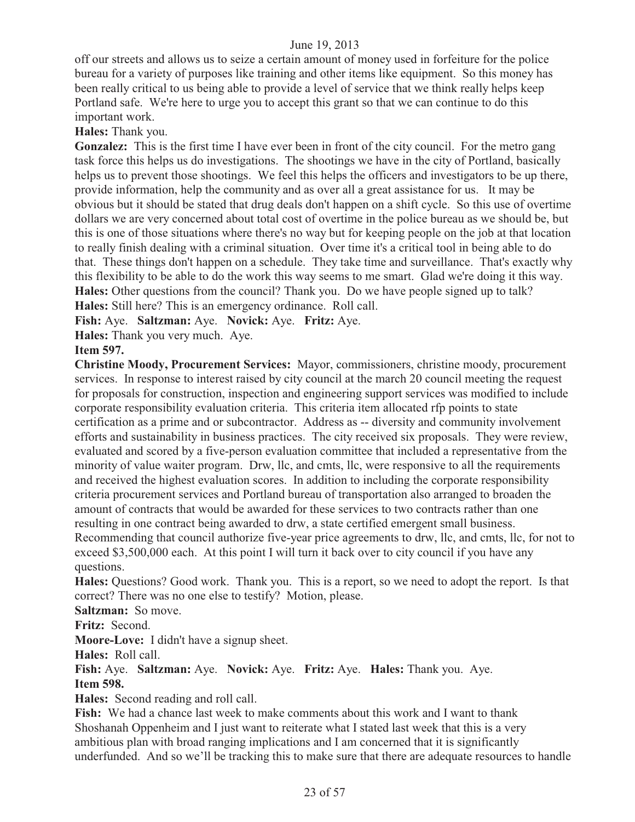off our streets and allows us to seize a certain amount of money used in forfeiture for the police bureau for a variety of purposes like training and other items like equipment. So this money has been really critical to us being able to provide a level of service that we think really helps keep Portland safe. We're here to urge you to accept this grant so that we can continue to do this important work.

**Hales:** Thank you.

**Gonzalez:** This is the first time I have ever been in front of the city council. For the metro gang task force this helps us do investigations. The shootings we have in the city of Portland, basically helps us to prevent those shootings. We feel this helps the officers and investigators to be up there, provide information, help the community and as over all a great assistance for us. It may be obvious but it should be stated that drug deals don't happen on a shift cycle. So this use of overtime dollars we are very concerned about total cost of overtime in the police bureau as we should be, but this is one of those situations where there's no way but for keeping people on the job at that location to really finish dealing with a criminal situation. Over time it's a critical tool in being able to do that. These things don't happen on a schedule. They take time and surveillance. That's exactly why this flexibility to be able to do the work this way seems to me smart. Glad we're doing it this way. **Hales:** Other questions from the council? Thank you. Do we have people signed up to talk? **Hales:** Still here? This is an emergency ordinance. Roll call.

**Fish:** Aye. **Saltzman:** Aye. **Novick:** Aye. **Fritz:** Aye.

**Hales:** Thank you very much. Aye.

### **Item 597.**

**Christine Moody, Procurement Services:** Mayor, commissioners, christine moody, procurement services. In response to interest raised by city council at the march 20 council meeting the request for proposals for construction, inspection and engineering support services was modified to include corporate responsibility evaluation criteria. This criteria item allocated rfp points to state certification as a prime and or subcontractor. Address as -- diversity and community involvement efforts and sustainability in business practices. The city received six proposals. They were review, evaluated and scored by a five-person evaluation committee that included a representative from the minority of value waiter program. Drw, llc, and cmts, llc, were responsive to all the requirements and received the highest evaluation scores. In addition to including the corporate responsibility criteria procurement services and Portland bureau of transportation also arranged to broaden the amount of contracts that would be awarded for these services to two contracts rather than one resulting in one contract being awarded to drw, a state certified emergent small business. Recommending that council authorize five-year price agreements to drw, llc, and cmts, llc, for not to exceed \$3,500,000 each. At this point I will turn it back over to city council if you have any questions.

**Hales:** Questions? Good work. Thank you. This is a report, so we need to adopt the report. Is that correct? There was no one else to testify?Motion, please.

**Saltzman:** So move.

**Fritz:** Second.

**Moore-Love:** I didn't have a signup sheet.

**Hales:** Roll call.

**Fish:** Aye. **Saltzman:** Aye. **Novick:** Aye. **Fritz:** Aye. **Hales:** Thank you. Aye. **Item 598.** 

**Hales:** Second reading and roll call.

**Fish:** We had a chance last week to make comments about this work and I want to thank Shoshanah Oppenheim and I just want to reiterate what I stated last week that this is a very ambitious plan with broad ranging implications and I am concerned that it is significantly underfunded. And so we'll be tracking this to make sure that there are adequate resources to handle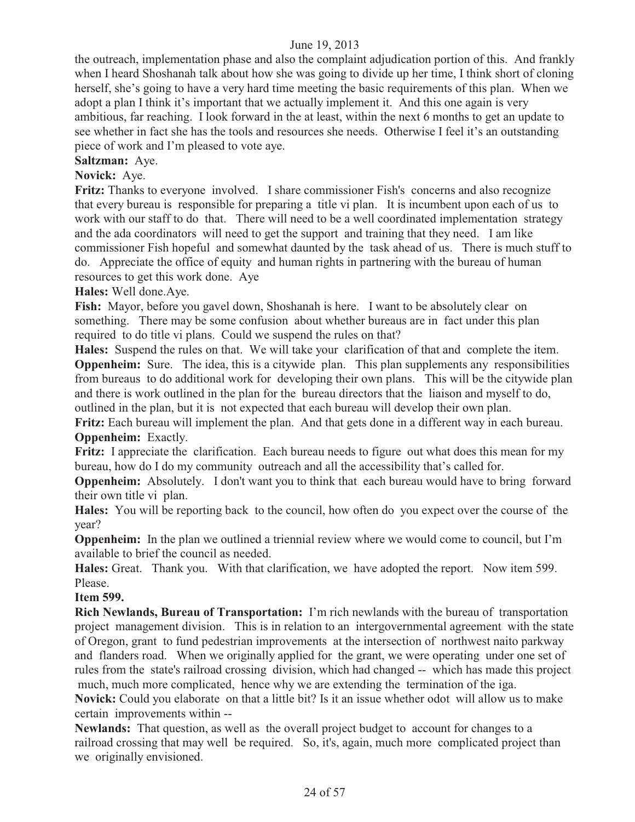the outreach, implementation phase and also the complaint adjudication portion of this. And frankly when I heard Shoshanah talk about how she was going to divide up her time, I think short of cloning herself, she's going to have a very hard time meeting the basic requirements of this plan. When we adopt a plan I think it's important that we actually implement it. And this one again is very ambitious, far reaching. I look forward in the at least, within the next 6 months to get an update to see whether in fact she has the tools and resources she needs. Otherwise I feel it's an outstanding piece of work and I'm pleased to vote aye.

# **Saltzman:** Aye.

#### **Novick:** Aye.

**Fritz:** Thanks to everyone involved. I share commissioner Fish's concerns and also recognize that every bureau is responsible for preparing a title vi plan. It is incumbent upon each of us to work with our staff to do that. There will need to be a well coordinated implementation strategy and the ada coordinators will need to get the support and training that they need. I am like commissioner Fish hopeful and somewhat daunted by the task ahead of us. There is much stuff to do. Appreciate the office of equity and human rights in partnering with the bureau of human resources to get this work done. Aye

### **Hales:** Well done.Aye.

**Fish:** Mayor, before you gavel down, Shoshanah is here. I want to be absolutely clear on something. There may be some confusion about whether bureaus are in fact under this plan required to do title vi plans. Could we suspend the rules on that?

**Hales:** Suspend the rules on that. We will take your clarification of that and complete the item. **Oppenheim:** Sure. The idea, this is a citywide plan. This plan supplements any responsibilities from bureaus to do additional work for developing their own plans. This will be the citywide plan and there is work outlined in the plan for the bureau directors that the liaison and myself to do, outlined in the plan, but it is not expected that each bureau will develop their own plan.

**Fritz:** Each bureau will implement the plan. And that gets done in a different way in each bureau. **Oppenheim:** Exactly.

**Fritz:** I appreciate the clarification. Each bureau needs to figure out what does this mean for my bureau, how do I do my community outreach and all the accessibility that's called for.

**Oppenheim:** Absolutely. I don't want you to think that each bureau would have to bring forward their own title vi plan.

**Hales:** You will be reporting back to the council, how often do you expect over the course of the year?

**Oppenheim:** In the plan we outlined a triennial review where we would come to council, but I'm available to brief the council as needed.

**Hales:** Great. Thank you. With that clarification, we have adopted the report. Now item 599. Please.

#### **Item 599.**

**Rich Newlands, Bureau of Transportation:** I'm rich newlands with the bureau of transportation project management division. This is in relation to an intergovernmental agreement with the state of Oregon, grant to fund pedestrian improvements at the intersection of northwest naito parkway and flanders road. When we originally applied for the grant, we were operating under one set of rules from the state's railroad crossing division, which had changed -- which has made this project much, much more complicated, hence why we are extending the termination of the iga.

**Novick:** Could you elaborate on that a little bit? Is it an issue whether odot will allow us to make certain improvements within --

**Newlands:** That question, as well as the overall project budget to account for changes to a railroad crossing that may well be required. So, it's, again, much more complicated project than we originally envisioned.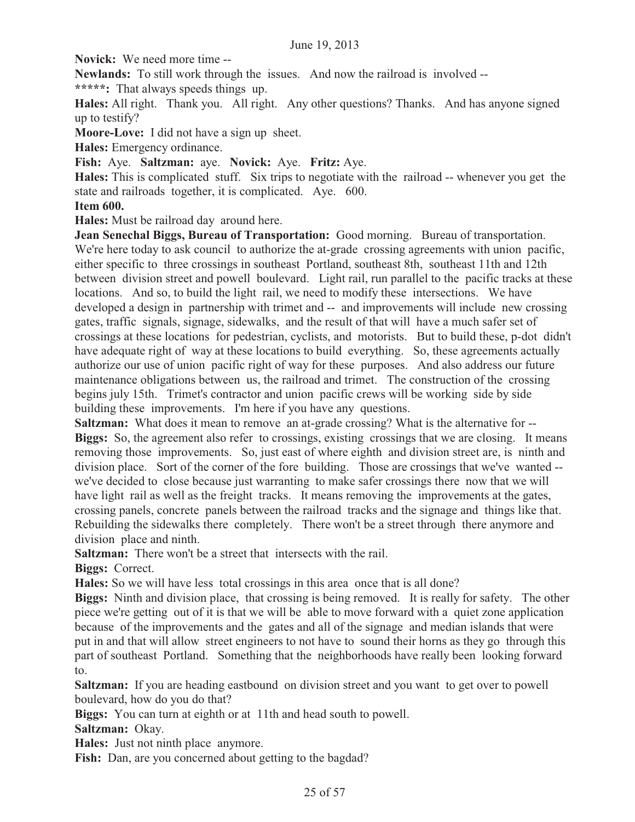**Novick:** We need more time --

**Newlands:** To still work through the issues. And now the railroad is involved --

**\*\*\*\*\*:** That always speeds things up.

**Hales:** All right. Thank you. All right. Any other questions? Thanks. And has anyone signed up to testify?

**Moore-Love:** I did not have a sign up sheet.

**Hales:** Emergency ordinance.

**Fish:** Aye. **Saltzman:** aye. **Novick:** Aye. **Fritz:** Aye.

**Hales:** This is complicated stuff. Six trips to negotiate with the railroad -- whenever you get the state and railroads together, it is complicated. Aye. 600.

#### **Item 600.**

**Hales:** Must be railroad day around here.

**Jean Senechal Biggs, Bureau of Transportation:** Good morning. Bureau of transportation. We're here today to ask council to authorize the at-grade crossing agreements with union pacific, either specific to three crossings in southeast Portland, southeast 8th, southeast 11th and 12th between division street and powell boulevard. Light rail, run parallel to the pacific tracks at these locations. And so, to build the light rail, we need to modify these intersections. We have developed a design in partnership with trimet and -- and improvements will include new crossing gates, traffic signals, signage, sidewalks, and the result of that will have a much safer set of crossings at these locations for pedestrian, cyclists, and motorists. But to build these, p-dot didn't have adequate right of way at these locations to build everything. So, these agreements actually authorize our use of union pacific right of way for these purposes. And also address our future maintenance obligations between us, the railroad and trimet. The construction of the crossing begins july 15th. Trimet's contractor and union pacific crews will be working side by side building these improvements. I'm here if you have any questions.

**Saltzman:** What does it mean to remove an at-grade crossing? What is the alternative for --**Biggs:** So, the agreement also refer to crossings, existing crossings that we are closing. It means removing those improvements. So, just east of where eighth and division street are, is ninth and division place. Sort of the corner of the fore building. Those are crossings that we've wanted - we've decided to close because just warranting to make safer crossings there now that we will have light rail as well as the freight tracks. It means removing the improvements at the gates, crossing panels, concrete panels between the railroad tracks and the signage and things like that. Rebuilding the sidewalks there completely. There won't be a street through there anymore and division place and ninth.

**Saltzman:** There won't be a street that intersects with the rail. **Biggs:** Correct.

**Hales:** So we will have less total crossings in this area once that is all done?

**Biggs:** Ninth and division place, that crossing is being removed. It is really for safety. The other piece we're getting out of it is that we will be able to move forward with a quiet zone application because of the improvements and the gates and all of the signage and median islands that were put in and that will allow street engineers to not have to sound their horns as they go through this part of southeast Portland. Something that the neighborhoods have really been looking forward to.

**Saltzman:** If you are heading eastbound on division street and you want to get over to powell boulevard, how do you do that?

**Biggs:** You can turn at eighth or at 11th and head south to powell.

**Saltzman:** Okay.

**Hales:** Just not ninth place anymore.

Fish: Dan, are you concerned about getting to the bagdad?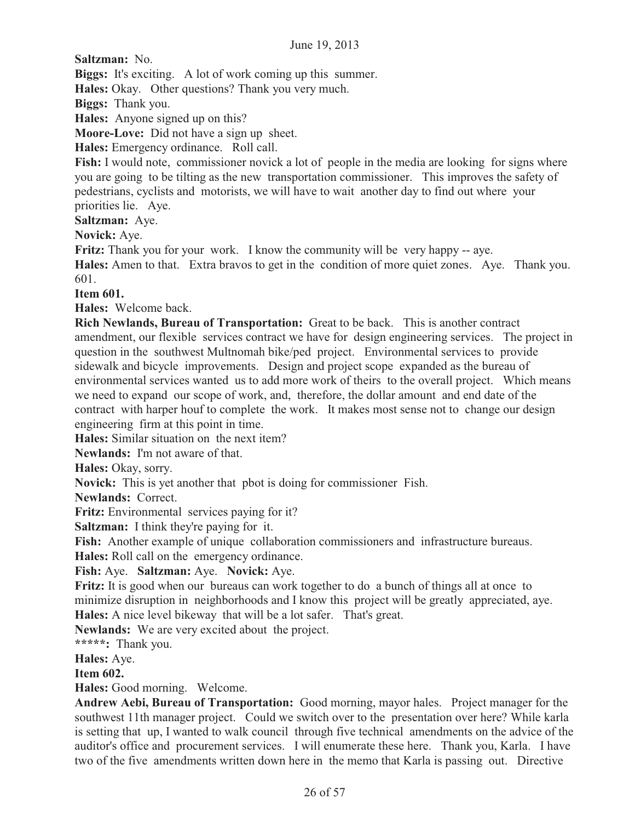**Saltzman:** No.

**Biggs:** It's exciting. A lot of work coming up this summer.

**Hales:** Okay. Other questions? Thank you very much.

**Biggs:** Thank you.

**Hales:** Anyone signed up on this?

**Moore-Love:** Did not have a sign up sheet.

**Hales:** Emergency ordinance. Roll call.

Fish: I would note, commissioner novick a lot of people in the media are looking for signs where you are going to be tilting as the new transportation commissioner. This improves the safety of pedestrians, cyclists and motorists, we will have to wait another day to find out where your priorities lie. Aye.

**Saltzman:** Aye.

**Novick:** Aye.

**Fritz:** Thank you for your work. I know the community will be very happy -- aye.

**Hales:** Amen to that. Extra bravos to get in the condition of more quiet zones. Aye. Thank you. 601.

**Item 601.** 

**Hales:** Welcome back.

**Rich Newlands, Bureau of Transportation:** Great to be back. This is another contract amendment, our flexible services contract we have for design engineering services. The project in question in the southwest Multnomah bike/ped project. Environmental services to provide sidewalk and bicycle improvements. Design and project scope expanded as the bureau of environmental services wanted us to add more work of theirs to the overall project. Which means we need to expand our scope of work, and, therefore, the dollar amount and end date of the contract with harper houf to complete the work. It makes most sense not to change our design engineering firm at this point in time.

**Hales:** Similar situation on the next item?

**Newlands:** I'm not aware of that.

**Hales:** Okay, sorry.

**Novick:** This is yet another that pbot is doing for commissioner Fish.

**Newlands:** Correct.

**Fritz:** Environmental services paying for it?

**Saltzman:** I think they're paying for it.

Fish: Another example of unique collaboration commissioners and infrastructure bureaus.

**Hales:** Roll call on the emergency ordinance.

#### **Fish:** Aye. **Saltzman:** Aye. **Novick:** Aye.

Fritz: It is good when our bureaus can work together to do a bunch of things all at once to minimize disruption in neighborhoods and I know this project will be greatly appreciated, aye. **Hales:** A nice level bikeway that will be a lot safer. That's great.

**Newlands:** We are very excited about the project.

**\*\*\*\*\*:** Thank you.

**Hales:** Aye.

**Item 602.** 

**Hales:** Good morning. Welcome.

**Andrew Aebi, Bureau of Transportation:** Good morning, mayor hales. Project manager for the southwest 11th manager project. Could we switch over to the presentation over here? While karla is setting that up, I wanted to walk council through five technical amendments on the advice of the auditor's office and procurement services. I will enumerate these here. Thank you, Karla. I have two of the five amendments written down here in the memo that Karla is passing out. Directive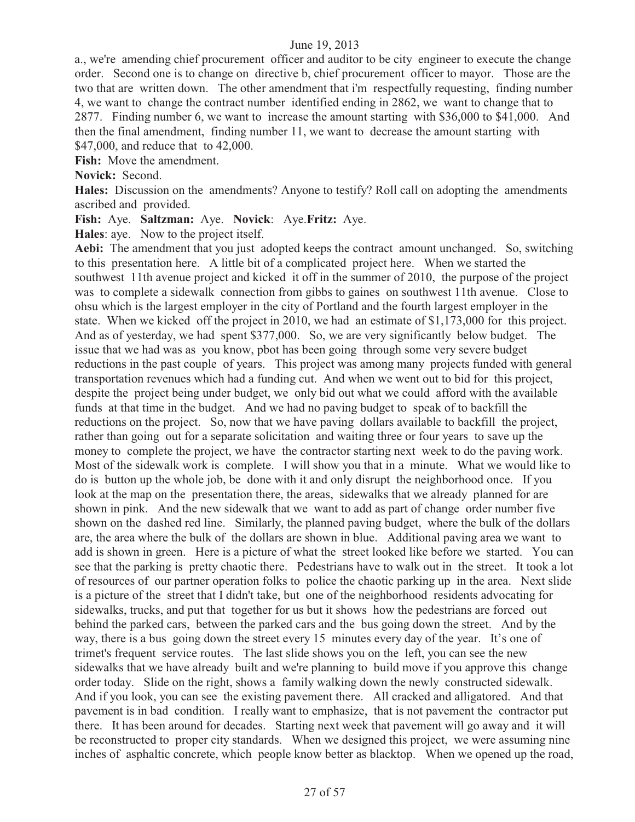a., we're amending chief procurement officer and auditor to be city engineer to execute the change order. Second one is to change on directive b, chief procurement officer to mayor. Those are the two that are written down. The other amendment that i'm respectfully requesting, finding number 4, we want to change the contract number identified ending in 2862, we want to change that to 2877. Finding number 6, we want to increase the amount starting with \$36,000 to \$41,000. And then the final amendment, finding number 11, we want to decrease the amount starting with \$47,000, and reduce that to 42,000.

**Fish:** Move the amendment.

**Novick:** Second.

**Hales:** Discussion on the amendments? Anyone to testify? Roll call on adopting the amendments ascribed and provided.

**Fish:** Aye. **Saltzman:** Aye. **Novick**: Aye.**Fritz:** Aye.

**Hales**: aye. Now to the project itself.

**Aebi:** The amendment that you just adopted keeps the contract amount unchanged. So, switching to this presentation here. A little bit of a complicated project here. When we started the southwest 11th avenue project and kicked it off in the summer of 2010, the purpose of the project was to complete a sidewalk connection from gibbs to gaines on southwest 11th avenue. Close to ohsu which is the largest employer in the city of Portland and the fourth largest employer in the state. When we kicked off the project in 2010, we had an estimate of \$1,173,000 for this project. And as of yesterday, we had spent \$377,000. So, we are very significantly below budget. The issue that we had was as you know, pbot has been going through some very severe budget reductions in the past couple of years. This project was among many projects funded with general transportation revenues which had a funding cut. And when we went out to bid for this project, despite the project being under budget, we only bid out what we could afford with the available funds at that time in the budget. And we had no paving budget to speak of to backfill the reductions on the project. So, now that we have paving dollars available to backfill the project, rather than going out for a separate solicitation and waiting three or four years to save up the money to complete the project, we have the contractor starting next week to do the paving work. Most of the sidewalk work is complete. I will show you that in a minute. What we would like to do is button up the whole job, be done with it and only disrupt the neighborhood once. If you look at the map on the presentation there, the areas, sidewalks that we already planned for are shown in pink. And the new sidewalk that we want to add as part of change order number five shown on the dashed red line. Similarly, the planned paving budget, where the bulk of the dollars are, the area where the bulk of the dollars are shown in blue. Additional paving area we want to add is shown in green. Here is a picture of what the street looked like before we started. You can see that the parking is pretty chaotic there. Pedestrians have to walk out in the street. It took a lot of resources of our partner operation folks to police the chaotic parking up in the area. Next slide is a picture of the street that I didn't take, but one of the neighborhood residents advocating for sidewalks, trucks, and put that together for us but it shows how the pedestrians are forced out behind the parked cars, between the parked cars and the bus going down the street. And by the way, there is a bus going down the street every 15 minutes every day of the year. It's one of trimet's frequent service routes. The last slide shows you on the left, you can see the new sidewalks that we have already built and we're planning to build move if you approve this change order today. Slide on the right, shows a family walking down the newly constructed sidewalk. And if you look, you can see the existing pavement there. All cracked and alligatored. And that pavement is in bad condition. I really want to emphasize, that is not pavement the contractor put there. It has been around for decades. Starting next week that pavement will go away and it will be reconstructed to proper city standards. When we designed this project, we were assuming nine inches of asphaltic concrete, which people know better as blacktop. When we opened up the road,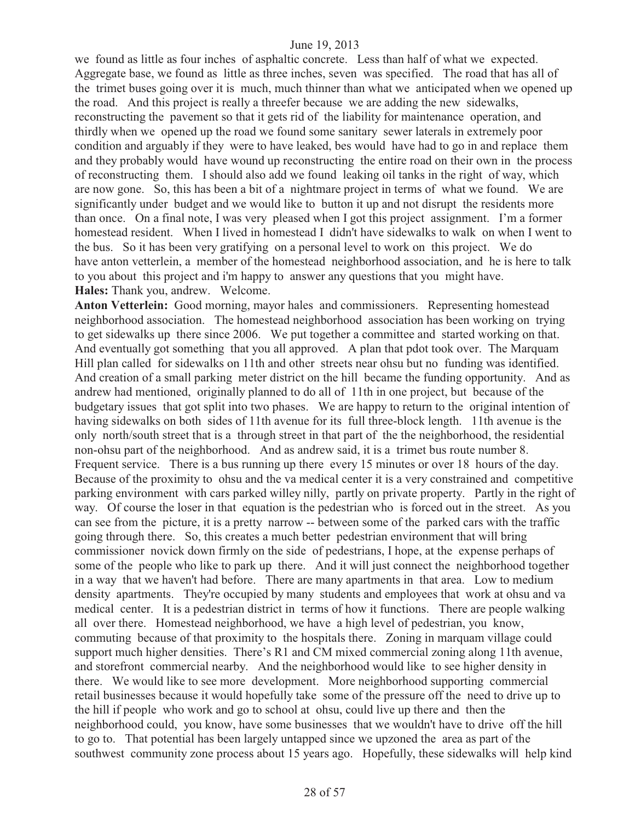we found as little as four inches of asphaltic concrete. Less than half of what we expected. Aggregate base, we found as little as three inches, seven was specified. The road that has all of the trimet buses going over it is much, much thinner than what we anticipated when we opened up the road. And this project is really a threefer because we are adding the new sidewalks, reconstructing the pavement so that it gets rid of the liability for maintenance operation, and thirdly when we opened up the road we found some sanitary sewer laterals in extremely poor condition and arguably if they were to have leaked, bes would have had to go in and replace them and they probably would have wound up reconstructing the entire road on their own in the process of reconstructing them. I should also add we found leaking oil tanks in the right of way, which are now gone. So, this has been a bit of a nightmare project in terms of what we found. We are significantly under budget and we would like to button it up and not disrupt the residents more than once. On a final note, I was very pleased when I got this project assignment. I'm a former homestead resident. When I lived in homestead I didn't have sidewalks to walk on when I went to the bus. So it has been very gratifying on a personal level to work on this project. We do have anton vetterlein, a member of the homestead neighborhood association, and he is here to talk to you about this project and i'm happy to answer any questions that you might have. **Hales:** Thank you, andrew. Welcome.

**Anton Vetterlein:** Good morning, mayor hales and commissioners. Representing homestead neighborhood association. The homestead neighborhood association has been working on trying to get sidewalks up there since 2006. We put together a committee and started working on that. And eventually got something that you all approved. A plan that pdot took over. The Marquam Hill plan called for sidewalks on 11th and other streets near ohsu but no funding was identified. And creation of a small parking meter district on the hill became the funding opportunity. And as andrew had mentioned, originally planned to do all of 11th in one project, but because of the budgetary issues that got split into two phases. We are happy to return to the original intention of having sidewalks on both sides of 11th avenue for its full three-block length. 11th avenue is the only north/south street that is a through street in that part of the the neighborhood, the residential non-ohsu part of the neighborhood. And as andrew said, it is a trimet bus route number 8. Frequent service. There is a bus running up there every 15 minutes or over 18 hours of the day. Because of the proximity to ohsu and the va medical center it is a very constrained and competitive parking environment with cars parked willey nilly, partly on private property. Partly in the right of way. Of course the loser in that equation is the pedestrian who is forced out in the street. As you can see from the picture, it is a pretty narrow -- between some of the parked cars with the traffic going through there. So, this creates a much better pedestrian environment that will bring commissioner novick down firmly on the side of pedestrians, I hope, at the expense perhaps of some of the people who like to park up there. And it will just connect the neighborhood together in a way that we haven't had before. There are many apartments in that area. Low to medium density apartments. They're occupied by many students and employees that work at ohsu and va medical center. It is a pedestrian district in terms of how it functions. There are people walking all over there. Homestead neighborhood, we have a high level of pedestrian, you know, commuting because of that proximity to the hospitals there. Zoning in marquam village could support much higher densities. There's R1 and CM mixed commercial zoning along 11th avenue, and storefront commercial nearby. And the neighborhood would like to see higher density in there. We would like to see more development. More neighborhood supporting commercial retail businesses because it would hopefully take some of the pressure off the need to drive up to the hill if people who work and go to school at ohsu, could live up there and then the neighborhood could, you know, have some businesses that we wouldn't have to drive off the hill to go to. That potential has been largely untapped since we upzoned the area as part of the southwest community zone process about 15 years ago. Hopefully, these sidewalks will help kind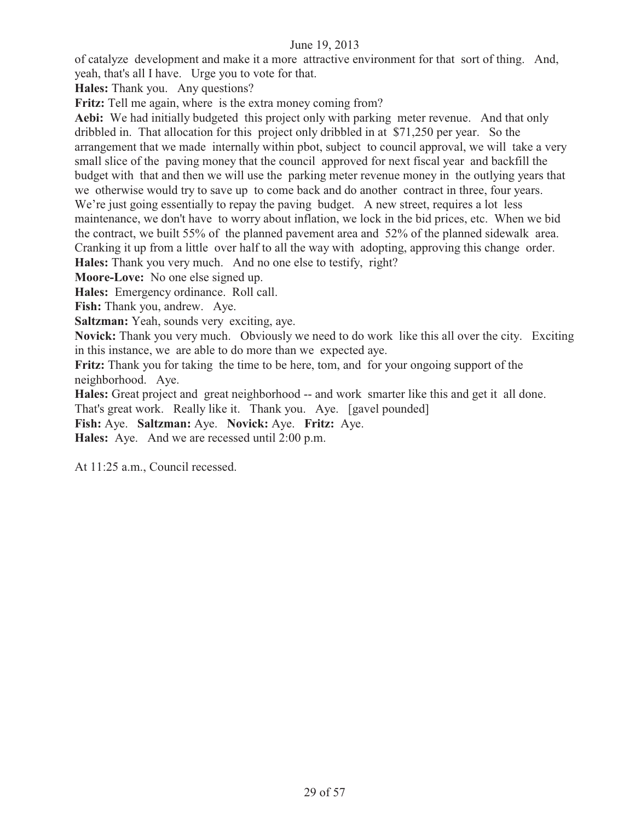of catalyze development and make it a more attractive environment for that sort of thing. And, yeah, that's all I have. Urge you to vote for that.

**Hales:** Thank you. Any questions?

**Fritz:** Tell me again, where is the extra money coming from?

**Aebi:** We had initially budgeted this project only with parking meter revenue. And that only dribbled in. That allocation for this project only dribbled in at \$71,250 per year. So the arrangement that we made internally within pbot, subject to council approval, we will take a very small slice of the paving money that the council approved for next fiscal year and backfill the budget with that and then we will use the parking meter revenue money in the outlying years that we otherwise would try to save up to come back and do another contract in three, four years. We're just going essentially to repay the paving budget. A new street, requires a lot less maintenance, we don't have to worry about inflation, we lock in the bid prices, etc. When we bid the contract, we built 55% of the planned pavement area and 52% of the planned sidewalk area. Cranking it up from a little over half to all the way with adopting, approving this change order. **Hales:** Thank you very much. And no one else to testify, right?

**Moore-Love:** No one else signed up.

**Hales:** Emergency ordinance. Roll call.

**Fish:** Thank you, andrew. Aye.

**Saltzman:** Yeah, sounds very exciting, aye.

**Novick:** Thank you very much. Obviously we need to do work like this all over the city. Exciting in this instance, we are able to do more than we expected aye.

**Fritz:** Thank you for taking the time to be here, tom, and for your ongoing support of the neighborhood. Aye.

**Hales:** Great project and great neighborhood -- and work smarter like this and get it all done.

That's great work. Really like it. Thank you. Aye. [gavel pounded]

**Fish:** Aye. **Saltzman:** Aye. **Novick:** Aye. **Fritz:** Aye.

**Hales:** Aye. And we are recessed until 2:00 p.m.

At 11:25 a.m., Council recessed.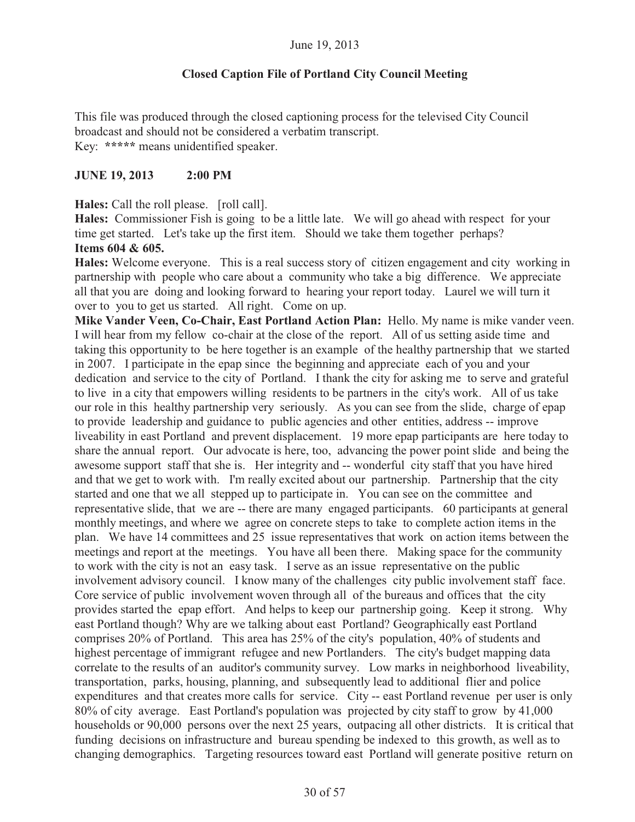#### **Closed Caption File of Portland City Council Meeting**

This file was produced through the closed captioning process for the televised City Council broadcast and should not be considered a verbatim transcript. Key: **\*\*\*\*\*** means unidentified speaker.

#### **JUNE 19, 2013 2:00 PM**

**Hales:** Call the roll please. [roll call].

**Hales:** Commissioner Fish is going to be a little late. We will go ahead with respect for your time get started. Let's take up the first item. Should we take them together perhaps? **Items 604 & 605.** 

**Hales:** Welcome everyone. This is a real success story of citizen engagement and city working in partnership with people who care about a community who take a big difference. We appreciate all that you are doing and looking forward to hearing your report today. Laurel we will turn it over to you to get us started. All right. Come on up.

**Mike Vander Veen, Co-Chair, East Portland Action Plan:** Hello. My name is mike vander veen. I will hear from my fellow co-chair at the close of the report. All of us setting aside time and taking this opportunity to be here together is an example of the healthy partnership that we started in 2007. I participate in the epap since the beginning and appreciate each of you and your dedication and service to the city of Portland. I thank the city for asking me to serve and grateful to live in a city that empowers willing residents to be partners in the city's work. All of us take our role in this healthy partnership very seriously. As you can see from the slide, charge of epap to provide leadership and guidance to public agencies and other entities, address -- improve liveability in east Portland and prevent displacement. 19 more epap participants are here today to share the annual report. Our advocate is here, too, advancing the power point slide and being the awesome support staff that she is. Her integrity and -- wonderful city staff that you have hired and that we get to work with. I'm really excited about our partnership. Partnership that the city started and one that we all stepped up to participate in. You can see on the committee and representative slide, that we are -- there are many engaged participants. 60 participants at general monthly meetings, and where we agree on concrete steps to take to complete action items in the plan. We have 14 committees and 25 issue representatives that work on action items between the meetings and report at the meetings. You have all been there. Making space for the community to work with the city is not an easy task. I serve as an issue representative on the public involvement advisory council. I know many of the challenges city public involvement staff face. Core service of public involvement woven through all of the bureaus and offices that the city provides started the epap effort. And helps to keep our partnership going. Keep it strong. Why east Portland though? Why are we talking about east Portland? Geographically east Portland comprises 20% of Portland. This area has 25% of the city's population, 40% of students and highest percentage of immigrant refugee and new Portlanders. The city's budget mapping data correlate to the results of an auditor's community survey. Low marks in neighborhood liveability, transportation, parks, housing, planning, and subsequently lead to additional flier and police expenditures and that creates more calls for service. City -- east Portland revenue per user is only 80% of city average. East Portland's population was projected by city staff to grow by 41,000 households or 90,000 persons over the next 25 years, outpacing all other districts. It is critical that funding decisions on infrastructure and bureau spending be indexed to this growth, as well as to changing demographics. Targeting resources toward east Portland will generate positive return on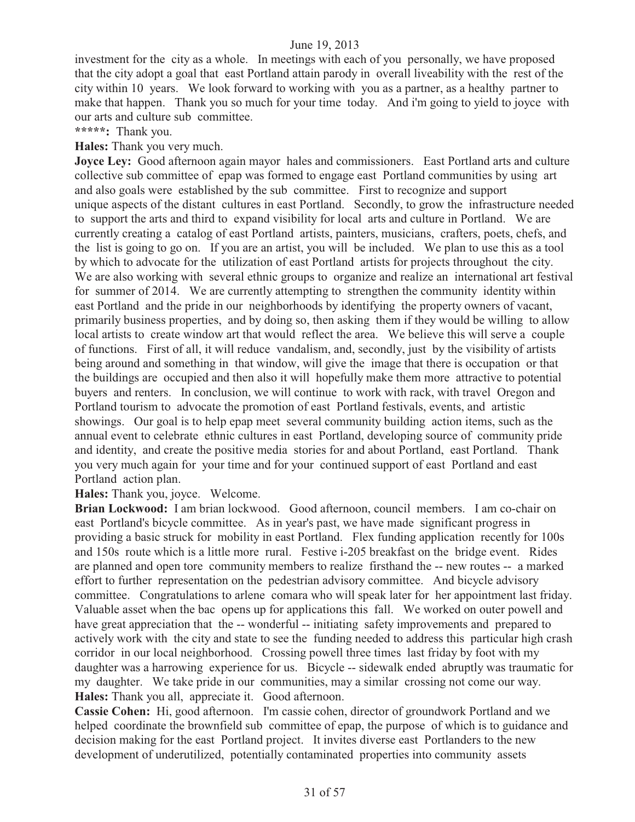investment for the city as a whole. In meetings with each of you personally, we have proposed that the city adopt a goal that east Portland attain parody in overall liveability with the rest of the city within 10 years. We look forward to working with you as a partner, as a healthy partner to make that happen. Thank you so much for your time today. And i'm going to yield to joyce with our arts and culture sub committee.

**\*\*\*\*\*:** Thank you.

**Hales:** Thank you very much.

**Joyce Ley:** Good afternoon again mayor hales and commissioners. East Portland arts and culture collective sub committee of epap was formed to engage east Portland communities by using art and also goals were established by the sub committee. First to recognize and support unique aspects of the distant cultures in east Portland. Secondly, to grow the infrastructure needed to support the arts and third to expand visibility for local arts and culture in Portland. We are currently creating a catalog of east Portland artists, painters, musicians, crafters, poets, chefs, and the list is going to go on. If you are an artist, you will be included. We plan to use this as a tool by which to advocate for the utilization of east Portland artists for projects throughout the city. We are also working with several ethnic groups to organize and realize an international art festival for summer of 2014. We are currently attempting to strengthen the community identity within east Portland and the pride in our neighborhoods by identifying the property owners of vacant, primarily business properties, and by doing so, then asking them if they would be willing to allow local artists to create window art that would reflect the area. We believe this will serve a couple of functions. First of all, it will reduce vandalism, and, secondly, just by the visibility of artists being around and something in that window, will give the image that there is occupation or that the buildings are occupied and then also it will hopefully make them more attractive to potential buyers and renters. In conclusion, we will continue to work with rack, with travel Oregon and Portland tourism to advocate the promotion of east Portland festivals, events, and artistic showings. Our goal is to help epap meet several community building action items, such as the annual event to celebrate ethnic cultures in east Portland, developing source of community pride and identity, and create the positive media stories for and about Portland, east Portland. Thank you very much again for your time and for your continued support of east Portland and east Portland action plan.

**Hales:** Thank you, joyce. Welcome.

**Brian Lockwood:** I am brian lockwood. Good afternoon, council members. I am co-chair on east Portland's bicycle committee. As in year's past, we have made significant progress in providing a basic struck for mobility in east Portland. Flex funding application recently for 100s and 150s route which is a little more rural. Festive i-205 breakfast on the bridge event. Rides are planned and open tore community members to realize firsthand the -- new routes -- a marked effort to further representation on the pedestrian advisory committee. And bicycle advisory committee. Congratulations to arlene comara who will speak later for her appointment last friday. Valuable asset when the bac opens up for applications this fall. We worked on outer powell and have great appreciation that the -- wonderful -- initiating safety improvements and prepared to actively work with the city and state to see the funding needed to address this particular high crash corridor in our local neighborhood. Crossing powell three times last friday by foot with my daughter was a harrowing experience for us. Bicycle -- sidewalk ended abruptly was traumatic for my daughter. We take pride in our communities, may a similar crossing not come our way. **Hales:** Thank you all, appreciate it. Good afternoon.

**Cassie Cohen:** Hi, good afternoon. I'm cassie cohen, director of groundwork Portland and we helped coordinate the brownfield sub committee of epap, the purpose of which is to guidance and decision making for the east Portland project. It invites diverse east Portlanders to the new development of underutilized, potentially contaminated properties into community assets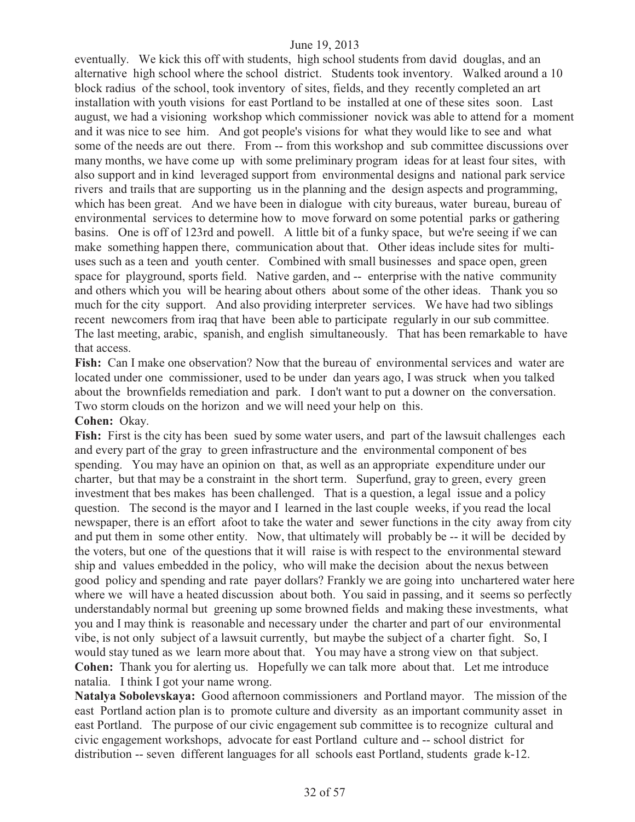eventually. We kick this off with students, high school students from david douglas, and an alternative high school where the school district. Students took inventory. Walked around a 10 block radius of the school, took inventory of sites, fields, and they recently completed an art installation with youth visions for east Portland to be installed at one of these sites soon. Last august, we had a visioning workshop which commissioner novick was able to attend for a moment and it was nice to see him. And got people's visions for what they would like to see and what some of the needs are out there. From -- from this workshop and sub committee discussions over many months, we have come up with some preliminary program ideas for at least four sites, with also support and in kind leveraged support from environmental designs and national park service rivers and trails that are supporting us in the planning and the design aspects and programming, which has been great. And we have been in dialogue with city bureaus, water bureau, bureau of environmental services to determine how to move forward on some potential parks or gathering basins. One is off of 123rd and powell. A little bit of a funky space, but we're seeing if we can make something happen there, communication about that. Other ideas include sites for multiuses such as a teen and youth center. Combined with small businesses and space open, green space for playground, sports field. Native garden, and -- enterprise with the native community and others which you will be hearing about others about some of the other ideas. Thank you so much for the city support. And also providing interpreter services. We have had two siblings recent newcomers from iraq that have been able to participate regularly in our sub committee. The last meeting, arabic, spanish, and english simultaneously. That has been remarkable to have that access.

**Fish:** Can I make one observation? Now that the bureau of environmental services and water are located under one commissioner, used to be under dan years ago, I was struck when you talked about the brownfields remediation and park. I don't want to put a downer on the conversation. Two storm clouds on the horizon and we will need your help on this.

#### **Cohen:** Okay.

Fish: First is the city has been sued by some water users, and part of the lawsuit challenges each and every part of the gray to green infrastructure and the environmental component of bes spending. You may have an opinion on that, as well as an appropriate expenditure under our charter, but that may be a constraint in the short term. Superfund, gray to green, every green investment that bes makes has been challenged. That is a question, a legal issue and a policy question. The second is the mayor and I learned in the last couple weeks, if you read the local newspaper, there is an effort afoot to take the water and sewer functions in the city away from city and put them in some other entity. Now, that ultimately will probably be -- it will be decided by the voters, but one of the questions that it will raise is with respect to the environmental steward ship and values embedded in the policy, who will make the decision about the nexus between good policy and spending and rate payer dollars? Frankly we are going into unchartered water here where we will have a heated discussion about both. You said in passing, and it seems so perfectly understandably normal but greening up some browned fields and making these investments, what you and I may think is reasonable and necessary under the charter and part of our environmental vibe, is not only subject of a lawsuit currently, but maybe the subject of a charter fight. So, I would stay tuned as we learn more about that. You may have a strong view on that subject. **Cohen:** Thank you for alerting us. Hopefully we can talk more about that. Let me introduce natalia. I think I got your name wrong.

**Natalya Sobolevskaya:** Good afternoon commissioners and Portland mayor. The mission of the east Portland action plan is to promote culture and diversity as an important community asset in east Portland. The purpose of our civic engagement sub committee is to recognize cultural and civic engagement workshops, advocate for east Portland culture and -- school district for distribution -- seven different languages for all schools east Portland, students grade k-12.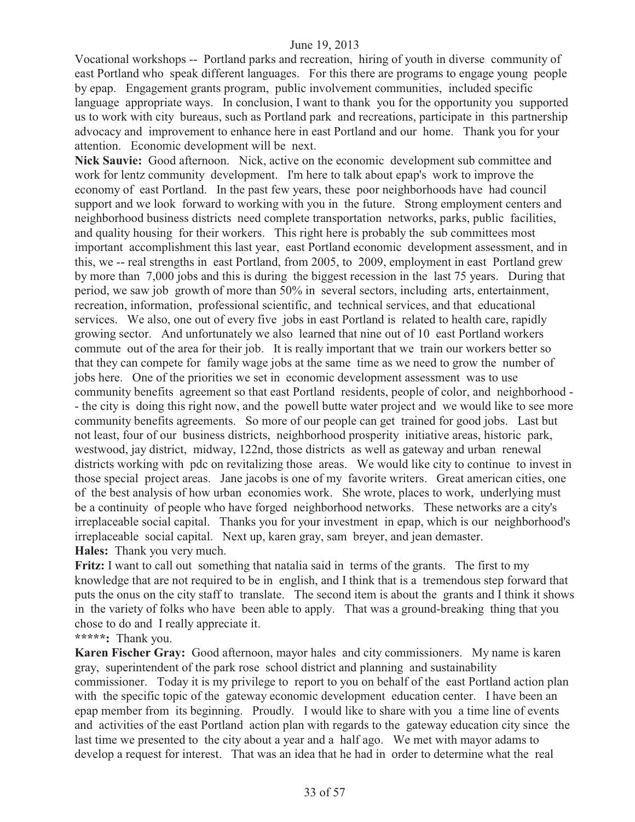Vocational workshops -- Portland parks and recreation, hiring of youth in diverse community of east Portland who speak different languages. For this there are programs to engage young people by epap. Engagement grants program, public involvement communities, included specific language appropriate ways. In conclusion, I want to thank you for the opportunity you supported us to work with city bureaus, such as Portland park and recreations, participate in this partnership advocacy and improvement to enhance here in east Portland and our home. Thank you for your attention. Economic development will be next.

**Nick Sauvie:** Good afternoon. Nick, active on the economic development sub committee and work for lentz community development. I'm here to talk about epap's work to improve the economy of east Portland. In the past few years, these poor neighborhoods have had council support and we look forward to working with you in the future. Strong employment centers and neighborhood business districts need complete transportation networks, parks, public facilities, and quality housing for their workers. This right here is probably the sub committees most important accomplishment this last year, east Portland economic development assessment, and in this, we -- real strengths in east Portland, from 2005, to 2009, employment in east Portland grew by more than 7,000 jobs and this is during the biggest recession in the last 75 years. During that period, we saw job growth of more than 50% in several sectors, including arts, entertainment, recreation, information, professional scientific, and technical services, and that educational services. We also, one out of every five jobs in east Portland is related to health care, rapidly growing sector. And unfortunately we also learned that nine out of 10 east Portland workers commute out of the area for their job. It is really important that we train our workers better so that they can compete for family wage jobs at the same time as we need to grow the number of jobs here. One of the priorities we set in economic development assessment was to use community benefits agreement so that east Portland residents, people of color, and neighborhood - - the city is doing this right now, and the powell butte water project and we would like to see more community benefits agreements. So more of our people can get trained for good jobs. Last but not least, four of our business districts, neighborhood prosperity initiative areas, historic park, westwood, jay district, midway, 122nd, those districts as well as gateway and urban renewal districts working with pdc on revitalizing those areas. We would like city to continue to invest in those special project areas. Jane jacobs is one of my favorite writers. Great american cities, one of the best analysis of how urban economies work. She wrote, places to work, underlying must be a continuity of people who have forged neighborhood networks. These networks are a city's irreplaceable social capital. Thanks you for your investment in epap, which is our neighborhood's irreplaceable social capital. Next up, karen gray, sam breyer, and jean demaster. **Hales:** Thank you very much.

**Fritz:** I want to call out something that natalia said in terms of the grants. The first to my knowledge that are not required to be in english, and I think that is a tremendous step forward that puts the onus on the city staff to translate. The second item is about the grants and I think it shows in the variety of folks who have been able to apply. That was a ground-breaking thing that you chose to do and I really appreciate it.

**\*\*\*\*\*:** Thank you.

**Karen Fischer Gray:** Good afternoon, mayor hales and city commissioners. My name is karen gray, superintendent of the park rose school district and planning and sustainability commissioner. Today it is my privilege to report to you on behalf of the east Portland action plan with the specific topic of the gateway economic development education center. I have been an epap member from its beginning. Proudly. I would like to share with you a time line of events and activities of the east Portland action plan with regards to the gateway education city since the last time we presented to the city about a year and a half ago. We met with mayor adams to develop a request for interest. That was an idea that he had in order to determine what the real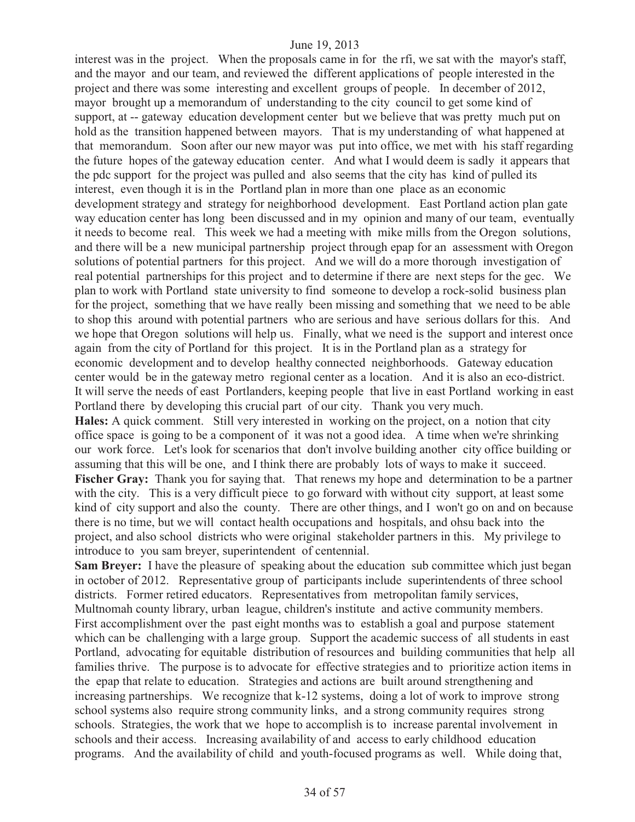interest was in the project. When the proposals came in for the rfi, we sat with the mayor's staff, and the mayor and our team, and reviewed the different applications of people interested in the project and there was some interesting and excellent groups of people. In december of 2012, mayor brought up a memorandum of understanding to the city council to get some kind of support, at -- gateway education development center but we believe that was pretty much put on hold as the transition happened between mayors. That is my understanding of what happened at that memorandum. Soon after our new mayor was put into office, we met with his staff regarding the future hopes of the gateway education center. And what I would deem is sadly it appears that the pdc support for the project was pulled and also seems that the city has kind of pulled its interest, even though it is in the Portland plan in more than one place as an economic development strategy and strategy for neighborhood development. East Portland action plan gate way education center has long been discussed and in my opinion and many of our team, eventually it needs to become real. This week we had a meeting with mike mills from the Oregon solutions, and there will be a new municipal partnership project through epap for an assessment with Oregon solutions of potential partners for this project. And we will do a more thorough investigation of real potential partnerships for this project and to determine if there are next steps for the gec. We plan to work with Portland state university to find someone to develop a rock-solid business plan for the project, something that we have really been missing and something that we need to be able to shop this around with potential partners who are serious and have serious dollars for this. And we hope that Oregon solutions will help us. Finally, what we need is the support and interest once again from the city of Portland for this project. It is in the Portland plan as a strategy for economic development and to develop healthy connected neighborhoods. Gateway education center would be in the gateway metro regional center as a location. And it is also an eco-district. It will serve the needs of east Portlanders, keeping people that live in east Portland working in east Portland there by developing this crucial part of our city. Thank you very much.

**Hales:** A quick comment. Still very interested in working on the project, on a notion that city office space is going to be a component of it was not a good idea. A time when we're shrinking our work force. Let's look for scenarios that don't involve building another city office building or assuming that this will be one, and I think there are probably lots of ways to make it succeed. **Fischer Gray:** Thank you for saying that. That renews my hope and determination to be a partner with the city. This is a very difficult piece to go forward with without city support, at least some kind of city support and also the county. There are other things, and I won't go on and on because there is no time, but we will contact health occupations and hospitals, and ohsu back into the project, and also school districts who were original stakeholder partners in this. My privilege to introduce to you sam breyer, superintendent of centennial.

**Sam Breyer:** I have the pleasure of speaking about the education sub committee which just began in october of 2012. Representative group of participants include superintendents of three school districts. Former retired educators. Representatives from metropolitan family services, Multnomah county library, urban league, children's institute and active community members. First accomplishment over the past eight months was to establish a goal and purpose statement which can be challenging with a large group. Support the academic success of all students in east Portland, advocating for equitable distribution of resources and building communities that help all families thrive. The purpose is to advocate for effective strategies and to prioritize action items in the epap that relate to education. Strategies and actions are built around strengthening and increasing partnerships. We recognize that k-12 systems, doing a lot of work to improve strong school systems also require strong community links, and a strong community requires strong schools. Strategies, the work that we hope to accomplish is to increase parental involvement in schools and their access. Increasing availability of and access to early childhood education programs. And the availability of child and youth-focused programs as well. While doing that,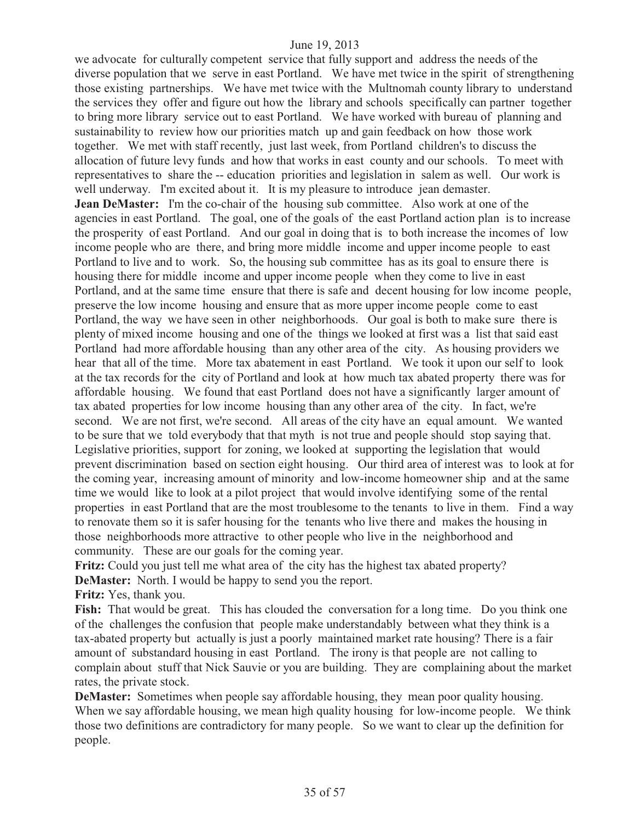we advocate for culturally competent service that fully support and address the needs of the diverse population that we serve in east Portland. We have met twice in the spirit of strengthening those existing partnerships. We have met twice with the Multnomah county library to understand the services they offer and figure out how the library and schools specifically can partner together to bring more library service out to east Portland. We have worked with bureau of planning and sustainability to review how our priorities match up and gain feedback on how those work together. We met with staff recently, just last week, from Portland children's to discuss the allocation of future levy funds and how that works in east county and our schools. To meet with representatives to share the -- education priorities and legislation in salem as well. Our work is well underway. I'm excited about it. It is my pleasure to introduce jean demaster. **Jean DeMaster:** I'm the co-chair of the housing sub committee. Also work at one of the agencies in east Portland. The goal, one of the goals of the east Portland action plan is to increase the prosperity of east Portland. And our goal in doing that is to both increase the incomes of low income people who are there, and bring more middle income and upper income people to east Portland to live and to work. So, the housing sub committee has as its goal to ensure there is housing there for middle income and upper income people when they come to live in east Portland, and at the same time ensure that there is safe and decent housing for low income people, preserve the low income housing and ensure that as more upper income people come to east Portland, the way we have seen in other neighborhoods. Our goal is both to make sure there is plenty of mixed income housing and one of the things we looked at first was a list that said east Portland had more affordable housing than any other area of the city. As housing providers we hear that all of the time. More tax abatement in east Portland. We took it upon our self to look at the tax records for the city of Portland and look at how much tax abated property there was for affordable housing. We found that east Portland does not have a significantly larger amount of tax abated properties for low income housing than any other area of the city. In fact, we're second. We are not first, we're second. All areas of the city have an equal amount. We wanted to be sure that we told everybody that that myth is not true and people should stop saying that. Legislative priorities, support for zoning, we looked at supporting the legislation that would prevent discrimination based on section eight housing. Our third area of interest was to look at for the coming year, increasing amount of minority and low-income homeowner ship and at the same time we would like to look at a pilot project that would involve identifying some of the rental properties in east Portland that are the most troublesome to the tenants to live in them. Find a way to renovate them so it is safer housing for the tenants who live there and makes the housing in those neighborhoods more attractive to other people who live in the neighborhood and community. These are our goals for the coming year.

**Fritz:** Could you just tell me what area of the city has the highest tax abated property? **DeMaster:** North. I would be happy to send you the report.

**Fritz:** Yes, thank you.

Fish: That would be great. This has clouded the conversation for a long time. Do you think one of the challenges the confusion that people make understandably between what they think is a tax-abated property but actually is just a poorly maintained market rate housing? There is a fair amount of substandard housing in east Portland. The irony is that people are not calling to complain about stuff that Nick Sauvie or you are building. They are complaining about the market rates, the private stock.

**DeMaster:** Sometimes when people say affordable housing, they mean poor quality housing. When we say affordable housing, we mean high quality housing for low-income people. We think those two definitions are contradictory for many people. So we want to clear up the definition for people.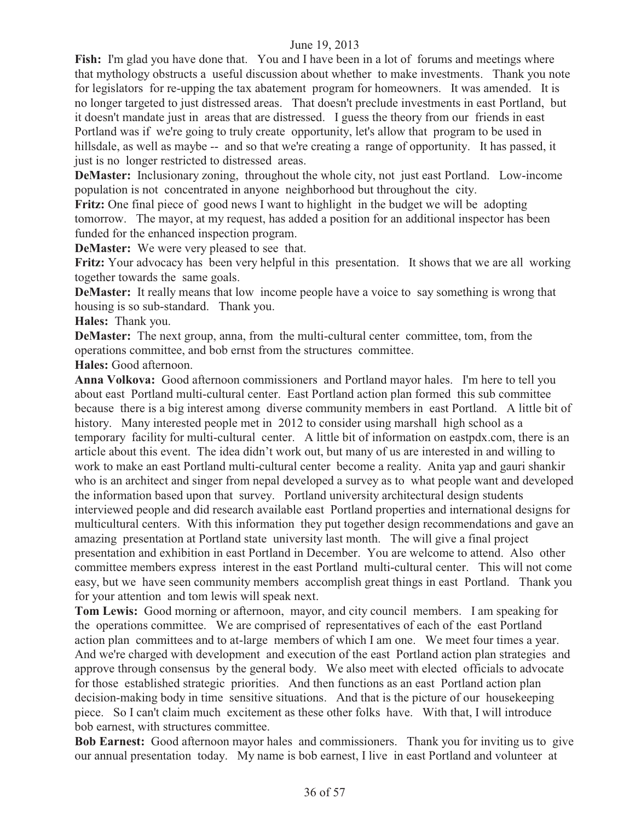**Fish:** I'm glad you have done that. You and I have been in a lot of forums and meetings where that mythology obstructs a useful discussion about whether to make investments. Thank you note for legislators for re-upping the tax abatement program for homeowners. It was amended. It is no longer targeted to just distressed areas. That doesn't preclude investments in east Portland, but it doesn't mandate just in areas that are distressed. I guess the theory from our friends in east Portland was if we're going to truly create opportunity, let's allow that program to be used in hillsdale, as well as maybe -- and so that we're creating a range of opportunity. It has passed, it just is no longer restricted to distressed areas.

**DeMaster:** Inclusionary zoning, throughout the whole city, not just east Portland. Low-income population is not concentrated in anyone neighborhood but throughout the city.

**Fritz:** One final piece of good news I want to highlight in the budget we will be adopting tomorrow. The mayor, at my request, has added a position for an additional inspector has been funded for the enhanced inspection program.

**DeMaster:** We were very pleased to see that.

**Fritz:** Your advocacy has been very helpful in this presentation. It shows that we are all working together towards the same goals.

**DeMaster:** It really means that low income people have a voice to say something is wrong that housing is so sub-standard. Thank you.

**Hales:** Thank you.

**DeMaster:** The next group, anna, from the multi-cultural center committee, tom, from the operations committee, and bob ernst from the structures committee.

**Hales:** Good afternoon.

**Anna Volkova:** Good afternoon commissioners and Portland mayor hales. I'm here to tell you about east Portland multi-cultural center. East Portland action plan formed this sub committee because there is a big interest among diverse community members in east Portland. A little bit of history. Many interested people met in 2012 to consider using marshall high school as a temporary facility for multi-cultural center. A little bit of information on eastpdx.com, there is an article about this event. The idea didn't work out, but many of us are interested in and willing to work to make an east Portland multi-cultural center become a reality. Anita yap and gauri shankir who is an architect and singer from nepal developed a survey as to what people want and developed the information based upon that survey. Portland university architectural design students interviewed people and did research available east Portland properties and international designs for multicultural centers. With this information they put together design recommendations and gave an amazing presentation at Portland state university last month. The will give a final project presentation and exhibition in east Portland in December. You are welcome to attend. Also other committee members express interest in the east Portland multi-cultural center. This will not come easy, but we have seen community members accomplish great things in east Portland. Thank you for your attention and tom lewis will speak next.

**Tom Lewis:** Good morning or afternoon, mayor, and city council members. I am speaking for the operations committee. We are comprised of representatives of each of the east Portland action plan committees and to at-large members of which I am one. We meet four times a year. And we're charged with development and execution of the east Portland action plan strategies and approve through consensus by the general body. We also meet with elected officials to advocate for those established strategic priorities. And then functions as an east Portland action plan decision-making body in time sensitive situations. And that is the picture of our housekeeping piece. So I can't claim much excitement as these other folks have. With that, I will introduce bob earnest, with structures committee.

**Bob Earnest:** Good afternoon mayor hales and commissioners. Thank you for inviting us to give our annual presentation today. My name is bob earnest, I live in east Portland and volunteer at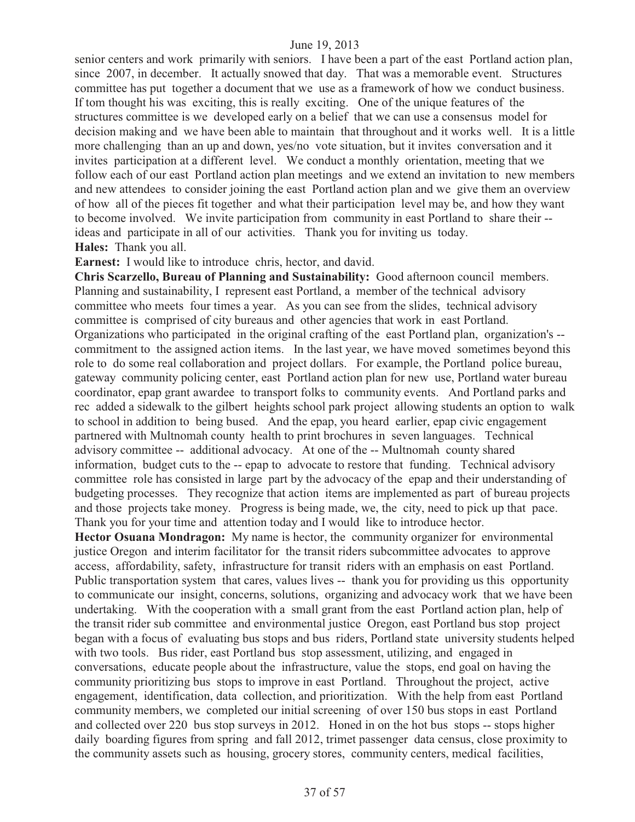senior centers and work primarily with seniors. I have been a part of the east Portland action plan, since 2007, in december. It actually snowed that day. That was a memorable event. Structures committee has put together a document that we use as a framework of how we conduct business. If tom thought his was exciting, this is really exciting. One of the unique features of the structures committee is we developed early on a belief that we can use a consensus model for decision making and we have been able to maintain that throughout and it works well. It is a little more challenging than an up and down, yes/no vote situation, but it invites conversation and it invites participation at a different level. We conduct a monthly orientation, meeting that we follow each of our east Portland action plan meetings and we extend an invitation to new members and new attendees to consider joining the east Portland action plan and we give them an overview of how all of the pieces fit together and what their participation level may be, and how they want to become involved. We invite participation from community in east Portland to share their - ideas and participate in all of our activities. Thank you for inviting us today. **Hales:** Thank you all.

**Earnest:** I would like to introduce chris, hector, and david.

**Chris Scarzello, Bureau of Planning and Sustainability:** Good afternoon council members. Planning and sustainability, I represent east Portland, a member of the technical advisory committee who meets four times a year. As you can see from the slides, technical advisory committee is comprised of city bureaus and other agencies that work in east Portland. Organizations who participated in the original crafting of the east Portland plan, organization's - commitment to the assigned action items. In the last year, we have moved sometimes beyond this role to do some real collaboration and project dollars. For example, the Portland police bureau, gateway community policing center, east Portland action plan for new use, Portland water bureau coordinator, epap grant awardee to transport folks to community events. And Portland parks and rec added a sidewalk to the gilbert heights school park project allowing students an option to walk to school in addition to being bused. And the epap, you heard earlier, epap civic engagement partnered with Multnomah county health to print brochures in seven languages. Technical advisory committee -- additional advocacy. At one of the -- Multnomah county shared information, budget cuts to the -- epap to advocate to restore that funding. Technical advisory committee role has consisted in large part by the advocacy of the epap and their understanding of budgeting processes. They recognize that action items are implemented as part of bureau projects and those projects take money. Progress is being made, we, the city, need to pick up that pace. Thank you for your time and attention today and I would like to introduce hector.

**Hector Osuana Mondragon:** My name is hector, the community organizer for environmental justice Oregon and interim facilitator for the transit riders subcommittee advocates to approve access, affordability, safety, infrastructure for transit riders with an emphasis on east Portland. Public transportation system that cares, values lives -- thank you for providing us this opportunity to communicate our insight, concerns, solutions, organizing and advocacy work that we have been undertaking. With the cooperation with a small grant from the east Portland action plan, help of the transit rider sub committee and environmental justice Oregon, east Portland bus stop project began with a focus of evaluating bus stops and bus riders, Portland state university students helped with two tools. Bus rider, east Portland bus stop assessment, utilizing, and engaged in conversations, educate people about the infrastructure, value the stops, end goal on having the community prioritizing bus stops to improve in east Portland. Throughout the project, active engagement, identification, data collection, and prioritization. With the help from east Portland community members, we completed our initial screening of over 150 bus stops in east Portland and collected over 220 bus stop surveys in 2012. Honed in on the hot bus stops -- stops higher daily boarding figures from spring and fall 2012, trimet passenger data census, close proximity to the community assets such as housing, grocery stores, community centers, medical facilities,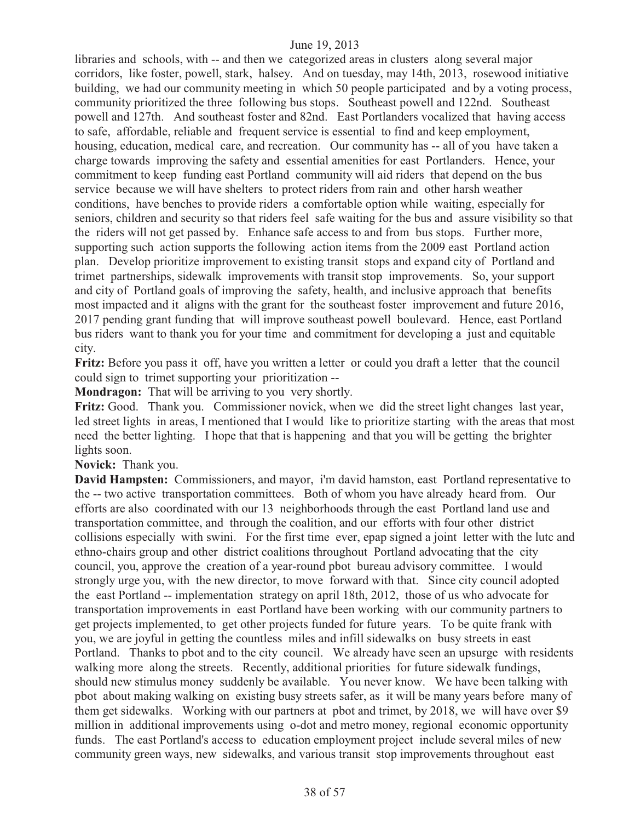libraries and schools, with -- and then we categorized areas in clusters along several major corridors, like foster, powell, stark, halsey. And on tuesday, may 14th, 2013, rosewood initiative building, we had our community meeting in which 50 people participated and by a voting process, community prioritized the three following bus stops. Southeast powell and 122nd. Southeast powell and 127th. And southeast foster and 82nd. East Portlanders vocalized that having access to safe, affordable, reliable and frequent service is essential to find and keep employment, housing, education, medical care, and recreation. Our community has -- all of you have taken a charge towards improving the safety and essential amenities for east Portlanders. Hence, your commitment to keep funding east Portland community will aid riders that depend on the bus service because we will have shelters to protect riders from rain and other harsh weather conditions, have benches to provide riders a comfortable option while waiting, especially for seniors, children and security so that riders feel safe waiting for the bus and assure visibility so that the riders will not get passed by. Enhance safe access to and from bus stops. Further more, supporting such action supports the following action items from the 2009 east Portland action plan. Develop prioritize improvement to existing transit stops and expand city of Portland and trimet partnerships, sidewalk improvements with transit stop improvements. So, your support and city of Portland goals of improving the safety, health, and inclusive approach that benefits most impacted and it aligns with the grant for the southeast foster improvement and future 2016, 2017 pending grant funding that will improve southeast powell boulevard. Hence, east Portland bus riders want to thank you for your time and commitment for developing a just and equitable city.

**Fritz:** Before you pass it off, have you written a letter or could you draft a letter that the council could sign to trimet supporting your prioritization --

**Mondragon:** That will be arriving to you very shortly.

**Fritz:** Good. Thank you. Commissioner novick, when we did the street light changes last year, led street lights in areas, I mentioned that I would like to prioritize starting with the areas that most need the better lighting. I hope that that is happening and that you will be getting the brighter lights soon.

**Novick:** Thank you.

**David Hampsten:** Commissioners, and mayor, i'm david hamston, east Portland representative to the -- two active transportation committees. Both of whom you have already heard from. Our efforts are also coordinated with our 13 neighborhoods through the east Portland land use and transportation committee, and through the coalition, and our efforts with four other district collisions especially with swini. For the first time ever, epap signed a joint letter with the lutc and ethno-chairs group and other district coalitions throughout Portland advocating that the city council, you, approve the creation of a year-round pbot bureau advisory committee. I would strongly urge you, with the new director, to move forward with that. Since city council adopted the east Portland -- implementation strategy on april 18th, 2012, those of us who advocate for transportation improvements in east Portland have been working with our community partners to get projects implemented, to get other projects funded for future years. To be quite frank with you, we are joyful in getting the countless miles and infill sidewalks on busy streets in east Portland. Thanks to pbot and to the city council. We already have seen an upsurge with residents walking more along the streets. Recently, additional priorities for future sidewalk fundings, should new stimulus money suddenly be available. You never know. We have been talking with pbot about making walking on existing busy streets safer, as it will be many years before many of them get sidewalks. Working with our partners at pbot and trimet, by 2018, we will have over \$9 million in additional improvements using o-dot and metro money, regional economic opportunity funds. The east Portland's access to education employment project include several miles of new community green ways, new sidewalks, and various transit stop improvements throughout east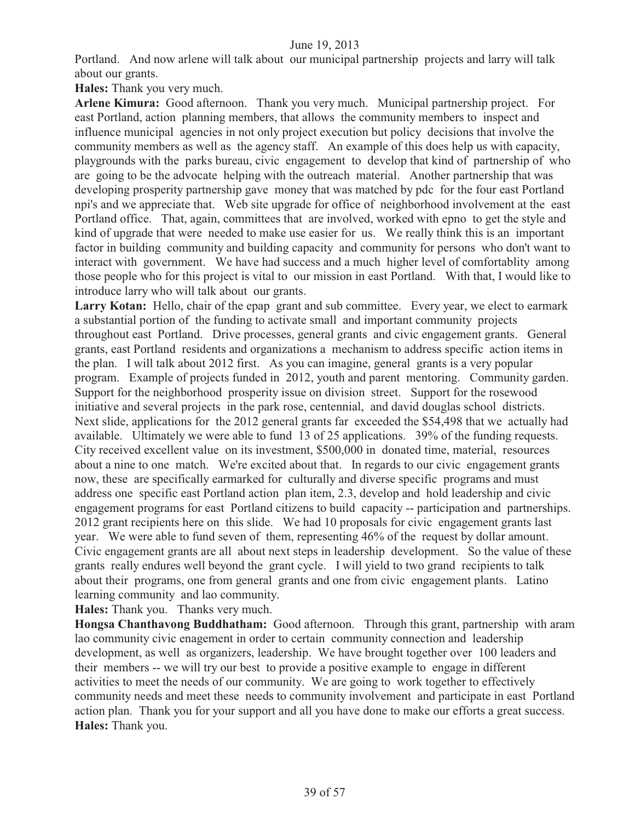Portland. And now arlene will talk about our municipal partnership projects and larry will talk about our grants.

**Hales:** Thank you very much.

**Arlene Kimura:** Good afternoon. Thank you very much. Municipal partnership project. For east Portland, action planning members, that allows the community members to inspect and influence municipal agencies in not only project execution but policy decisions that involve the community members as well as the agency staff. An example of this does help us with capacity, playgrounds with the parks bureau, civic engagement to develop that kind of partnership of who are going to be the advocate helping with the outreach material. Another partnership that was developing prosperity partnership gave money that was matched by pdc for the four east Portland npi's and we appreciate that. Web site upgrade for office of neighborhood involvement at the east Portland office. That, again, committees that are involved, worked with epno to get the style and kind of upgrade that were needed to make use easier for us. We really think this is an important factor in building community and building capacity and community for persons who don't want to interact with government. We have had success and a much higher level of comfortablity among those people who for this project is vital to our mission in east Portland. With that, I would like to introduce larry who will talk about our grants.

Larry Kotan: Hello, chair of the epap grant and sub committee. Every year, we elect to earmark a substantial portion of the funding to activate small and important community projects throughout east Portland. Drive processes, general grants and civic engagement grants. General grants, east Portland residents and organizations a mechanism to address specific action items in the plan. I will talk about 2012 first. As you can imagine, general grants is a very popular program. Example of projects funded in 2012, youth and parent mentoring. Community garden. Support for the neighborhood prosperity issue on division street. Support for the rosewood initiative and several projects in the park rose, centennial, and david douglas school districts. Next slide, applications for the 2012 general grants far exceeded the \$54,498 that we actually had available. Ultimately we were able to fund 13 of 25 applications. 39% of the funding requests. City received excellent value on its investment, \$500,000 in donated time, material, resources about a nine to one match. We're excited about that. In regards to our civic engagement grants now, these are specifically earmarked for culturally and diverse specific programs and must address one specific east Portland action plan item, 2.3, develop and hold leadership and civic engagement programs for east Portland citizens to build capacity -- participation and partnerships. 2012 grant recipients here on this slide. We had 10 proposals for civic engagement grants last year. We were able to fund seven of them, representing 46% of the request by dollar amount. Civic engagement grants are all about next steps in leadership development. So the value of these grants really endures well beyond the grant cycle. I will yield to two grand recipients to talk about their programs, one from general grants and one from civic engagement plants. Latino learning community and lao community.

**Hales:** Thank you. Thanks very much.

**Hongsa Chanthavong Buddhatham:** Good afternoon. Through this grant, partnership with aram lao community civic enagement in order to certain community connection and leadership development, as well as organizers, leadership. We have brought together over 100 leaders and their members -- we will try our best to provide a positive example to engage in different activities to meet the needs of our community. We are going to work together to effectively community needs and meet these needs to community involvement and participate in east Portland action plan. Thank you for your support and all you have done to make our efforts a great success. **Hales:** Thank you.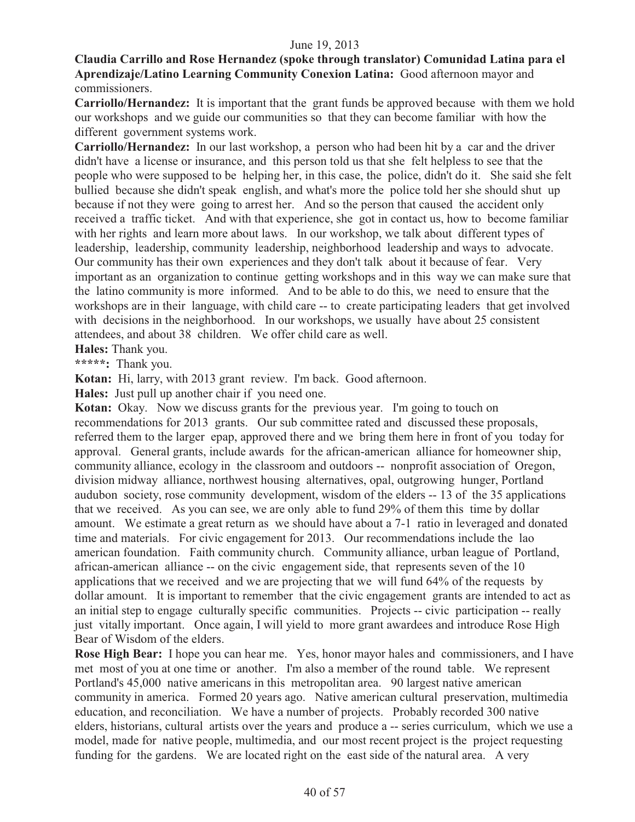#### **Claudia Carrillo and Rose Hernandez (spoke through translator) Comunidad Latina para el Aprendizaje/Latino Learning Community Conexion Latina:** Good afternoon mayor and commissioners.

**Carriollo/Hernandez:** It is important that the grant funds be approved because with them we hold our workshops and we guide our communities so that they can become familiar with how the different government systems work.

**Carriollo/Hernandez:** In our last workshop, a person who had been hit by a car and the driver didn't have a license or insurance, and this person told us that she felt helpless to see that the people who were supposed to be helping her, in this case, the police, didn't do it. She said she felt bullied because she didn't speak english, and what's more the police told her she should shut up because if not they were going to arrest her. And so the person that caused the accident only received a traffic ticket. And with that experience, she got in contact us, how to become familiar with her rights and learn more about laws. In our workshop, we talk about different types of leadership, leadership, community leadership, neighborhood leadership and ways to advocate. Our community has their own experiences and they don't talk about it because of fear. Very important as an organization to continue getting workshops and in this way we can make sure that the latino community is more informed. And to be able to do this, we need to ensure that the workshops are in their language, with child care -- to create participating leaders that get involved with decisions in the neighborhood. In our workshops, we usually have about 25 consistent attendees, and about 38 children. We offer child care as well.

**Hales:** Thank you.

**\*\*\*\*\*:** Thank you.

**Kotan:** Hi, larry, with 2013 grant review. I'm back. Good afternoon.

**Hales:** Just pull up another chair if you need one.

**Kotan:** Okay. Now we discuss grants for the previous year. I'm going to touch on recommendations for 2013 grants. Our sub committee rated and discussed these proposals, referred them to the larger epap, approved there and we bring them here in front of you today for approval. General grants, include awards for the african-american alliance for homeowner ship, community alliance, ecology in the classroom and outdoors -- nonprofit association of Oregon, division midway alliance, northwest housing alternatives, opal, outgrowing hunger, Portland audubon society, rose community development, wisdom of the elders -- 13 of the 35 applications that we received. As you can see, we are only able to fund 29% of them this time by dollar amount. We estimate a great return as we should have about a 7-1 ratio in leveraged and donated time and materials. For civic engagement for 2013. Our recommendations include the lao american foundation. Faith community church. Community alliance, urban league of Portland, african-american alliance -- on the civic engagement side, that represents seven of the 10 applications that we received and we are projecting that we will fund 64% of the requests by dollar amount. It is important to remember that the civic engagement grants are intended to act as an initial step to engage culturally specific communities. Projects -- civic participation -- really just vitally important. Once again, I will yield to more grant awardees and introduce Rose High Bear of Wisdom of the elders.

**Rose High Bear:** I hope you can hear me. Yes, honor mayor hales and commissioners, and I have met most of you at one time or another. I'm also a member of the round table. We represent Portland's 45,000 native americans in this metropolitan area. 90 largest native american community in america. Formed 20 years ago. Native american cultural preservation, multimedia education, and reconciliation. We have a number of projects. Probably recorded 300 native elders, historians, cultural artists over the years and produce a -- series curriculum, which we use a model, made for native people, multimedia, and our most recent project is the project requesting funding for the gardens. We are located right on the east side of the natural area. A very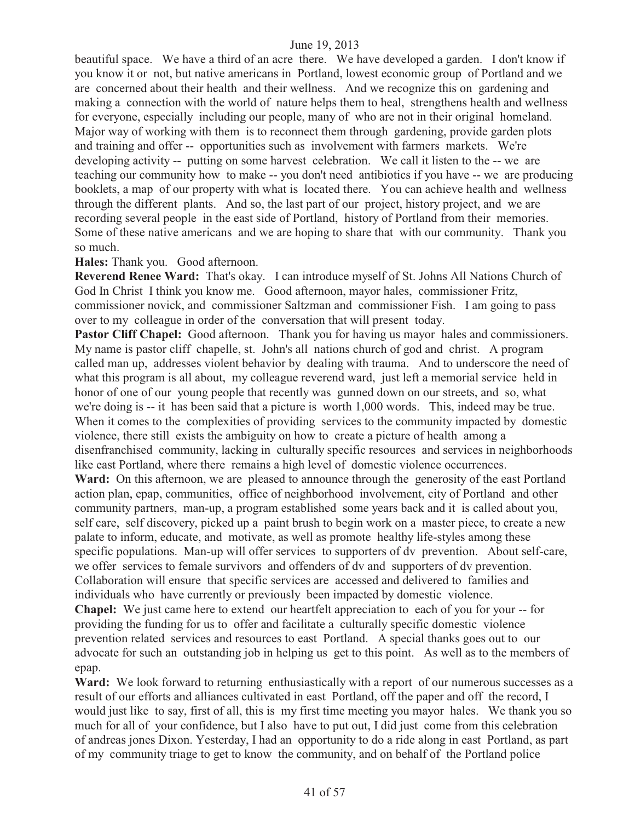beautiful space. We have a third of an acre there. We have developed a garden. I don't know if you know it or not, but native americans in Portland, lowest economic group of Portland and we are concerned about their health and their wellness. And we recognize this on gardening and making a connection with the world of nature helps them to heal, strengthens health and wellness for everyone, especially including our people, many of who are not in their original homeland. Major way of working with them is to reconnect them through gardening, provide garden plots and training and offer -- opportunities such as involvement with farmers markets. We're developing activity -- putting on some harvest celebration. We call it listen to the -- we are teaching our community how to make -- you don't need antibiotics if you have -- we are producing booklets, a map of our property with what is located there. You can achieve health and wellness through the different plants. And so, the last part of our project, history project, and we are recording several people in the east side of Portland, history of Portland from their memories. Some of these native americans and we are hoping to share that with our community. Thank you so much.

#### **Hales:** Thank you. Good afternoon.

**Reverend Renee Ward:** That's okay. I can introduce myself of St. Johns All Nations Church of God In Christ I think you know me. Good afternoon, mayor hales, commissioner Fritz, commissioner novick, and commissioner Saltzman and commissioner Fish. I am going to pass over to my colleague in order of the conversation that will present today.

Pastor Cliff Chapel: Good afternoon. Thank you for having us mayor hales and commissioners. My name is pastor cliff chapelle, st. John's all nations church of god and christ. A program called man up, addresses violent behavior by dealing with trauma. And to underscore the need of what this program is all about, my colleague reverend ward, just left a memorial service held in honor of one of our young people that recently was gunned down on our streets, and so, what we're doing is -- it has been said that a picture is worth 1,000 words. This, indeed may be true. When it comes to the complexities of providing services to the community impacted by domestic violence, there still exists the ambiguity on how to create a picture of health among a disenfranchised community, lacking in culturally specific resources and services in neighborhoods like east Portland, where there remains a high level of domestic violence occurrences. Ward: On this afternoon, we are pleased to announce through the generosity of the east Portland action plan, epap, communities, office of neighborhood involvement, city of Portland and other community partners, man-up, a program established some years back and it is called about you, self care, self discovery, picked up a paint brush to begin work on a master piece, to create a new palate to inform, educate, and motivate, as well as promote healthy life-styles among these specific populations. Man-up will offer services to supporters of dv prevention. About self-care, we offer services to female survivors and offenders of dv and supporters of dv prevention. Collaboration will ensure that specific services are accessed and delivered to families and individuals who have currently or previously been impacted by domestic violence.

**Chapel:** We just came here to extend our heartfelt appreciation to each of you for your -- for providing the funding for us to offer and facilitate a culturally specific domestic violence prevention related services and resources to east Portland. A special thanks goes out to our advocate for such an outstanding job in helping us get to this point. As well as to the members of epap.

Ward: We look forward to returning enthusiastically with a report of our numerous successes as a result of our efforts and alliances cultivated in east Portland, off the paper and off the record, I would just like to say, first of all, this is my first time meeting you mayor hales. We thank you so much for all of your confidence, but I also have to put out, I did just come from this celebration of andreas jones Dixon. Yesterday, I had an opportunity to do a ride along in east Portland, as part of my community triage to get to know the community, and on behalf of the Portland police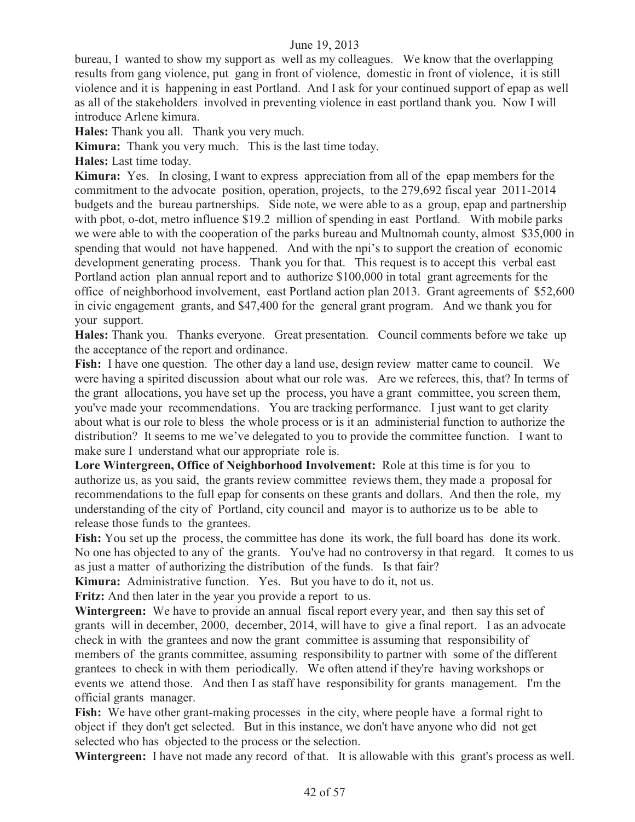bureau, I wanted to show my support as well as my colleagues. We know that the overlapping results from gang violence, put gang in front of violence, domestic in front of violence, it is still violence and it is happening in east Portland. And I ask for your continued support of epap as well as all of the stakeholders involved in preventing violence in east portland thank you. Now I will introduce Arlene kimura.

**Hales:** Thank you all. Thank you very much.

**Kimura:** Thank you very much. This is the last time today.

**Hales:** Last time today.

**Kimura:** Yes. In closing, I want to express appreciation from all of the epap members for the commitment to the advocate position, operation, projects, to the 279,692 fiscal year 2011-2014 budgets and the bureau partnerships. Side note, we were able to as a group, epap and partnership with pbot, o-dot, metro influence \$19.2 million of spending in east Portland. With mobile parks we were able to with the cooperation of the parks bureau and Multnomah county, almost \$35,000 in spending that would not have happened. And with the npi's to support the creation of economic development generating process. Thank you for that. This request is to accept this verbal east Portland action plan annual report and to authorize \$100,000 in total grant agreements for the office of neighborhood involvement, east Portland action plan 2013. Grant agreements of \$52,600 in civic engagement grants, and \$47,400 for the general grant program. And we thank you for your support.

**Hales:** Thank you. Thanks everyone. Great presentation. Council comments before we take up the acceptance of the report and ordinance.

Fish: I have one question. The other day a land use, design review matter came to council. We were having a spirited discussion about what our role was. Are we referees, this, that? In terms of the grant allocations, you have set up the process, you have a grant committee, you screen them, you've made your recommendations. You are tracking performance. I just want to get clarity about what is our role to bless the whole process or is it an administerial function to authorize the distribution?It seems to me we've delegated to you to provide the committee function. I want to make sure I understand what our appropriate role is.

**Lore Wintergreen, Office of Neighborhood Involvement:** Role at this time is for you to authorize us, as you said, the grants review committee reviews them, they made a proposal for recommendations to the full epap for consents on these grants and dollars. And then the role, my understanding of the city of Portland, city council and mayor is to authorize us to be able to release those funds to the grantees.

Fish: You set up the process, the committee has done its work, the full board has done its work. No one has objected to any of the grants. You've had no controversy in that regard. It comes to us as just a matter of authorizing the distribution of the funds. Is that fair?

**Kimura:** Administrative function. Yes. But you have to do it, not us.

**Fritz:** And then later in the year you provide a report to us.

**Wintergreen:** We have to provide an annual fiscal report every year, and then say this set of grants will in december, 2000, december, 2014, will have to give a final report. I as an advocate check in with the grantees and now the grant committee is assuming that responsibility of members of the grants committee, assuming responsibility to partner with some of the different grantees to check in with them periodically. We often attend if they're having workshops or events we attend those. And then I as staff have responsibility for grants management. I'm the official grants manager.

Fish: We have other grant-making processes in the city, where people have a formal right to object if they don't get selected. But in this instance, we don't have anyone who did not get selected who has objected to the process or the selection.

**Wintergreen:** I have not made any record of that. It is allowable with this grant's process as well.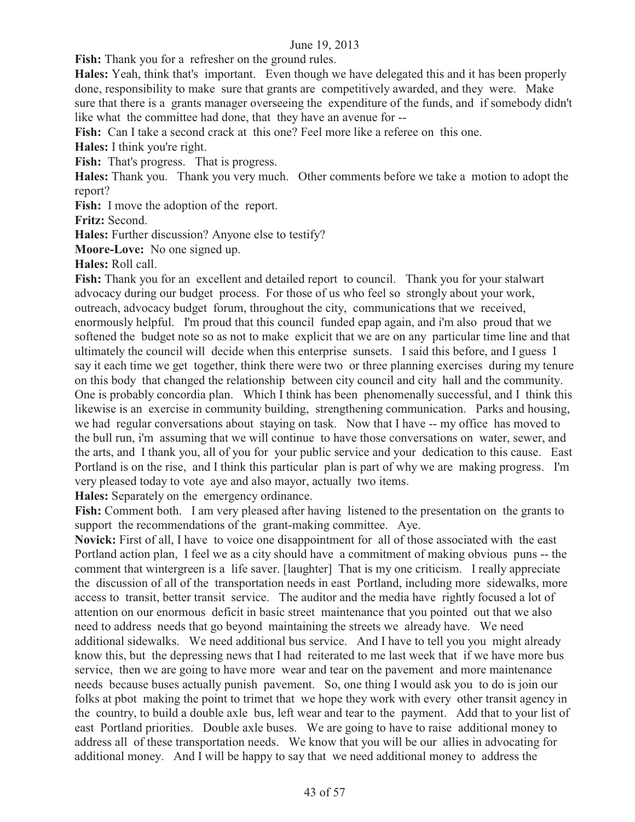Fish: Thank you for a refresher on the ground rules.

**Hales:** Yeah, think that's important. Even though we have delegated this and it has been properly done, responsibility to make sure that grants are competitively awarded, and they were. Make sure that there is a grants manager overseeing the expenditure of the funds, and if somebody didn't like what the committee had done, that they have an avenue for --

Fish: Can I take a second crack at this one? Feel more like a referee on this one.

**Hales:** I think you're right.

Fish: That's progress. That is progress.

**Hales:** Thank you. Thank you very much. Other comments before we take a motion to adopt the report?

Fish: I move the adoption of the report.

**Fritz:** Second.

**Hales:** Further discussion? Anyone else to testify?

**Moore-Love:** No one signed up.

**Hales:** Roll call.

**Fish:** Thank you for an excellent and detailed report to council. Thank you for your stalwart advocacy during our budget process. For those of us who feel so strongly about your work, outreach, advocacy budget forum, throughout the city, communications that we received, enormously helpful. I'm proud that this council funded epap again, and i'm also proud that we softened the budget note so as not to make explicit that we are on any particular time line and that ultimately the council will decide when this enterprise sunsets. I said this before, and I guess I say it each time we get together, think there were two or three planning exercises during my tenure on this body that changed the relationship between city council and city hall and the community. One is probably concordia plan. Which I think has been phenomenally successful, and I think this likewise is an exercise in community building, strengthening communication. Parks and housing, we had regular conversations about staying on task. Now that I have -- my office has moved to the bull run, i'm assuming that we will continue to have those conversations on water, sewer, and the arts, and I thank you, all of you for your public service and your dedication to this cause. East Portland is on the rise, and I think this particular plan is part of why we are making progress. I'm very pleased today to vote aye and also mayor, actually two items.

**Hales:** Separately on the emergency ordinance.

**Fish:** Comment both. I am very pleased after having listened to the presentation on the grants to support the recommendations of the grant-making committee. Aye.

**Novick:** First of all, I have to voice one disappointment for all of those associated with the east Portland action plan, I feel we as a city should have a commitment of making obvious puns -- the comment that wintergreen is a life saver. [laughter] That is my one criticism. I really appreciate the discussion of all of the transportation needs in east Portland, including more sidewalks, more access to transit, better transit service. The auditor and the media have rightly focused a lot of attention on our enormous deficit in basic street maintenance that you pointed out that we also need to address needs that go beyond maintaining the streets we already have. We need additional sidewalks. We need additional bus service. And I have to tell you you might already know this, but the depressing news that I had reiterated to me last week that if we have more bus service, then we are going to have more wear and tear on the pavement and more maintenance needs because buses actually punish pavement. So, one thing I would ask you to do is join our folks at pbot making the point to trimet that we hope they work with every other transit agency in the country, to build a double axle bus, left wear and tear to the payment. Add that to your list of east Portland priorities. Double axle buses. We are going to have to raise additional money to address all of these transportation needs. We know that you will be our allies in advocating for additional money. And I will be happy to say that we need additional money to address the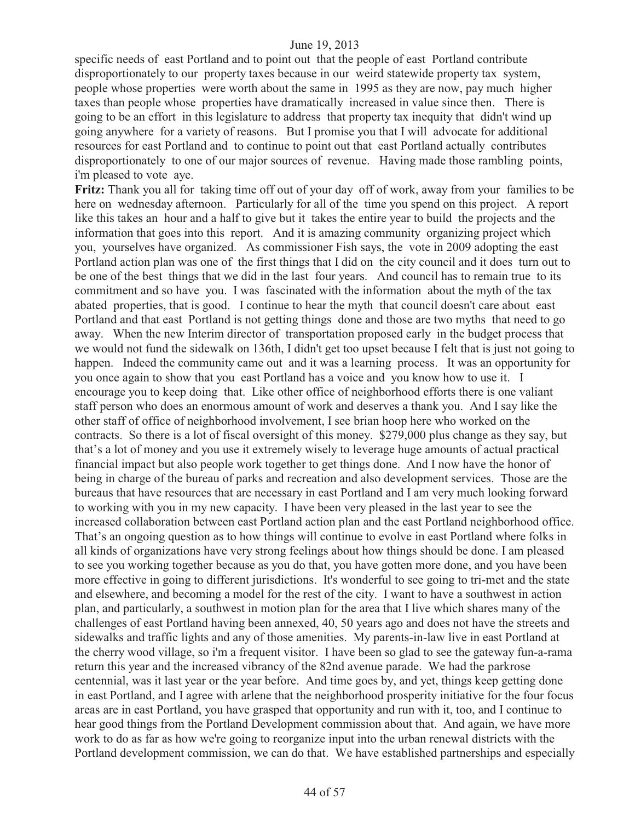specific needs of east Portland and to point out that the people of east Portland contribute disproportionately to our property taxes because in our weird statewide property tax system, people whose properties were worth about the same in 1995 as they are now, pay much higher taxes than people whose properties have dramatically increased in value since then. There is going to be an effort in this legislature to address that property tax inequity that didn't wind up going anywhere for a variety of reasons. But I promise you that I will advocate for additional resources for east Portland and to continue to point out that east Portland actually contributes disproportionately to one of our major sources of revenue. Having made those rambling points, i'm pleased to vote aye.

**Fritz:** Thank you all for taking time off out of your day off of work, away from your families to be here on wednesday afternoon. Particularly for all of the time you spend on this project. A report like this takes an hour and a half to give but it takes the entire year to build the projects and the information that goes into this report. And it is amazing community organizing project which you, yourselves have organized. As commissioner Fish says, the vote in 2009 adopting the east Portland action plan was one of the first things that I did on the city council and it does turn out to be one of the best things that we did in the last four years. And council has to remain true to its commitment and so have you. I was fascinated with the information about the myth of the tax abated properties, that is good. I continue to hear the myth that council doesn't care about east Portland and that east Portland is not getting things done and those are two myths that need to go away. When the new Interim director of transportation proposed early in the budget process that we would not fund the sidewalk on 136th, I didn't get too upset because I felt that is just not going to happen. Indeed the community came out and it was a learning process. It was an opportunity for you once again to show that you east Portland has a voice and you know how to use it. I encourage you to keep doing that. Like other office of neighborhood efforts there is one valiant staff person who does an enormous amount of work and deserves a thank you. And I say like the other staff of office of neighborhood involvement, I see brian hoop here who worked on the contracts. So there is a lot of fiscal oversight of this money. \$279,000 plus change as they say, but that's a lot of money and you use it extremely wisely to leverage huge amounts of actual practical financial impact but also people work together to get things done. And I now have the honor of being in charge of the bureau of parks and recreation and also development services. Those are the bureaus that have resources that are necessary in east Portland and I am very much looking forward to working with you in my new capacity. I have been very pleased in the last year to see the increased collaboration between east Portland action plan and the east Portland neighborhood office. That's an ongoing question as to how things will continue to evolve in east Portland where folks in all kinds of organizations have very strong feelings about how things should be done. I am pleased to see you working together because as you do that, you have gotten more done, and you have been more effective in going to different jurisdictions. It's wonderful to see going to tri-met and the state and elsewhere, and becoming a model for the rest of the city. I want to have a southwest in action plan, and particularly, a southwest in motion plan for the area that I live which shares many of the challenges of east Portland having been annexed, 40, 50 years ago and does not have the streets and sidewalks and traffic lights and any of those amenities. My parents-in-law live in east Portland at the cherry wood village, so i'm a frequent visitor. I have been so glad to see the gateway fun-a-rama return this year and the increased vibrancy of the 82nd avenue parade. We had the parkrose centennial, was it last year or the year before. And time goes by, and yet, things keep getting done in east Portland, and I agree with arlene that the neighborhood prosperity initiative for the four focus areas are in east Portland, you have grasped that opportunity and run with it, too, and I continue to hear good things from the Portland Development commission about that. And again, we have more work to do as far as how we're going to reorganize input into the urban renewal districts with the Portland development commission, we can do that. We have established partnerships and especially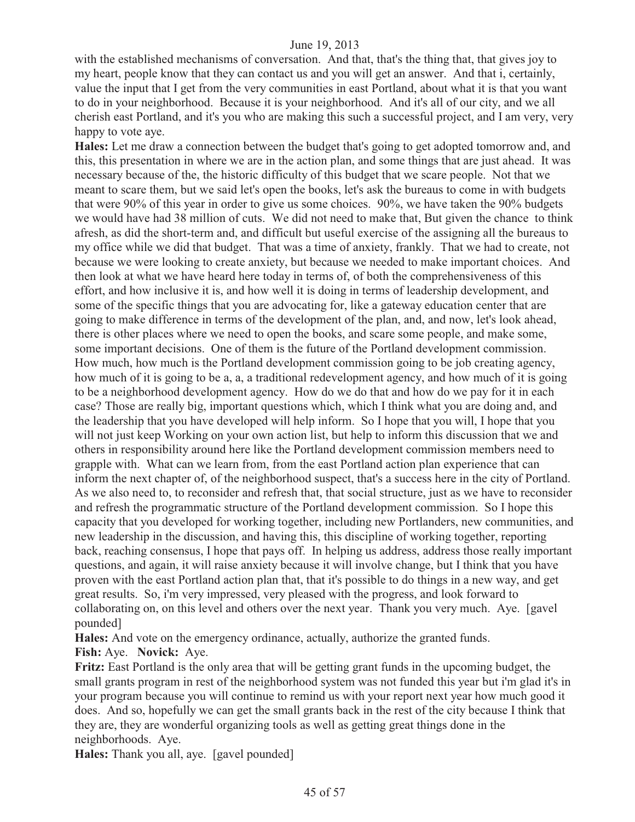with the established mechanisms of conversation. And that, that's the thing that, that gives joy to my heart, people know that they can contact us and you will get an answer. And that i, certainly, value the input that I get from the very communities in east Portland, about what it is that you want to do in your neighborhood. Because it is your neighborhood. And it's all of our city, and we all cherish east Portland, and it's you who are making this such a successful project, and I am very, very happy to vote aye.

**Hales:** Let me draw a connection between the budget that's going to get adopted tomorrow and, and this, this presentation in where we are in the action plan, and some things that are just ahead. It was necessary because of the, the historic difficulty of this budget that we scare people. Not that we meant to scare them, but we said let's open the books, let's ask the bureaus to come in with budgets that were 90% of this year in order to give us some choices. 90%, we have taken the 90% budgets we would have had 38 million of cuts. We did not need to make that, But given the chance to think afresh, as did the short-term and, and difficult but useful exercise of the assigning all the bureaus to my office while we did that budget. That was a time of anxiety, frankly. That we had to create, not because we were looking to create anxiety, but because we needed to make important choices. And then look at what we have heard here today in terms of, of both the comprehensiveness of this effort, and how inclusive it is, and how well it is doing in terms of leadership development, and some of the specific things that you are advocating for, like a gateway education center that are going to make difference in terms of the development of the plan, and, and now, let's look ahead, there is other places where we need to open the books, and scare some people, and make some, some important decisions. One of them is the future of the Portland development commission. How much, how much is the Portland development commission going to be job creating agency, how much of it is going to be a, a, a traditional redevelopment agency, and how much of it is going to be a neighborhood development agency. How do we do that and how do we pay for it in each case? Those are really big, important questions which, which I think what you are doing and, and the leadership that you have developed will help inform. So I hope that you will, I hope that you will not just keep Working on your own action list, but help to inform this discussion that we and others in responsibility around here like the Portland development commission members need to grapple with. What can we learn from, from the east Portland action plan experience that can inform the next chapter of, of the neighborhood suspect, that's a success here in the city of Portland. As we also need to, to reconsider and refresh that, that social structure, just as we have to reconsider and refresh the programmatic structure of the Portland development commission. So I hope this capacity that you developed for working together, including new Portlanders, new communities, and new leadership in the discussion, and having this, this discipline of working together, reporting back, reaching consensus, I hope that pays off. In helping us address, address those really important questions, and again, it will raise anxiety because it will involve change, but I think that you have proven with the east Portland action plan that, that it's possible to do things in a new way, and get great results. So, i'm very impressed, very pleased with the progress, and look forward to collaborating on, on this level and others over the next year. Thank you very much. Aye. [gavel pounded]

**Hales:** And vote on the emergency ordinance, actually, authorize the granted funds.

**Fish:** Aye. **Novick:** Aye.

**Fritz:** East Portland is the only area that will be getting grant funds in the upcoming budget, the small grants program in rest of the neighborhood system was not funded this year but i'm glad it's in your program because you will continue to remind us with your report next year how much good it does. And so, hopefully we can get the small grants back in the rest of the city because I think that they are, they are wonderful organizing tools as well as getting great things done in the neighborhoods. Aye.

**Hales:** Thank you all, aye. [gavel pounded]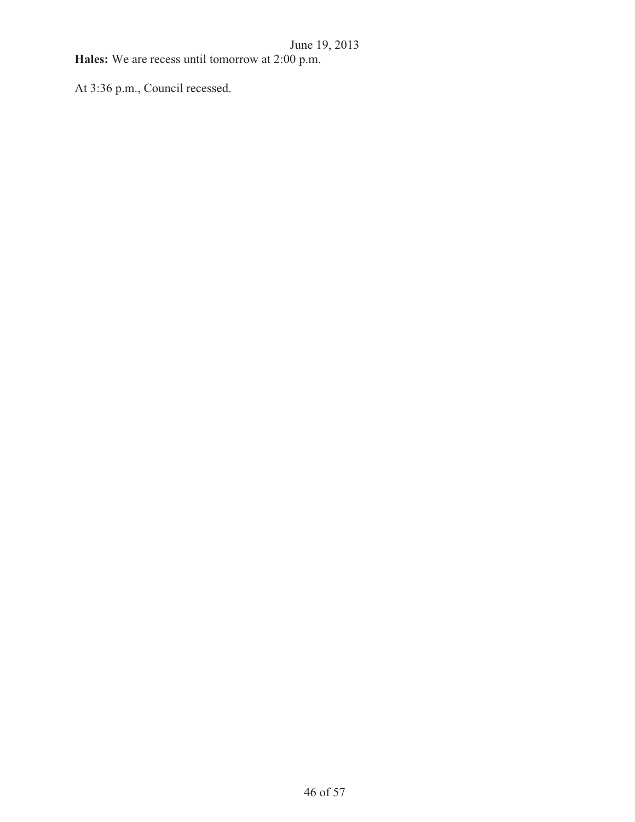**Hales:** We are recess until tomorrow at 2:00 p.m.

At 3:36 p.m., Council recessed.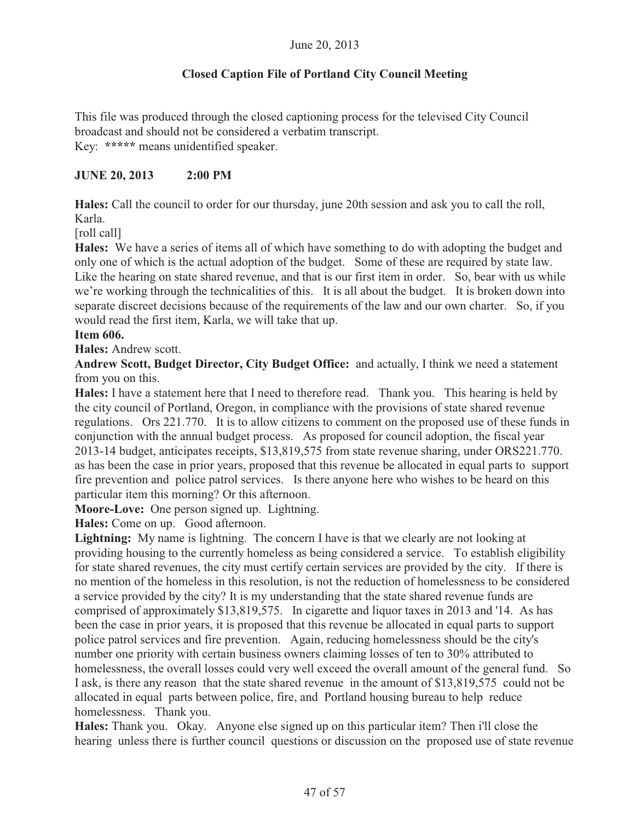# **Closed Caption File of Portland City Council Meeting**

This file was produced through the closed captioning process for the televised City Council broadcast and should not be considered a verbatim transcript. Key: **\*\*\*\*\*** means unidentified speaker.

#### **JUNE 20, 2013 2:00 PM**

**Hales:** Call the council to order for our thursday, june 20th session and ask you to call the roll, Karla.

[roll call]

**Hales:** We have a series of items all of which have something to do with adopting the budget and only one of which is the actual adoption of the budget. Some of these are required by state law. Like the hearing on state shared revenue, and that is our first item in order. So, bear with us while we're working through the technicalities of this. It is all about the budget. It is broken down into separate discreet decisions because of the requirements of the law and our own charter. So, if you would read the first item, Karla, we will take that up.

#### **Item 606.**

**Hales:** Andrew scott.

**Andrew Scott, Budget Director, City Budget Office:** and actually, I think we need a statement from you on this.

**Hales:** I have a statement here that I need to therefore read. Thank you. This hearing is held by the city council of Portland, Oregon, in compliance with the provisions of state shared revenue regulations. Ors 221.770. It is to allow citizens to comment on the proposed use of these funds in conjunction with the annual budget process. As proposed for council adoption, the fiscal year 2013-14 budget, anticipates receipts, \$13,819,575 from state revenue sharing, under ORS221.770. as has been the case in prior years, proposed that this revenue be allocated in equal parts to support fire prevention and police patrol services. Is there anyone here who wishes to be heard on this particular item this morning? Or this afternoon.

**Moore-Love:** One person signed up. Lightning.

**Hales:** Come on up. Good afternoon.

**Lightning:** My name is lightning. The concern I have is that we clearly are not looking at providing housing to the currently homeless as being considered a service. To establish eligibility for state shared revenues, the city must certify certain services are provided by the city. If there is no mention of the homeless in this resolution, is not the reduction of homelessness to be considered a service provided by the city? It is my understanding that the state shared revenue funds are comprised of approximately \$13,819,575. In cigarette and liquor taxes in 2013 and '14. As has been the case in prior years, it is proposed that this revenue be allocated in equal parts to support police patrol services and fire prevention. Again, reducing homelessness should be the city's number one priority with certain business owners claiming losses of ten to 30% attributed to homelessness, the overall losses could very well exceed the overall amount of the general fund. So I ask, is there any reason that the state shared revenue in the amount of \$13,819,575 could not be allocated in equal parts between police, fire, and Portland housing bureau to help reduce homelessness. Thank you.

**Hales:** Thank you. Okay. Anyone else signed up on this particular item? Then i'll close the hearing unless there is further council questions or discussion on the proposed use of state revenue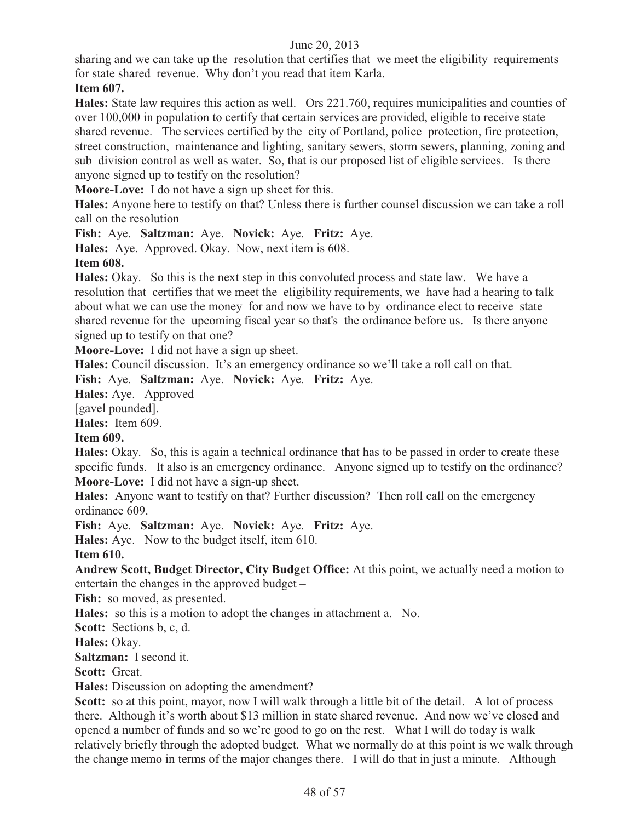sharing and we can take up the resolution that certifies that we meet the eligibility requirements for state shared revenue. Why don't you read that item Karla.

# **Item 607.**

**Hales:** State law requires this action as well. Ors 221.760, requires municipalities and counties of over 100,000 in population to certify that certain services are provided, eligible to receive state shared revenue. The services certified by the city of Portland, police protection, fire protection, street construction, maintenance and lighting, sanitary sewers, storm sewers, planning, zoning and sub division control as well as water. So, that is our proposed list of eligible services. Is there anyone signed up to testify on the resolution?

**Moore-Love:** I do not have a sign up sheet for this.

**Hales:** Anyone here to testify on that? Unless there is further counsel discussion we can take a roll call on the resolution

**Fish:** Aye. **Saltzman:** Aye. **Novick:** Aye. **Fritz:** Aye.

**Hales:** Aye. Approved. Okay. Now, next item is 608.

**Item 608.**

**Hales:** Okay. So this is the next step in this convoluted process and state law. We have a resolution that certifies that we meet the eligibility requirements, we have had a hearing to talk about what we can use the money for and now we have to by ordinance elect to receive state shared revenue for the upcoming fiscal year so that's the ordinance before us. Is there anyone signed up to testify on that one?

**Moore-Love:** I did not have a sign up sheet.

**Hales:** Council discussion. It's an emergency ordinance so we'll take a roll call on that.

**Fish:** Aye. **Saltzman:** Aye. **Novick:** Aye. **Fritz:** Aye.

**Hales:** Aye. Approved

[gavel pounded].

**Hales:** Item 609.

#### **Item 609.**

**Hales:** Okay. So, this is again a technical ordinance that has to be passed in order to create these specific funds. It also is an emergency ordinance. Anyone signed up to testify on the ordinance? **Moore-Love:** I did not have a sign-up sheet.

**Hales:** Anyone want to testify on that? Further discussion? Then roll call on the emergency ordinance 609.

**Fish:** Aye. **Saltzman:** Aye. **Novick:** Aye. **Fritz:** Aye.

**Hales:** Aye. Now to the budget itself, item 610.

**Item 610.** 

**Andrew Scott, Budget Director, City Budget Office:** At this point, we actually need a motion to entertain the changes in the approved budget –

**Fish:** so moved, as presented.

**Hales:** so this is a motion to adopt the changes in attachment a. No.

**Scott:** Sections b, c, d.

**Hales:** Okay.

**Saltzman:** I second it.

**Scott:** Great.

**Hales:** Discussion on adopting the amendment?

**Scott:** so at this point, mayor, now I will walk through a little bit of the detail. A lot of process there. Although it's worth about \$13 million in state shared revenue. And now we've closed and opened a number of funds and so we're good to go on the rest. What I will do today is walk relatively briefly through the adopted budget. What we normally do at this point is we walk through the change memo in terms of the major changes there. I will do that in just a minute. Although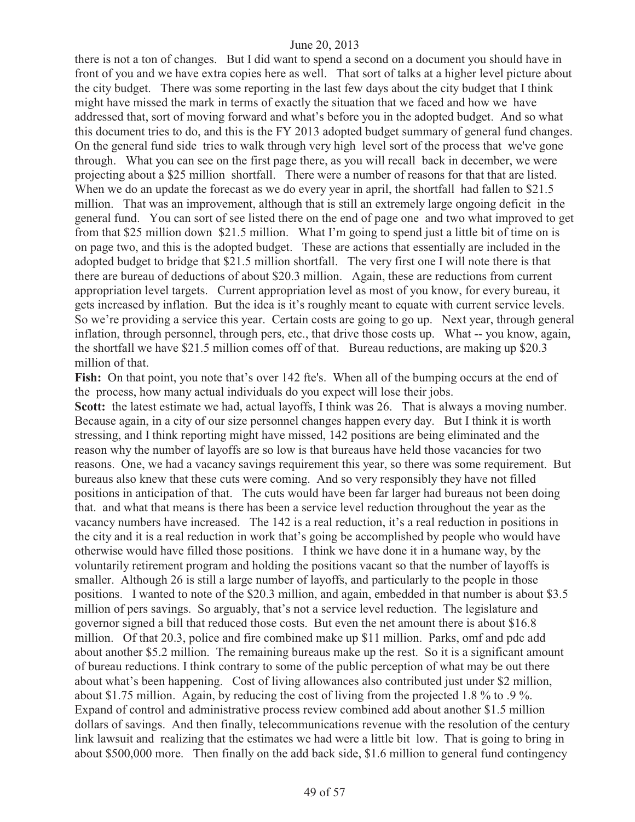there is not a ton of changes. But I did want to spend a second on a document you should have in front of you and we have extra copies here as well. That sort of talks at a higher level picture about the city budget. There was some reporting in the last few days about the city budget that I think might have missed the mark in terms of exactly the situation that we faced and how we have addressed that, sort of moving forward and what's before you in the adopted budget. And so what this document tries to do, and this is the FY 2013 adopted budget summary of general fund changes. On the general fund side tries to walk through very high level sort of the process that we've gone through. What you can see on the first page there, as you will recall back in december, we were projecting about a \$25 million shortfall. There were a number of reasons for that that are listed. When we do an update the forecast as we do every year in april, the shortfall had fallen to \$21.5 million. That was an improvement, although that is still an extremely large ongoing deficit in the general fund. You can sort of see listed there on the end of page one and two what improved to get from that \$25 million down \$21.5 million. What I'm going to spend just a little bit of time on is on page two, and this is the adopted budget. These are actions that essentially are included in the adopted budget to bridge that \$21.5 million shortfall. The very first one I will note there is that there are bureau of deductions of about \$20.3 million. Again, these are reductions from current appropriation level targets. Current appropriation level as most of you know, for every bureau, it gets increased by inflation. But the idea is it's roughly meant to equate with current service levels. So we're providing a service this year. Certain costs are going to go up. Next year, through general inflation, through personnel, through pers, etc., that drive those costs up. What -- you know, again, the shortfall we have \$21.5 million comes off of that. Bureau reductions, are making up \$20.3 million of that.

Fish: On that point, you note that's over 142 fte's. When all of the bumping occurs at the end of the process, how many actual individuals do you expect will lose their jobs.

**Scott:** the latest estimate we had, actual layoffs, I think was 26. That is always a moving number. Because again, in a city of our size personnel changes happen every day. But I think it is worth stressing, and I think reporting might have missed, 142 positions are being eliminated and the reason why the number of layoffs are so low is that bureaus have held those vacancies for two reasons. One, we had a vacancy savings requirement this year, so there was some requirement. But bureaus also knew that these cuts were coming. And so very responsibly they have not filled positions in anticipation of that. The cuts would have been far larger had bureaus not been doing that. and what that means is there has been a service level reduction throughout the year as the vacancy numbers have increased. The 142 is a real reduction, it's a real reduction in positions in the city and it is a real reduction in work that's going be accomplished by people who would have otherwise would have filled those positions. I think we have done it in a humane way, by the voluntarily retirement program and holding the positions vacant so that the number of layoffs is smaller. Although 26 is still a large number of layoffs, and particularly to the people in those positions. I wanted to note of the \$20.3 million, and again, embedded in that number is about \$3.5 million of pers savings. So arguably, that's not a service level reduction. The legislature and governor signed a bill that reduced those costs. But even the net amount there is about \$16.8 million. Of that 20.3, police and fire combined make up \$11 million. Parks, omf and pdc add about another \$5.2 million. The remaining bureaus make up the rest. So it is a significant amount of bureau reductions. I think contrary to some of the public perception of what may be out there about what's been happening. Cost of living allowances also contributed just under \$2 million, about \$1.75 million. Again, by reducing the cost of living from the projected 1.8 % to .9 %. Expand of control and administrative process review combined add about another \$1.5 million dollars of savings. And then finally, telecommunications revenue with the resolution of the century link lawsuit and realizing that the estimates we had were a little bit low. That is going to bring in about \$500,000 more. Then finally on the add back side, \$1.6 million to general fund contingency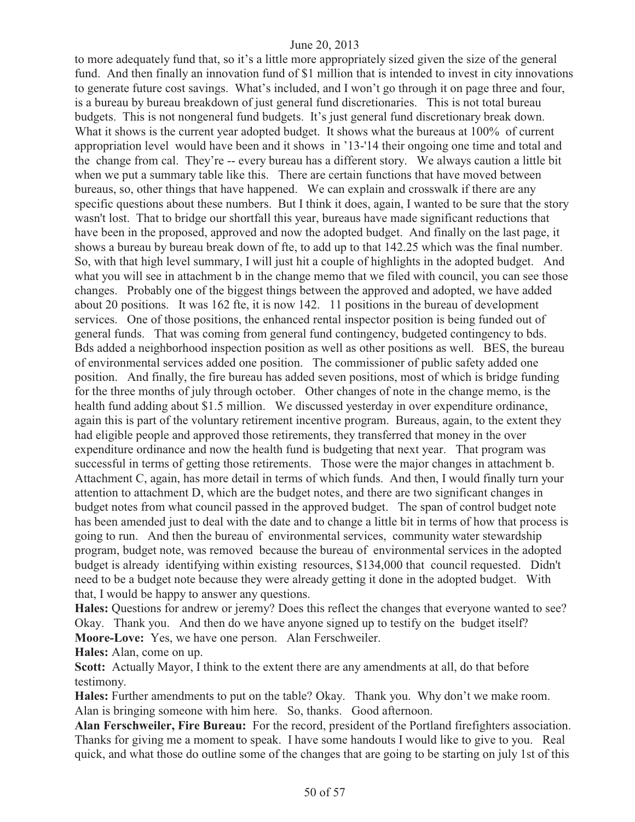to more adequately fund that, so it's a little more appropriately sized given the size of the general fund. And then finally an innovation fund of \$1 million that is intended to invest in city innovations to generate future cost savings. What's included, and I won't go through it on page three and four, is a bureau by bureau breakdown of just general fund discretionaries. This is not total bureau budgets. This is not nongeneral fund budgets. It's just general fund discretionary break down. What it shows is the current year adopted budget. It shows what the bureaus at 100% of current appropriation level would have been and it shows in '13-'14 their ongoing one time and total and the change from cal. They're -- every bureau has a different story. We always caution a little bit when we put a summary table like this. There are certain functions that have moved between bureaus, so, other things that have happened. We can explain and crosswalk if there are any specific questions about these numbers. But I think it does, again, I wanted to be sure that the story wasn't lost. That to bridge our shortfall this year, bureaus have made significant reductions that have been in the proposed, approved and now the adopted budget. And finally on the last page, it shows a bureau by bureau break down of fte, to add up to that 142.25 which was the final number. So, with that high level summary, I will just hit a couple of highlights in the adopted budget. And what you will see in attachment b in the change memo that we filed with council, you can see those changes. Probably one of the biggest things between the approved and adopted, we have added about 20 positions. It was 162 fte, it is now 142. 11 positions in the bureau of development services. One of those positions, the enhanced rental inspector position is being funded out of general funds. That was coming from general fund contingency, budgeted contingency to bds. Bds added a neighborhood inspection position as well as other positions as well. BES, the bureau of environmental services added one position. The commissioner of public safety added one position. And finally, the fire bureau has added seven positions, most of which is bridge funding for the three months of july through october. Other changes of note in the change memo, is the health fund adding about \$1.5 million. We discussed yesterday in over expenditure ordinance, again this is part of the voluntary retirement incentive program. Bureaus, again, to the extent they had eligible people and approved those retirements, they transferred that money in the over expenditure ordinance and now the health fund is budgeting that next year. That program was successful in terms of getting those retirements. Those were the major changes in attachment b. Attachment C, again, has more detail in terms of which funds. And then, I would finally turn your attention to attachment D, which are the budget notes, and there are two significant changes in budget notes from what council passed in the approved budget. The span of control budget note has been amended just to deal with the date and to change a little bit in terms of how that process is going to run. And then the bureau of environmental services, community water stewardship program, budget note, was removed because the bureau of environmental services in the adopted budget is already identifying within existing resources, \$134,000 that council requested. Didn't need to be a budget note because they were already getting it done in the adopted budget. With that, I would be happy to answer any questions.

**Hales:** Questions for andrew or jeremy? Does this reflect the changes that everyone wanted to see? Okay. Thank you. And then do we have anyone signed up to testify on the budget itself? **Moore-Love:** Yes, we have one person. Alan Ferschweiler.

**Hales:** Alan, come on up.

**Scott:** Actually Mayor, I think to the extent there are any amendments at all, do that before testimony.

**Hales:** Further amendments to put on the table? Okay. Thank you. Why don't we make room. Alan is bringing someone with him here. So, thanks. Good afternoon.

**Alan Ferschweiler, Fire Bureau:** For the record, president of the Portland firefighters association. Thanks for giving me a moment to speak. I have some handouts I would like to give to you. Real quick, and what those do outline some of the changes that are going to be starting on july 1st of this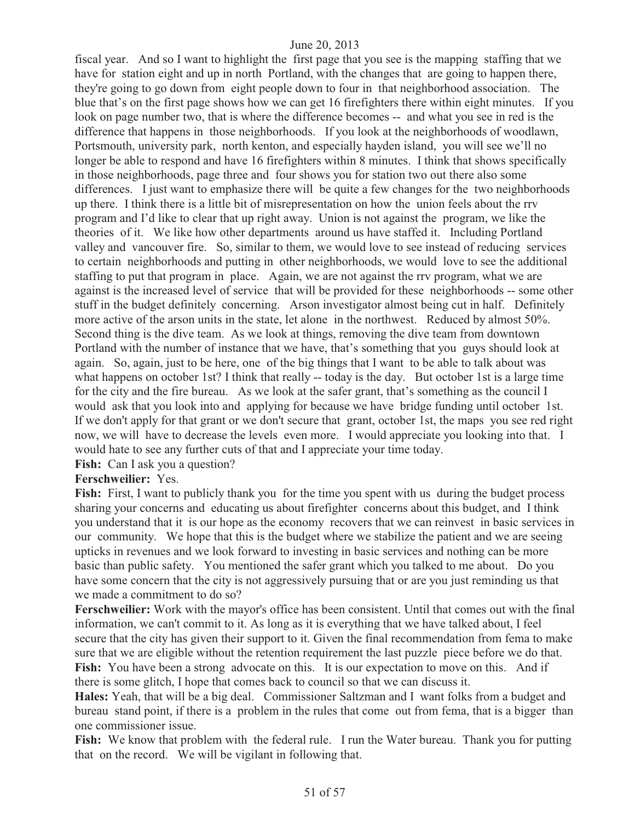fiscal year. And so I want to highlight the first page that you see is the mapping staffing that we have for station eight and up in north Portland, with the changes that are going to happen there, they're going to go down from eight people down to four in that neighborhood association. The blue that's on the first page shows how we can get 16 firefighters there within eight minutes. If you look on page number two, that is where the difference becomes -- and what you see in red is the difference that happens in those neighborhoods. If you look at the neighborhoods of woodlawn, Portsmouth, university park, north kenton, and especially hayden island, you will see we'll no longer be able to respond and have 16 firefighters within 8 minutes. I think that shows specifically in those neighborhoods, page three and four shows you for station two out there also some differences. I just want to emphasize there will be quite a few changes for the two neighborhoods up there. I think there is a little bit of misrepresentation on how the union feels about the rrv program and I'd like to clear that up right away. Union is not against the program, we like the theories of it. We like how other departments around us have staffed it. Including Portland valley and vancouver fire. So, similar to them, we would love to see instead of reducing services to certain neighborhoods and putting in other neighborhoods, we would love to see the additional staffing to put that program in place. Again, we are not against the rrv program, what we are against is the increased level of service that will be provided for these neighborhoods -- some other stuff in the budget definitely concerning. Arson investigator almost being cut in half. Definitely more active of the arson units in the state, let alone in the northwest. Reduced by almost 50%. Second thing is the dive team. As we look at things, removing the dive team from downtown Portland with the number of instance that we have, that's something that you guys should look at again. So, again, just to be here, one of the big things that I want to be able to talk about was what happens on october 1st? I think that really -- today is the day. But october 1st is a large time for the city and the fire bureau. As we look at the safer grant, that's something as the council I would ask that you look into and applying for because we have bridge funding until october 1st. If we don't apply for that grant or we don't secure that grant, october 1st, the maps you see red right now, we will have to decrease the levels even more. I would appreciate you looking into that. I would hate to see any further cuts of that and I appreciate your time today.

**Fish:** Can I ask you a question?

#### **Ferschweilier:** Yes.

**Fish:** First, I want to publicly thank you for the time you spent with us during the budget process sharing your concerns and educating us about firefighter concerns about this budget, and I think you understand that it is our hope as the economy recovers that we can reinvest in basic services in our community. We hope that this is the budget where we stabilize the patient and we are seeing upticks in revenues and we look forward to investing in basic services and nothing can be more basic than public safety. You mentioned the safer grant which you talked to me about. Do you have some concern that the city is not aggressively pursuing that or are you just reminding us that we made a commitment to do so?

**Ferschweilier:** Work with the mayor's office has been consistent. Until that comes out with the final information, we can't commit to it. As long as it is everything that we have talked about, I feel secure that the city has given their support to it. Given the final recommendation from fema to make sure that we are eligible without the retention requirement the last puzzle piece before we do that. Fish: You have been a strong advocate on this. It is our expectation to move on this. And if there is some glitch, I hope that comes back to council so that we can discuss it.

**Hales:** Yeah, that will be a big deal. Commissioner Saltzman and I want folks from a budget and bureau stand point, if there is a problem in the rules that come out from fema, that is a bigger than one commissioner issue.

**Fish:** We know that problem with the federal rule. I run the Water bureau.Thank you for putting that on the record. We will be vigilant in following that.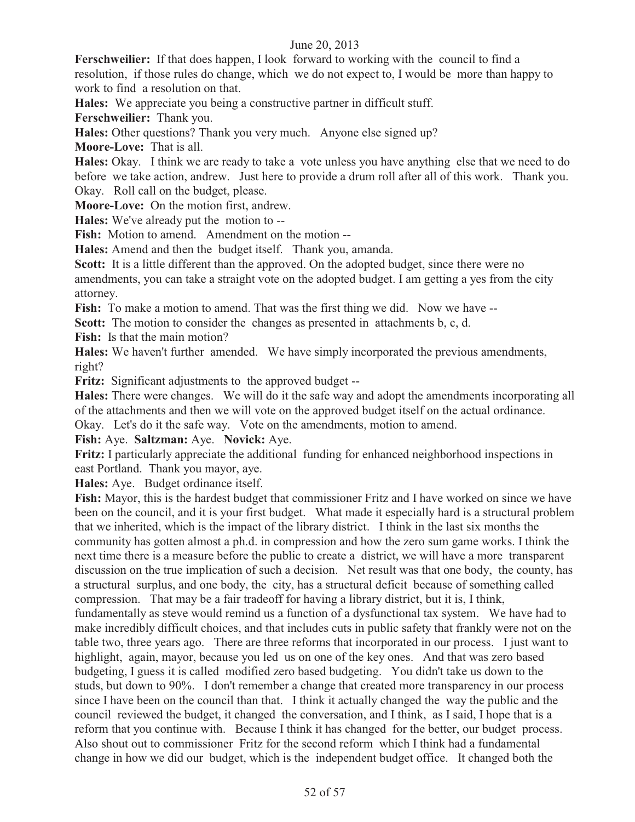**Ferschweilier:** If that does happen, I look forward to working with the council to find a resolution, if those rules do change, which we do not expect to, I would be more than happy to work to find a resolution on that.

**Hales:** We appreciate you being a constructive partner in difficult stuff.

**Ferschweilier:** Thank you.

**Hales:** Other questions? Thank you very much. Anyone else signed up?

**Moore-Love:** That is all.

**Hales:** Okay. I think we are ready to take a vote unless you have anything else that we need to do before we take action, andrew. Just here to provide a drum roll after all of this work. Thank you. Okay. Roll call on the budget, please.

**Moore-Love:** On the motion first, andrew.

**Hales:** We've already put the motion to --

**Fish:** Motion to amend. Amendment on the motion --

**Hales:** Amend and then the budget itself. Thank you, amanda.

**Scott:** It is a little different than the approved. On the adopted budget, since there were no amendments, you can take a straight vote on the adopted budget. I am getting a yes from the city attorney.

Fish: To make a motion to amend. That was the first thing we did. Now we have --

**Scott:** The motion to consider the changes as presented in attachments b, c, d.

**Fish:** Is that the main motion?

**Hales:** We haven't further amended. We have simply incorporated the previous amendments, right?

**Fritz:** Significant adjustments to the approved budget --

**Hales:** There were changes. We will do it the safe way and adopt the amendments incorporating all of the attachments and then we will vote on the approved budget itself on the actual ordinance.

Okay. Let's do it the safe way. Vote on the amendments, motion to amend.

**Fish:** Aye. **Saltzman:** Aye. **Novick:** Aye.

**Fritz:** I particularly appreciate the additional funding for enhanced neighborhood inspections in east Portland. Thank you mayor, aye.

**Hales:** Aye. Budget ordinance itself.

**Fish:** Mayor, this is the hardest budget that commissioner Fritz and I have worked on since we have been on the council, and it is your first budget. What made it especially hard is a structural problem that we inherited, which is the impact of the library district. I think in the last six months the community has gotten almost a ph.d. in compression and how the zero sum game works. I think the next time there is a measure before the public to create a district, we will have a more transparent discussion on the true implication of such a decision. Net result was that one body, the county, has a structural surplus, and one body, the city, has a structural deficit because of something called compression. That may be a fair tradeoff for having a library district, but it is, I think, fundamentally as steve would remind us a function of a dysfunctional tax system. We have had to make incredibly difficult choices, and that includes cuts in public safety that frankly were not on the table two, three years ago. There are three reforms that incorporated in our process. I just want to highlight, again, mayor, because you led us on one of the key ones. And that was zero based budgeting, I guess it is called modified zero based budgeting. You didn't take us down to the studs, but down to 90%. I don't remember a change that created more transparency in our process since I have been on the council than that. I think it actually changed the way the public and the council reviewed the budget, it changed the conversation, and I think, as I said, I hope that is a reform that you continue with. Because I think it has changed for the better, our budget process. Also shout out to commissioner Fritz for the second reform which I think had a fundamental change in how we did our budget, which is the independent budget office. It changed both the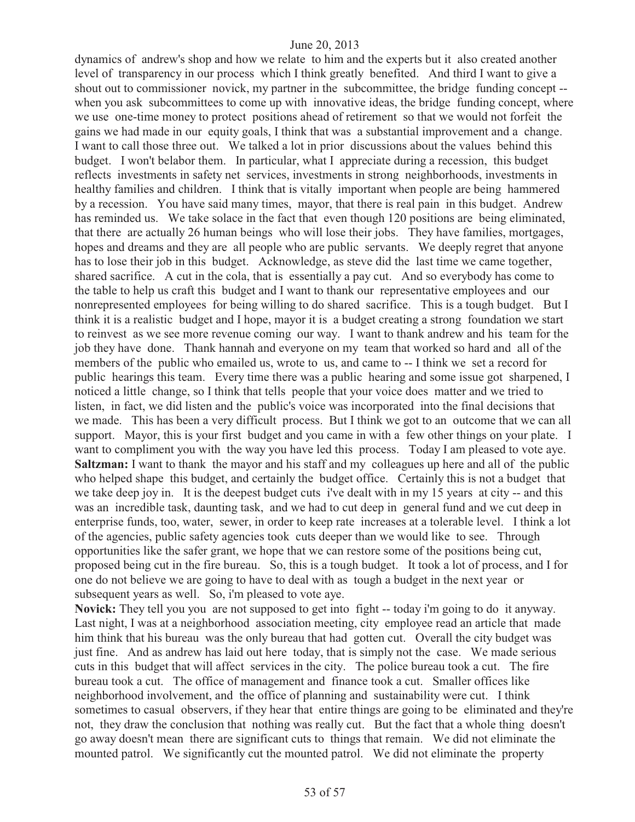dynamics of andrew's shop and how we relate to him and the experts but it also created another level of transparency in our process which I think greatly benefited. And third I want to give a shout out to commissioner novick, my partner in the subcommittee, the bridge funding concept - when you ask subcommittees to come up with innovative ideas, the bridge funding concept, where we use one-time money to protect positions ahead of retirement so that we would not forfeit the gains we had made in our equity goals, I think that was a substantial improvement and a change. I want to call those three out. We talked a lot in prior discussions about the values behind this budget. I won't belabor them. In particular, what I appreciate during a recession, this budget reflects investments in safety net services, investments in strong neighborhoods, investments in healthy families and children. I think that is vitally important when people are being hammered by a recession. You have said many times, mayor, that there is real pain in this budget. Andrew has reminded us. We take solace in the fact that even though 120 positions are being eliminated, that there are actually 26 human beings who will lose their jobs. They have families, mortgages, hopes and dreams and they are all people who are public servants. We deeply regret that anyone has to lose their job in this budget. Acknowledge, as steve did the last time we came together, shared sacrifice. A cut in the cola, that is essentially a pay cut. And so everybody has come to the table to help us craft this budget and I want to thank our representative employees and our nonrepresented employees for being willing to do shared sacrifice. This is a tough budget. But I think it is a realistic budget and I hope, mayor it is a budget creating a strong foundation we start to reinvest as we see more revenue coming our way. I want to thank andrew and his team for the job they have done. Thank hannah and everyone on my team that worked so hard and all of the members of the public who emailed us, wrote to us, and came to -- I think we set a record for public hearings this team. Every time there was a public hearing and some issue got sharpened, I noticed a little change, so I think that tells people that your voice does matter and we tried to listen, in fact, we did listen and the public's voice was incorporated into the final decisions that we made. This has been a very difficult process. But I think we got to an outcome that we can all support. Mayor, this is your first budget and you came in with a few other things on your plate. I want to compliment you with the way you have led this process. Today I am pleased to vote aye. **Saltzman:** I want to thank the mayor and his staff and my colleagues up here and all of the public who helped shape this budget, and certainly the budget office. Certainly this is not a budget that we take deep joy in. It is the deepest budget cuts i've dealt with in my 15 years at city -- and this was an incredible task, daunting task, and we had to cut deep in general fund and we cut deep in enterprise funds, too, water, sewer, in order to keep rate increases at a tolerable level. I think a lot of the agencies, public safety agencies took cuts deeper than we would like to see. Through opportunities like the safer grant, we hope that we can restore some of the positions being cut, proposed being cut in the fire bureau. So, this is a tough budget. It took a lot of process, and I for one do not believe we are going to have to deal with as tough a budget in the next year or subsequent years as well. So, i'm pleased to vote aye.

**Novick:** They tell you you are not supposed to get into fight -- today i'm going to do it anyway. Last night, I was at a neighborhood association meeting, city employee read an article that made him think that his bureau was the only bureau that had gotten cut. Overall the city budget was just fine. And as andrew has laid out here today, that is simply not the case. We made serious cuts in this budget that will affect services in the city. The police bureau took a cut. The fire bureau took a cut. The office of management and finance took a cut. Smaller offices like neighborhood involvement, and the office of planning and sustainability were cut. I think sometimes to casual observers, if they hear that entire things are going to be eliminated and they're not, they draw the conclusion that nothing was really cut. But the fact that a whole thing doesn't go away doesn't mean there are significant cuts to things that remain. We did not eliminate the mounted patrol. We significantly cut the mounted patrol. We did not eliminate the property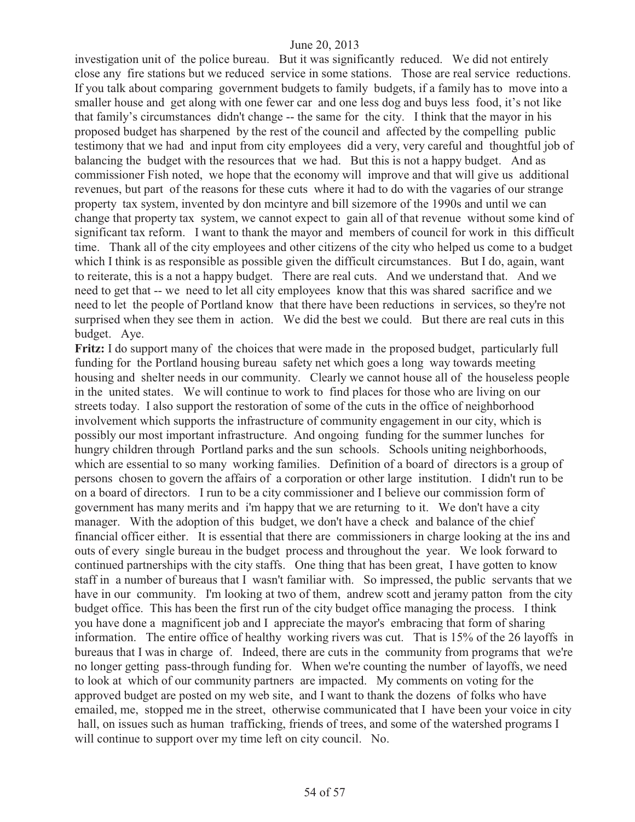investigation unit of the police bureau. But it was significantly reduced. We did not entirely close any fire stations but we reduced service in some stations. Those are real service reductions. If you talk about comparing government budgets to family budgets, if a family has to move into a smaller house and get along with one fewer car and one less dog and buys less food, it's not like that family's circumstances didn't change -- the same for the city. I think that the mayor in his proposed budget has sharpened by the rest of the council and affected by the compelling public testimony that we had and input from city employees did a very, very careful and thoughtful job of balancing the budget with the resources that we had. But this is not a happy budget. And as commissioner Fish noted, we hope that the economy will improve and that will give us additional revenues, but part of the reasons for these cuts where it had to do with the vagaries of our strange property tax system, invented by don mcintyre and bill sizemore of the 1990s and until we can change that property tax system, we cannot expect to gain all of that revenue without some kind of significant tax reform. I want to thank the mayor and members of council for work in this difficult time. Thank all of the city employees and other citizens of the city who helped us come to a budget which I think is as responsible as possible given the difficult circumstances. But I do, again, want to reiterate, this is a not a happy budget. There are real cuts. And we understand that. And we need to get that -- we need to let all city employees know that this was shared sacrifice and we need to let the people of Portland know that there have been reductions in services, so they're not surprised when they see them in action. We did the best we could. But there are real cuts in this budget. Aye.

**Fritz:** I do support many of the choices that were made in the proposed budget, particularly full funding for the Portland housing bureau safety net which goes a long way towards meeting housing and shelter needs in our community. Clearly we cannot house all of the houseless people in the united states. We will continue to work to find places for those who are living on our streets today. I also support the restoration of some of the cuts in the office of neighborhood involvement which supports the infrastructure of community engagement in our city, which is possibly our most important infrastructure. And ongoing funding for the summer lunches for hungry children through Portland parks and the sun schools. Schools uniting neighborhoods, which are essential to so many working families. Definition of a board of directors is a group of persons chosen to govern the affairs of a corporation or other large institution. I didn't run to be on a board of directors. I run to be a city commissioner and I believe our commission form of government has many merits and i'm happy that we are returning to it. We don't have a city manager. With the adoption of this budget, we don't have a check and balance of the chief financial officer either. It is essential that there are commissioners in charge looking at the ins and outs of every single bureau in the budget process and throughout the year. We look forward to continued partnerships with the city staffs. One thing that has been great, I have gotten to know staff in a number of bureaus that I wasn't familiar with. So impressed, the public servants that we have in our community. I'm looking at two of them, andrew scott and jeramy patton from the city budget office. This has been the first run of the city budget office managing the process. I think you have done a magnificent job and I appreciate the mayor's embracing that form of sharing information. The entire office of healthy working rivers was cut. That is 15% of the 26 layoffs in bureaus that I was in charge of. Indeed, there are cuts in the community from programs that we're no longer getting pass-through funding for. When we're counting the number of layoffs, we need to look at which of our community partners are impacted. My comments on voting for the approved budget are posted on my web site, and I want to thank the dozens of folks who have emailed, me, stopped me in the street, otherwise communicated that I have been your voice in city hall, on issues such as human trafficking, friends of trees, and some of the watershed programs I will continue to support over my time left on city council. No.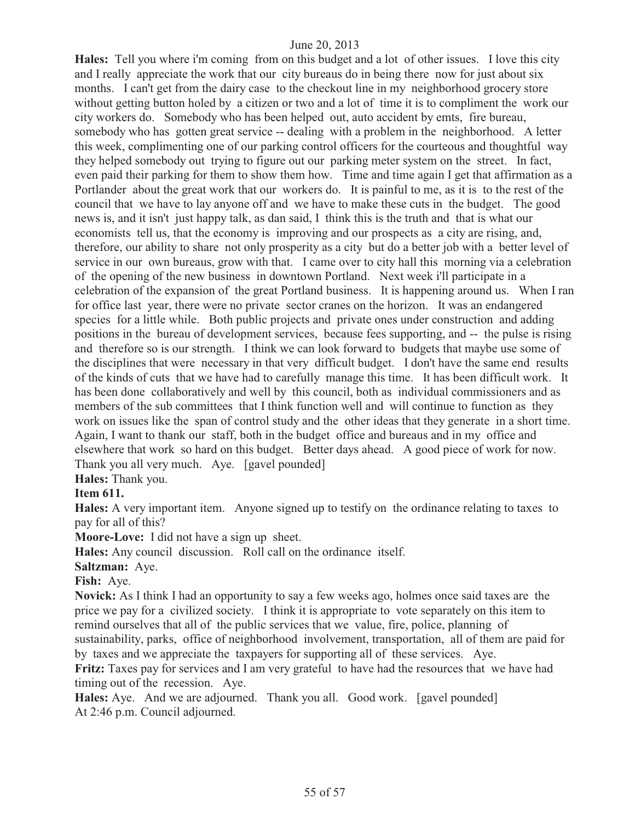**Hales:** Tell you where i'm coming from on this budget and a lot of other issues. I love this city and I really appreciate the work that our city bureaus do in being there now for just about six months. I can't get from the dairy case to the checkout line in my neighborhood grocery store without getting button holed by a citizen or two and a lot of time it is to compliment the work our city workers do. Somebody who has been helped out, auto accident by emts, fire bureau, somebody who has gotten great service -- dealing with a problem in the neighborhood. A letter this week, complimenting one of our parking control officers for the courteous and thoughtful way they helped somebody out trying to figure out our parking meter system on the street. In fact, even paid their parking for them to show them how. Time and time again I get that affirmation as a Portlander about the great work that our workers do. It is painful to me, as it is to the rest of the council that we have to lay anyone off and we have to make these cuts in the budget. The good news is, and it isn't just happy talk, as dan said, I think this is the truth and that is what our economists tell us, that the economy is improving and our prospects as a city are rising, and, therefore, our ability to share not only prosperity as a city but do a better job with a better level of service in our own bureaus, grow with that. I came over to city hall this morning via a celebration of the opening of the new business in downtown Portland. Next week i'll participate in a celebration of the expansion of the great Portland business. It is happening around us. When I ran for office last year, there were no private sector cranes on the horizon. It was an endangered species for a little while. Both public projects and private ones under construction and adding positions in the bureau of development services, because fees supporting, and -- the pulse is rising and therefore so is our strength. I think we can look forward to budgets that maybe use some of the disciplines that were necessary in that very difficult budget. I don't have the same end results of the kinds of cuts that we have had to carefully manage this time. It has been difficult work. It has been done collaboratively and well by this council, both as individual commissioners and as members of the sub committees that I think function well and will continue to function as they work on issues like the span of control study and the other ideas that they generate in a short time. Again, I want to thank our staff, both in the budget office and bureaus and in my office and elsewhere that work so hard on this budget. Better days ahead. A good piece of work for now. Thank you all very much. Aye. [gavel pounded]

**Hales:** Thank you.

# **Item 611.**

**Hales:** A very important item. Anyone signed up to testify on the ordinance relating to taxes to pay for all of this?

**Moore-Love:** I did not have a sign up sheet.

**Hales:** Any council discussion. Roll call on the ordinance itself.

**Saltzman:** Aye.

**Fish:** Aye.

**Novick:** As I think I had an opportunity to say a few weeks ago, holmes once said taxes are the price we pay for a civilized society. I think it is appropriate to vote separately on this item to remind ourselves that all of the public services that we value, fire, police, planning of sustainability, parks, office of neighborhood involvement, transportation, all of them are paid for by taxes and we appreciate the taxpayers for supporting all of these services. Aye.

**Fritz:** Taxes pay for services and I am very grateful to have had the resources that we have had timing out of the recession. Aye.

**Hales:** Aye. And we are adjourned. Thank you all. Good work. [gavel pounded] At 2:46 p.m. Council adjourned.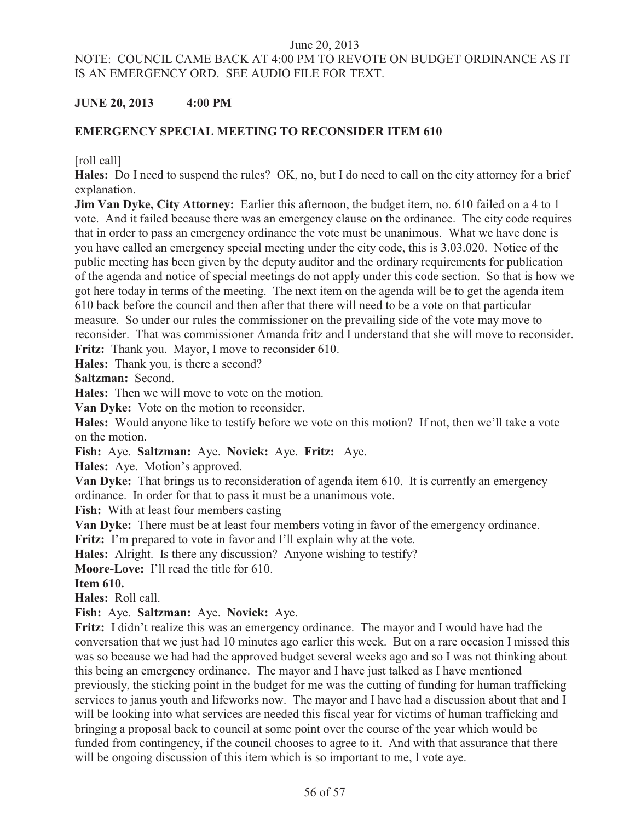# NOTE: COUNCIL CAME BACK AT 4:00 PM TO REVOTE ON BUDGET ORDINANCE AS IT IS AN EMERGENCY ORD. SEE AUDIO FILE FOR TEXT.

# **JUNE 20, 2013 4:00 PM**

# **EMERGENCY SPECIAL MEETING TO RECONSIDER ITEM 610**

[roll call]

**Hales:** Do I need to suspend the rules? OK, no, but I do need to call on the city attorney for a brief explanation.

**Jim Van Dyke, City Attorney:** Earlier this afternoon, the budget item, no. 610 failed on a 4 to 1 vote. And it failed because there was an emergency clause on the ordinance. The city code requires that in order to pass an emergency ordinance the vote must be unanimous. What we have done is you have called an emergency special meeting under the city code, this is 3.03.020. Notice of the public meeting has been given by the deputy auditor and the ordinary requirements for publication of the agenda and notice of special meetings do not apply under this code section. So that is how we got here today in terms of the meeting. The next item on the agenda will be to get the agenda item 610 back before the council and then after that there will need to be a vote on that particular measure. So under our rules the commissioner on the prevailing side of the vote may move to reconsider. That was commissioner Amanda fritz and I understand that she will move to reconsider. **Fritz:** Thank you. Mayor, I move to reconsider 610.

**Hales:** Thank you, is there a second?

**Saltzman:** Second.

**Hales:** Then we will move to vote on the motion.

**Van Dyke:** Vote on the motion to reconsider.

**Hales:** Would anyone like to testify before we vote on this motion? If not, then we'll take a vote on the motion.

**Fish:** Aye. **Saltzman:** Aye. **Novick:** Aye. **Fritz:** Aye.

**Hales:** Aye. Motion's approved.

**Van Dyke:** That brings us to reconsideration of agenda item 610. It is currently an emergency ordinance. In order for that to pass it must be a unanimous vote.

**Fish:** With at least four members casting—

**Van Dyke:** There must be at least four members voting in favor of the emergency ordinance.

**Fritz:** I'm prepared to vote in favor and I'll explain why at the vote.

**Hales:** Alright. Is there any discussion? Anyone wishing to testify?

**Moore-Love:** I'll read the title for 610.

**Item 610.** 

**Hales:** Roll call.

**Fish:** Aye. **Saltzman:** Aye. **Novick:** Aye.

**Fritz:** I didn't realize this was an emergency ordinance. The mayor and I would have had the conversation that we just had 10 minutes ago earlier this week. But on a rare occasion I missed this was so because we had had the approved budget several weeks ago and so I was not thinking about this being an emergency ordinance. The mayor and I have just talked as I have mentioned previously, the sticking point in the budget for me was the cutting of funding for human trafficking services to janus youth and lifeworks now. The mayor and I have had a discussion about that and I will be looking into what services are needed this fiscal year for victims of human trafficking and bringing a proposal back to council at some point over the course of the year which would be funded from contingency, if the council chooses to agree to it. And with that assurance that there will be ongoing discussion of this item which is so important to me, I vote aye.